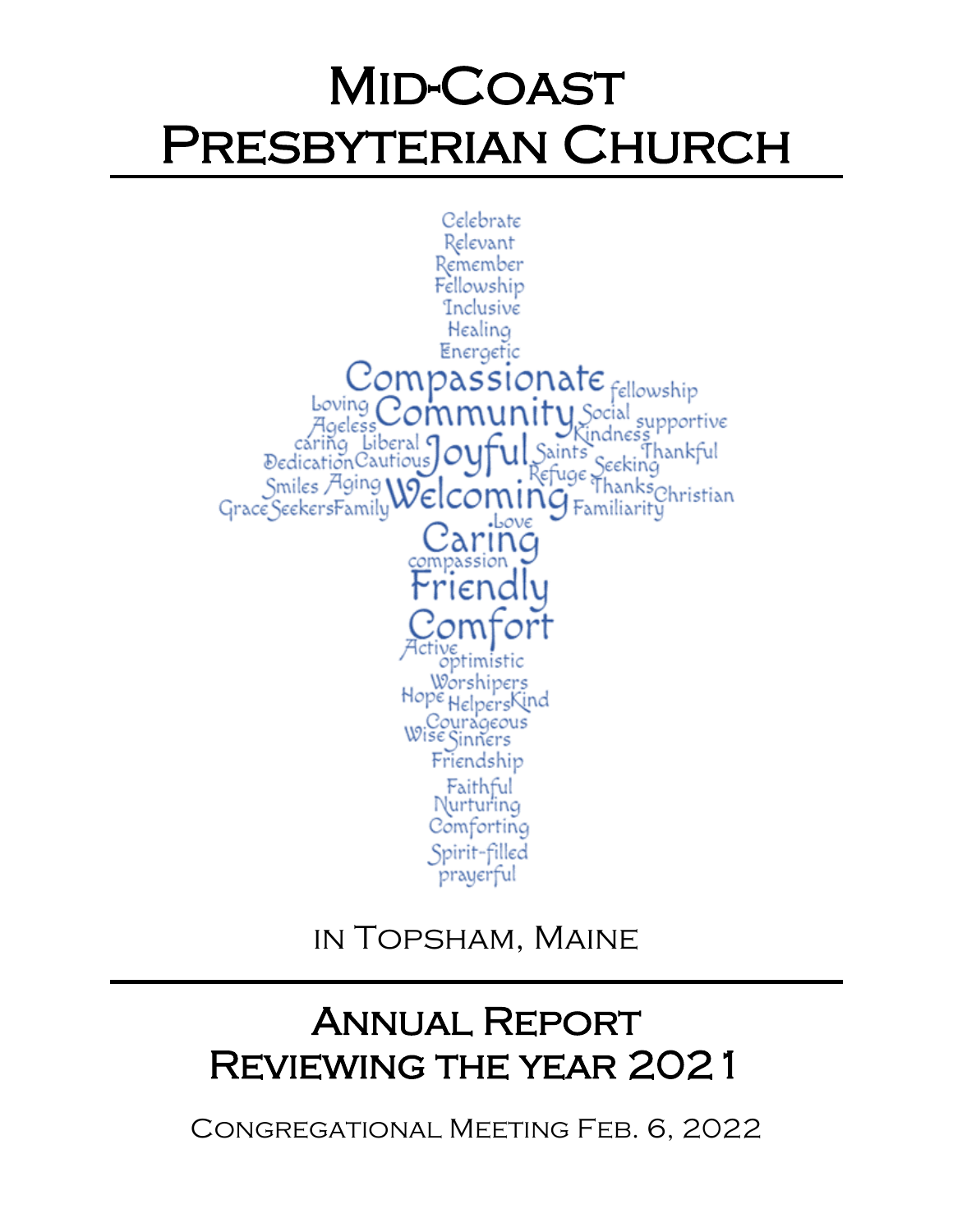# Mid-Coast Presbyterian Church



in Topsham, Maine

# Annual Report Reviewing the year 2021

Congregational Meeting Feb. 6, 2022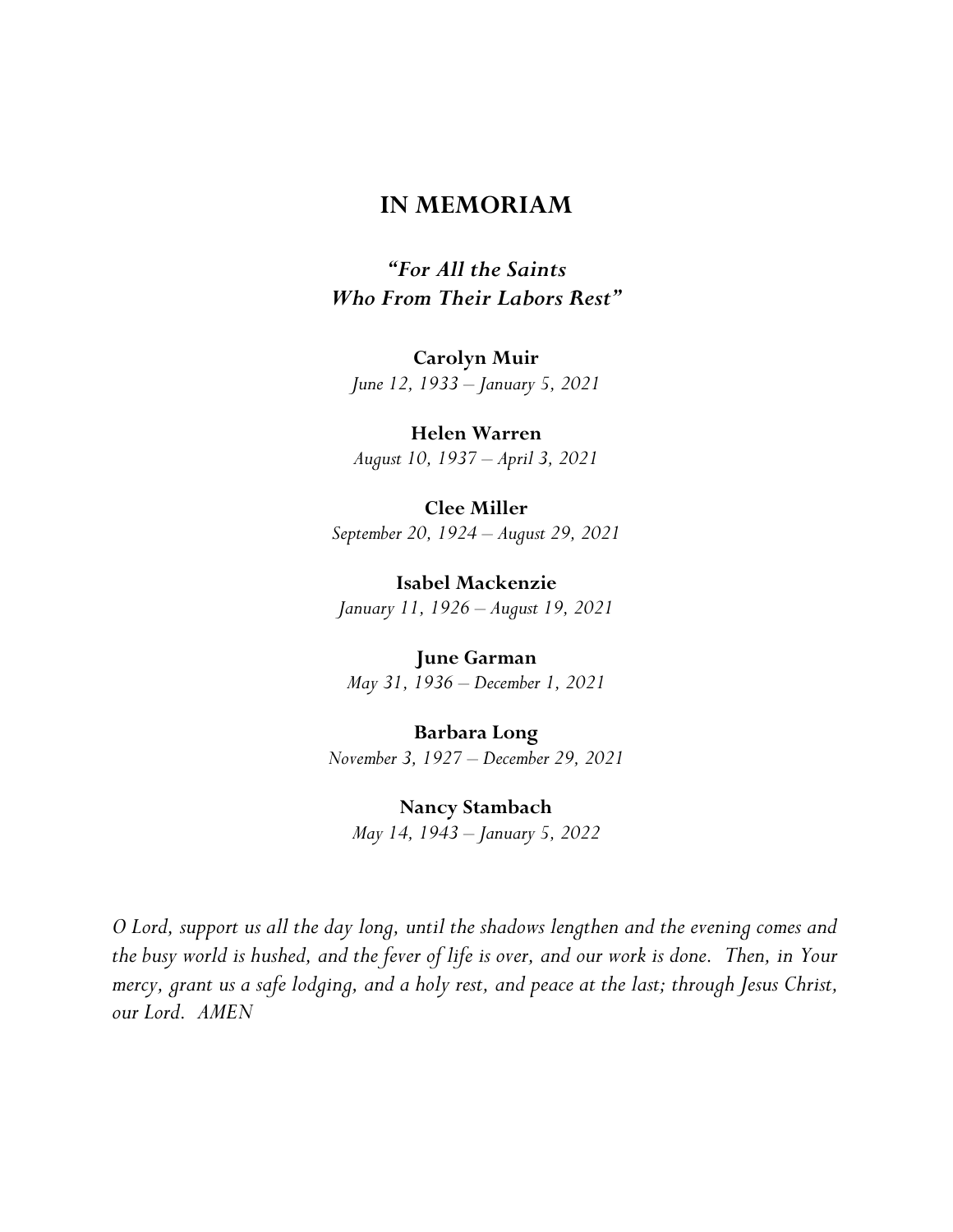### **IN MEMORIAM**

*"For All the Saints Who From Their Labors Rest"*

**Carolyn Muir**

*June 12, 1933 – January 5, 2021*

**Helen Warren** *August 10, 1937 – April 3, 2021*

**Clee Miller** *September 20, 1924 – August 29, 2021*

**Isabel Mackenzie** *January 11, 1926 – August 19, 2021*

**June Garman** *May 31, 1936 – December 1, 2021*

**Barbara Long** *November 3, 1927 – December 29, 2021*

**Nancy Stambach** *May 14, 1943 – January 5, 2022*

*O Lord, support us all the day long, until the shadows lengthen and the evening comes and the busy world is hushed, and the fever of life is over, and our work is done. Then, in Your mercy, grant us a safe lodging, and a holy rest, and peace at the last; through Jesus Christ, our Lord. AMEN*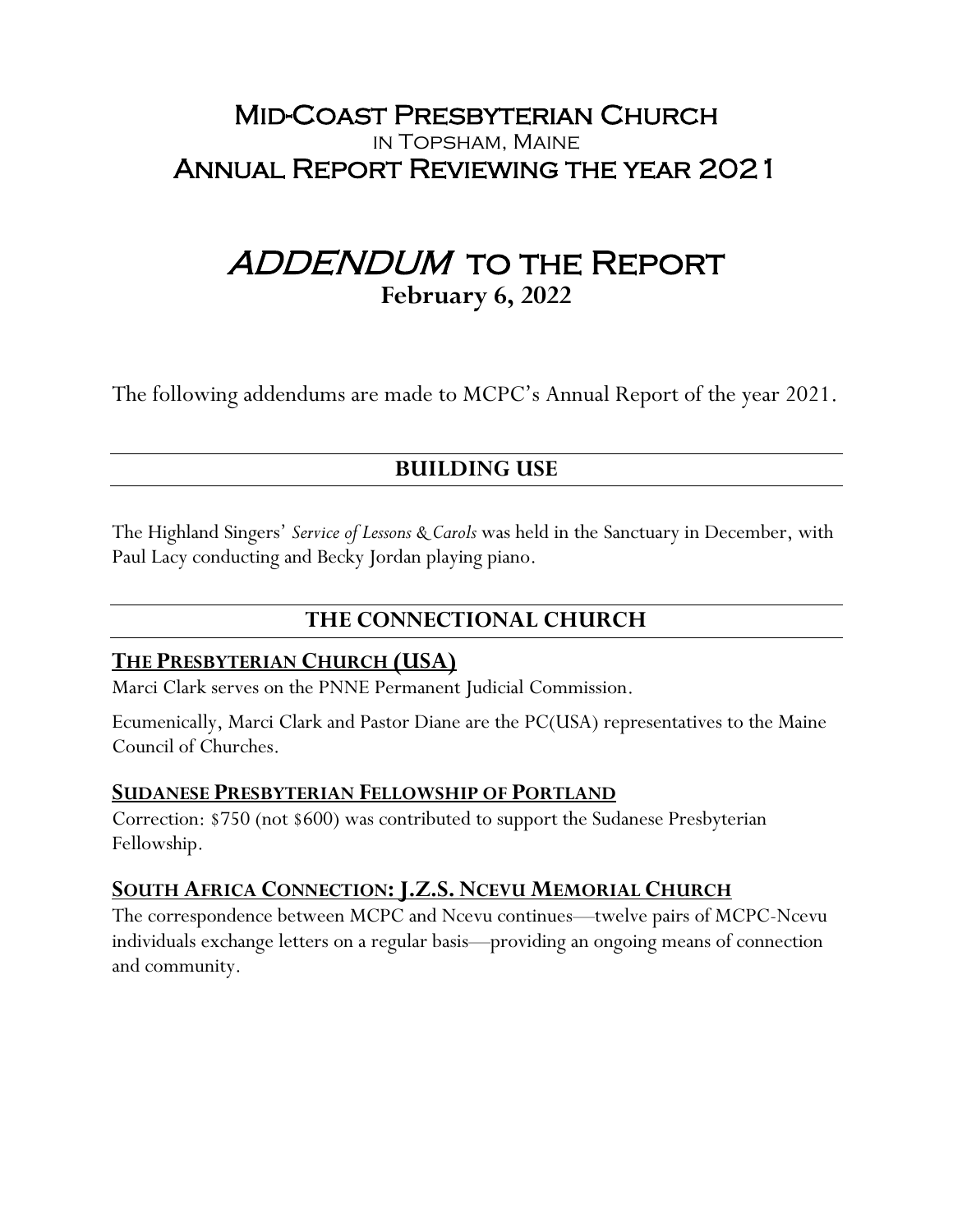# Mid-Coast Presbyterian Church in Topsham, Maine Annual Report Reviewing the year 2021

# ADDENDUM TO THE REPORT **February 6, 2022**

The following addendums are made to MCPC's Annual Report of the year 2021.

# **BUILDING USE**

The Highland Singers' *Service of Lessons & Carols* was held in the Sanctuary in December, with Paul Lacy conducting and Becky Jordan playing piano.

# **THE CONNECTIONAL CHURCH**

# **THE PRESBYTERIAN CHURCH (USA)**

Marci Clark serves on the PNNE Permanent Judicial Commission.

Ecumenically, Marci Clark and Pastor Diane are the PC(USA) representatives to the Maine Council of Churches.

### **SUDANESE PRESBYTERIAN FELLOWSHIP OF PORTLAND**

Correction: \$750 (not \$600) was contributed to support the Sudanese Presbyterian Fellowship.

# **SOUTH AFRICA CONNECTION:J.Z.S. NCEVU MEMORIAL CHURCH**

The correspondence between MCPC and Ncevu continues—twelve pairs of MCPC-Ncevu individuals exchange letters on a regular basis—providing an ongoing means of connection and community.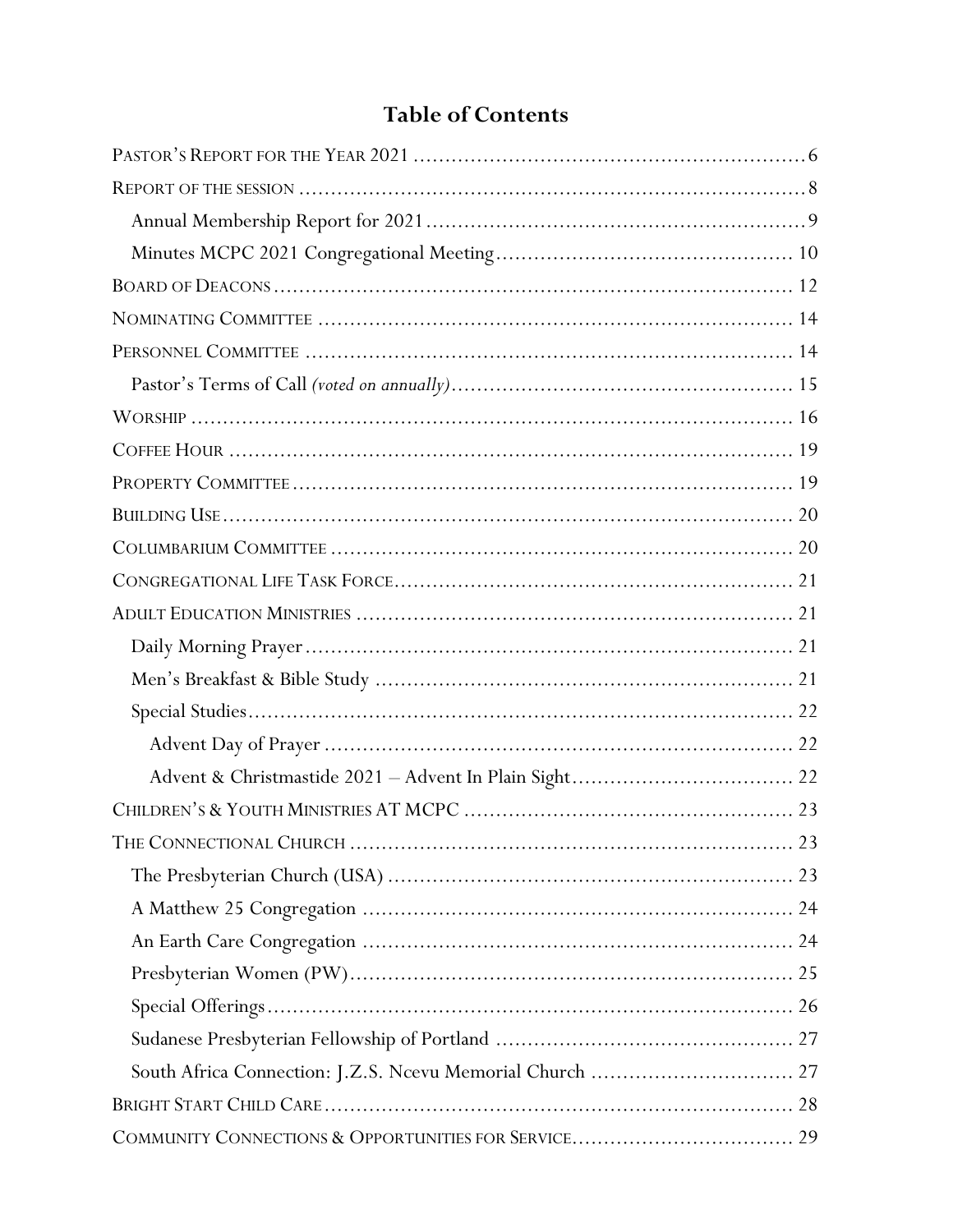# **Table of Contents**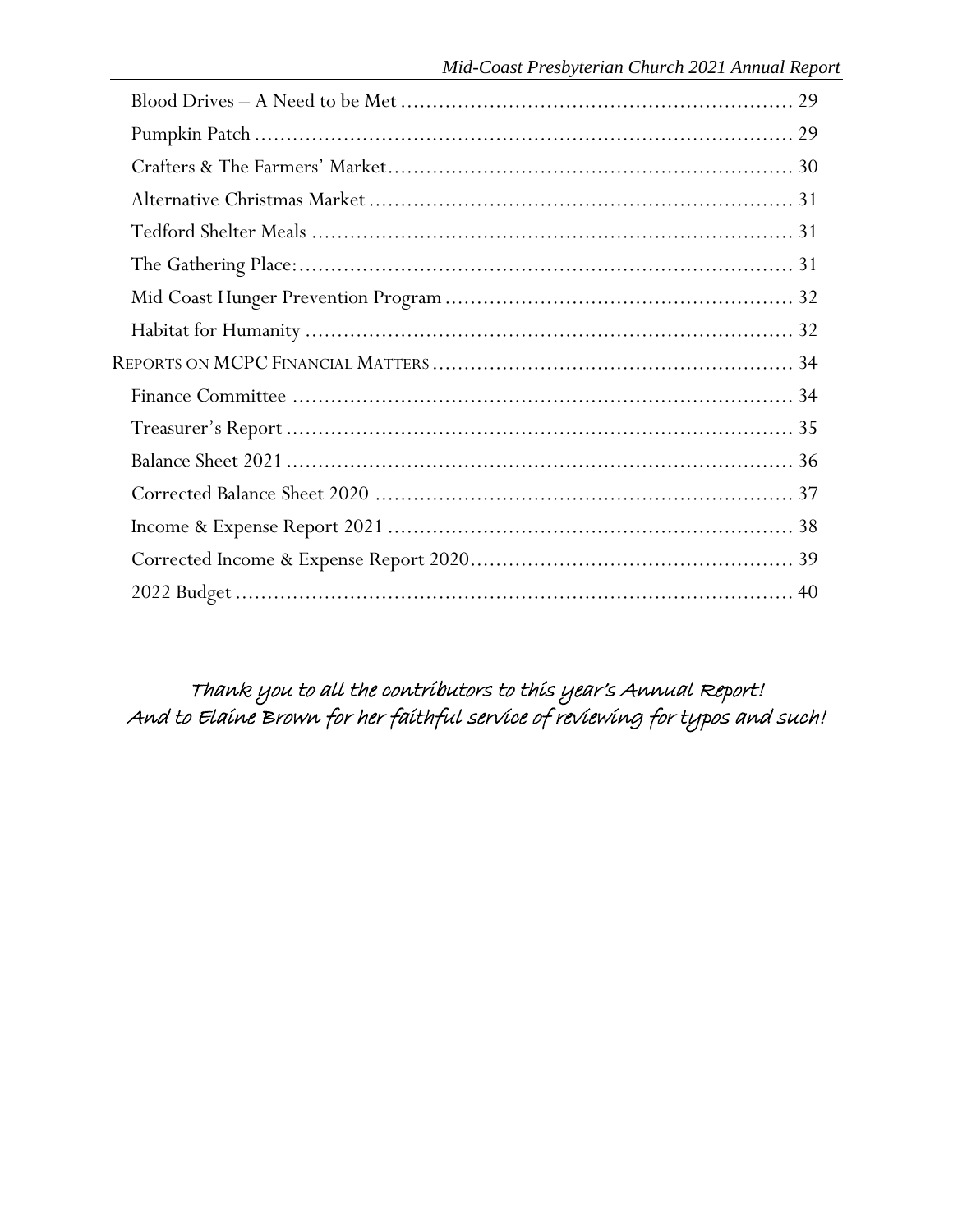Thank you to all the contributors to this year's Annual Report! And to Elaine Brown for her faithful service of reviewing for typos and such!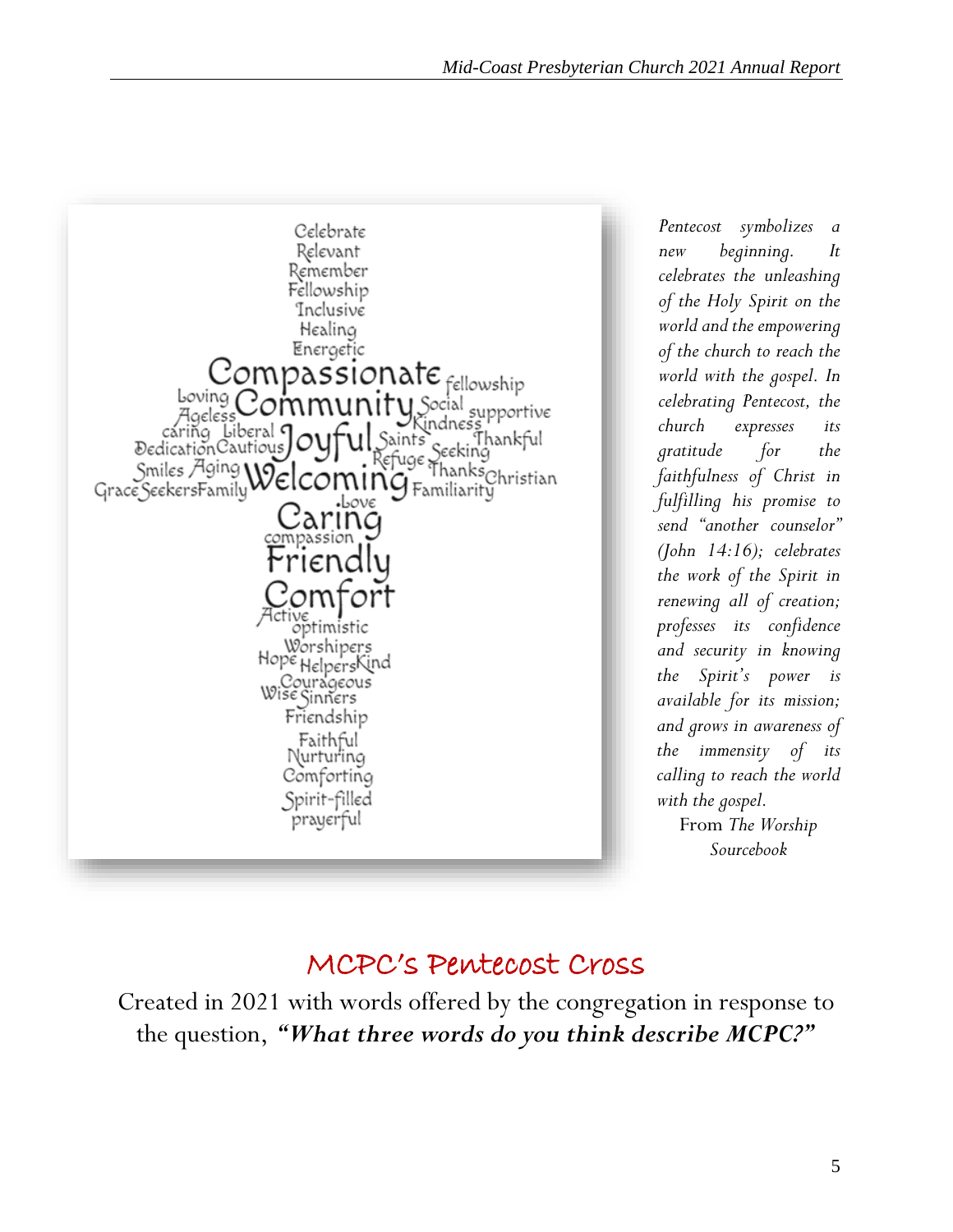

*Pentecost symbolizes a new beginning. It celebrates the unleashing of the Holy Spirit on the world and the empowering of the church to reach the world with the gospel. In celebrating Pentecost, the church expresses its gratitude for the faithfulness of Christ in fulfilling his promise to send "another counselor" (John 14:16); celebrates the work of the Spirit in renewing all of creation; professes its confidence and security in knowing the Spirit's power is available for its mission; and grows in awareness of the immensity of its calling to reach the world with the gospel.* From *The Worship Sourcebook*

# MCPC's Pentecost Cross

Created in 2021 with words offered by the congregation in response to the question, *"What three words do you think describe MCPC?"*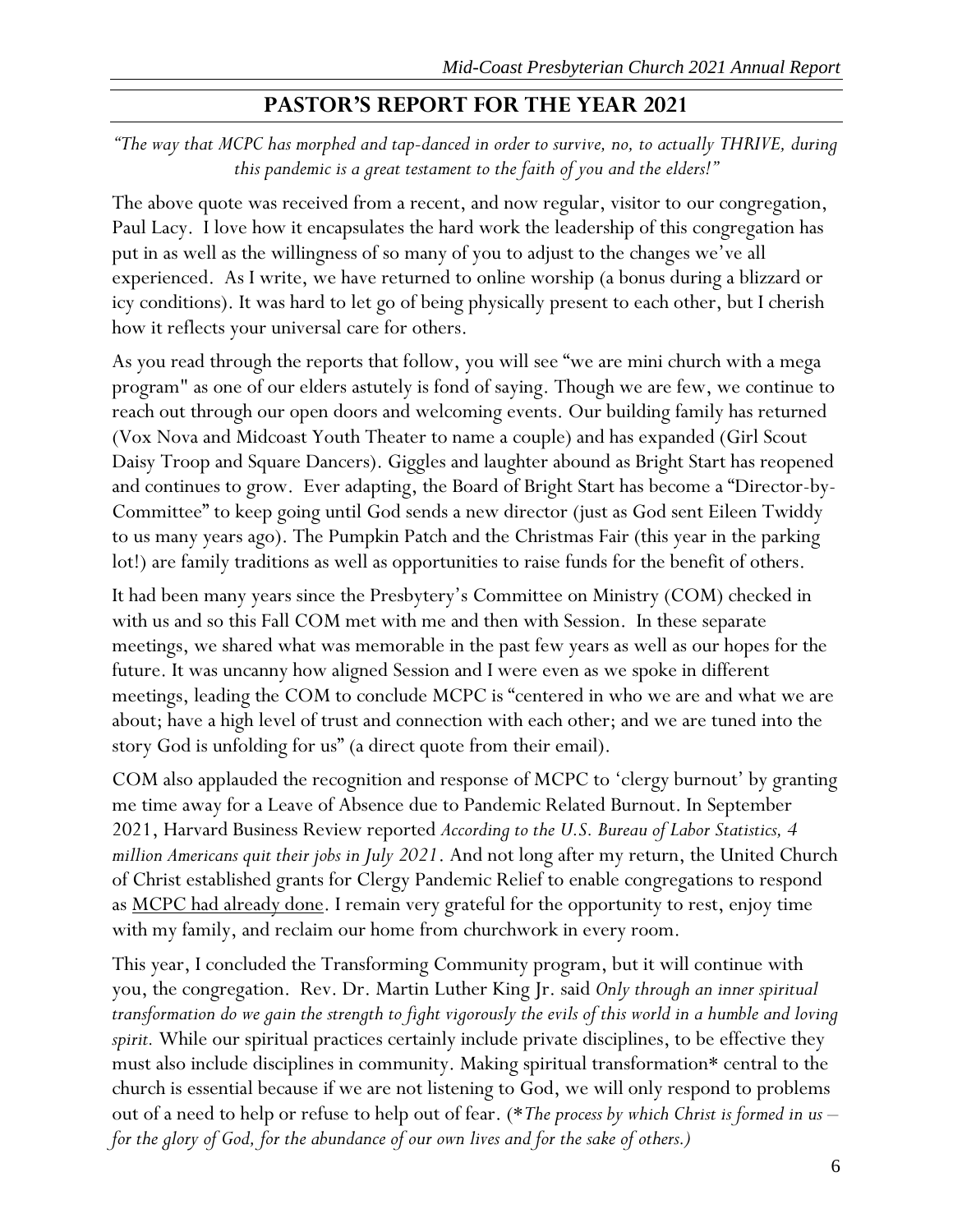# **PASTOR'S REPORT FOR THE YEAR 2021**

<span id="page-6-0"></span>*"The way that MCPC has morphed and tap-danced in order to survive, no, to actually THRIVE, during this pandemic is a great testament to the faith of you and the elders!"*

The above quote was received from a recent, and now regular, visitor to our congregation, Paul Lacy. I love how it encapsulates the hard work the leadership of this congregation has put in as well as the willingness of so many of you to adjust to the changes we've all experienced. As I write, we have returned to online worship (a bonus during a blizzard or icy conditions). It was hard to let go of being physically present to each other, but I cherish how it reflects your universal care for others.

As you read through the reports that follow, you will see "we are mini church with a mega program" as one of our elders astutely is fond of saying. Though we are few, we continue to reach out through our open doors and welcoming events. Our building family has returned (Vox Nova and Midcoast Youth Theater to name a couple) and has expanded (Girl Scout Daisy Troop and Square Dancers). Giggles and laughter abound as Bright Start has reopened and continues to grow. Ever adapting, the Board of Bright Start has become a "Director-by-Committee" to keep going until God sends a new director (just as God sent Eileen Twiddy to us many years ago). The Pumpkin Patch and the Christmas Fair (this year in the parking lot!) are family traditions as well as opportunities to raise funds for the benefit of others.

It had been many years since the Presbytery's Committee on Ministry (COM) checked in with us and so this Fall COM met with me and then with Session. In these separate meetings, we shared what was memorable in the past few years as well as our hopes for the future. It was uncanny how aligned Session and I were even as we spoke in different meetings, leading the COM to conclude MCPC is "centered in who we are and what we are about; have a high level of trust and connection with each other; and we are tuned into the story God is unfolding for us" (a direct quote from their email).

COM also applauded the recognition and response of MCPC to 'clergy burnout' by granting me time away for a Leave of Absence due to Pandemic Related Burnout. In September 2021, Harvard Business Review reported *According to the U.S. Bureau of Labor Statistics, 4 million Americans quit their jobs in July 2021*. And not long after my return, the United Church of Christ established grants for Clergy Pandemic Relief to enable congregations to respond as <u>MCPC had already done</u>. I remain very grateful for the opportunity to rest, enjoy time with my family, and reclaim our home from churchwork in every room.

This year, I concluded the Transforming Community program, but it will continue with you, the congregation. Rev. Dr. Martin Luther King Jr. said *Only through an inner spiritual transformation do we gain the strength to fight vigorously the evils of this world in a humble and loving spirit.* While our spiritual practices certainly include private disciplines, to be effective they must also include disciplines in community. Making spiritual transformation\* central to the church is essential because if we are not listening to God, we will only respond to problems out of a need to help or refuse to help out of fear. (\**The process by which Christ is formed in us – for the glory of God, for the abundance of our own lives and for the sake of others.)*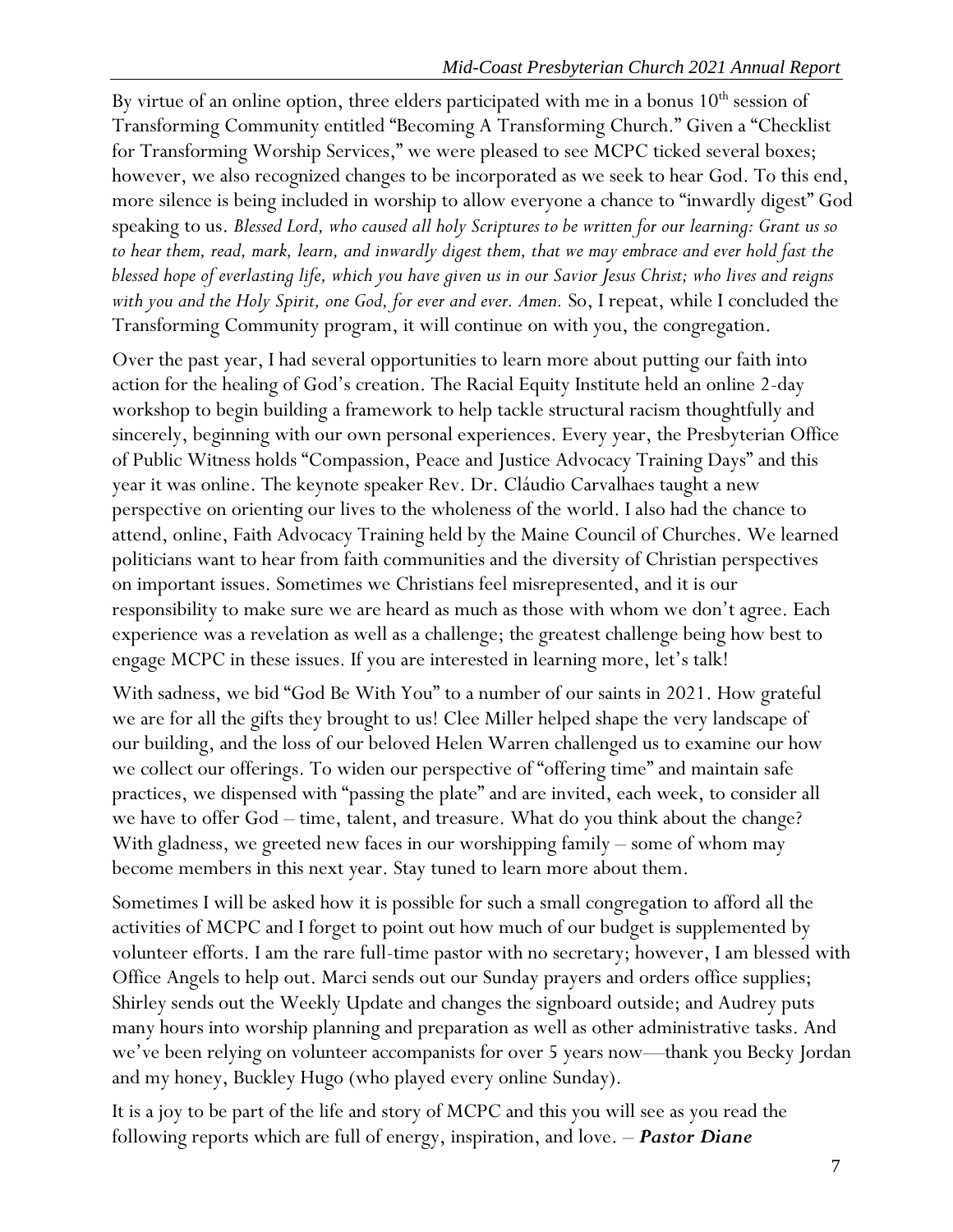By virtue of an online option, three elders participated with me in a bonus  $10<sup>th</sup>$  session of Transforming Community entitled "Becoming A Transforming Church." Given a "Checklist for Transforming Worship Services," we were pleased to see MCPC ticked several boxes; however, we also recognized changes to be incorporated as we seek to hear God. To this end, more silence is being included in worship to allow everyone a chance to "inwardly digest" God speaking to us. *Blessed Lord, who caused all holy Scriptures to be written for our learning: Grant us so to hear them, read, mark, learn, and inwardly digest them, that we may embrace and ever hold fast the blessed hope of everlasting life, which you have given us in our Savior Jesus Christ; who lives and reigns with you and the Holy Spirit, one God, for ever and ever. Amen.* So, I repeat, while I concluded the Transforming Community program, it will continue on with you, the congregation.

Over the past year, I had several opportunities to learn more about putting our faith into action for the healing of God's creation. The Racial Equity Institute held an online 2-day workshop to begin building a framework to help tackle structural racism thoughtfully and sincerely, beginning with our own personal experiences. Every year, the Presbyterian Office of Public Witness holds "Compassion, Peace and Justice Advocacy Training Days" and this year it was online. The keynote speaker Rev. Dr. Cláudio Carvalhaes taught a new perspective on orienting our lives to the wholeness of the world. I also had the chance to attend, online, Faith Advocacy Training held by the Maine Council of Churches. We learned politicians want to hear from faith communities and the diversity of Christian perspectives on important issues. Sometimes we Christians feel misrepresented, and it is our responsibility to make sure we are heard as much as those with whom we don't agree. Each experience was a revelation as well as a challenge; the greatest challenge being how best to engage MCPC in these issues. If you are interested in learning more, let's talk!

With sadness, we bid "God Be With You" to a number of our saints in 2021. How grateful we are for all the gifts they brought to us! Clee Miller helped shape the very landscape of our building, and the loss of our beloved Helen Warren challenged us to examine our how we collect our offerings. To widen our perspective of "offering time" and maintain safe practices, we dispensed with "passing the plate" and are invited, each week, to consider all we have to offer God – time, talent, and treasure. What do you think about the change? With gladness, we greeted new faces in our worshipping family – some of whom may become members in this next year. Stay tuned to learn more about them.

Sometimes I will be asked how it is possible for such a small congregation to afford all the activities of MCPC and I forget to point out how much of our budget is supplemented by volunteer efforts. I am the rare full-time pastor with no secretary; however, I am blessed with Office Angels to help out. Marci sends out our Sunday prayers and orders office supplies; Shirley sends out the Weekly Update and changes the signboard outside; and Audrey puts many hours into worship planning and preparation as well as other administrative tasks. And we've been relying on volunteer accompanists for over 5 years now—thank you Becky Jordan and my honey, Buckley Hugo (who played every online Sunday).

It is a joy to be part of the life and story of MCPC and this you will see as you read the following reports which are full of energy, inspiration, and love. – *Pastor Diane*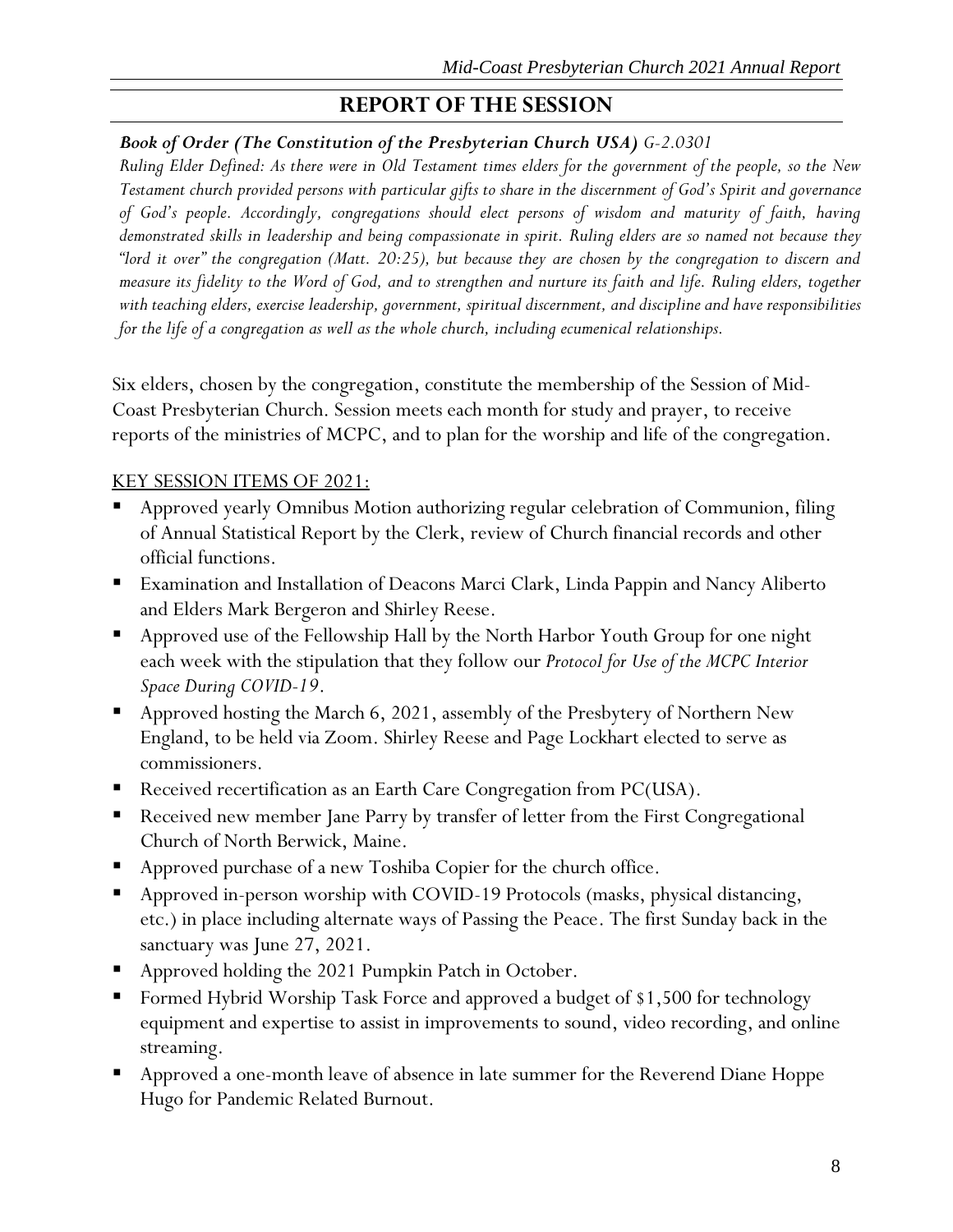# **REPORT OF THE SESSION**

### <span id="page-8-0"></span>*Book of Order (The Constitution of the Presbyterian Church USA) G-2.0301*

*Ruling Elder Defined: As there were in Old Testament times elders for the government of the people, so the New Testament church provided persons with particular gifts to share in the discernment of God's Spirit and governance of God's people. Accordingly, congregations should elect persons of wisdom and maturity of faith, having demonstrated skills in leadership and being compassionate in spirit. Ruling elders are so named not because they "lord it over" the congregation (Matt. 20:25), but because they are chosen by the congregation to discern and measure its fidelity to the Word of God, and to strengthen and nurture its faith and life. Ruling elders, together with teaching elders, exercise leadership, government, spiritual discernment, and discipline and have responsibilities for the life of a congregation as well as the whole church, including ecumenical relationships.*

Six elders, chosen by the congregation, constitute the membership of the Session of Mid-Coast Presbyterian Church. Session meets each month for study and prayer, to receive reports of the ministries of MCPC, and to plan for the worship and life of the congregation.

### KEY SESSION ITEMS OF 2021:

- Approved yearly Omnibus Motion authorizing regular celebration of Communion, filing of Annual Statistical Report by the Clerk, review of Church financial records and other official functions.
- Examination and Installation of Deacons Marci Clark, Linda Pappin and Nancy Aliberto and Elders Mark Bergeron and Shirley Reese.
- Approved use of the Fellowship Hall by the North Harbor Youth Group for one night each week with the stipulation that they follow our *Protocol for Use of the MCPC Interior Space During COVID-19*.
- Approved hosting the March 6, 2021, assembly of the Presbytery of Northern New England, to be held via Zoom. Shirley Reese and Page Lockhart elected to serve as commissioners.
- Received recertification as an Earth Care Congregation from PC(USA).
- Received new member Jane Parry by transfer of letter from the First Congregational Church of North Berwick, Maine.
- Approved purchase of a new Toshiba Copier for the church office.
- Approved in-person worship with COVID-19 Protocols (masks, physical distancing, etc.) in place including alternate ways of Passing the Peace. The first Sunday back in the sanctuary was June 27, 2021.
- Approved holding the 2021 Pumpkin Patch in October.
- Formed Hybrid Worship Task Force and approved a budget of \$1,500 for technology equipment and expertise to assist in improvements to sound, video recording, and online streaming.
- Approved a one-month leave of absence in late summer for the Reverend Diane Hoppe Hugo for Pandemic Related Burnout.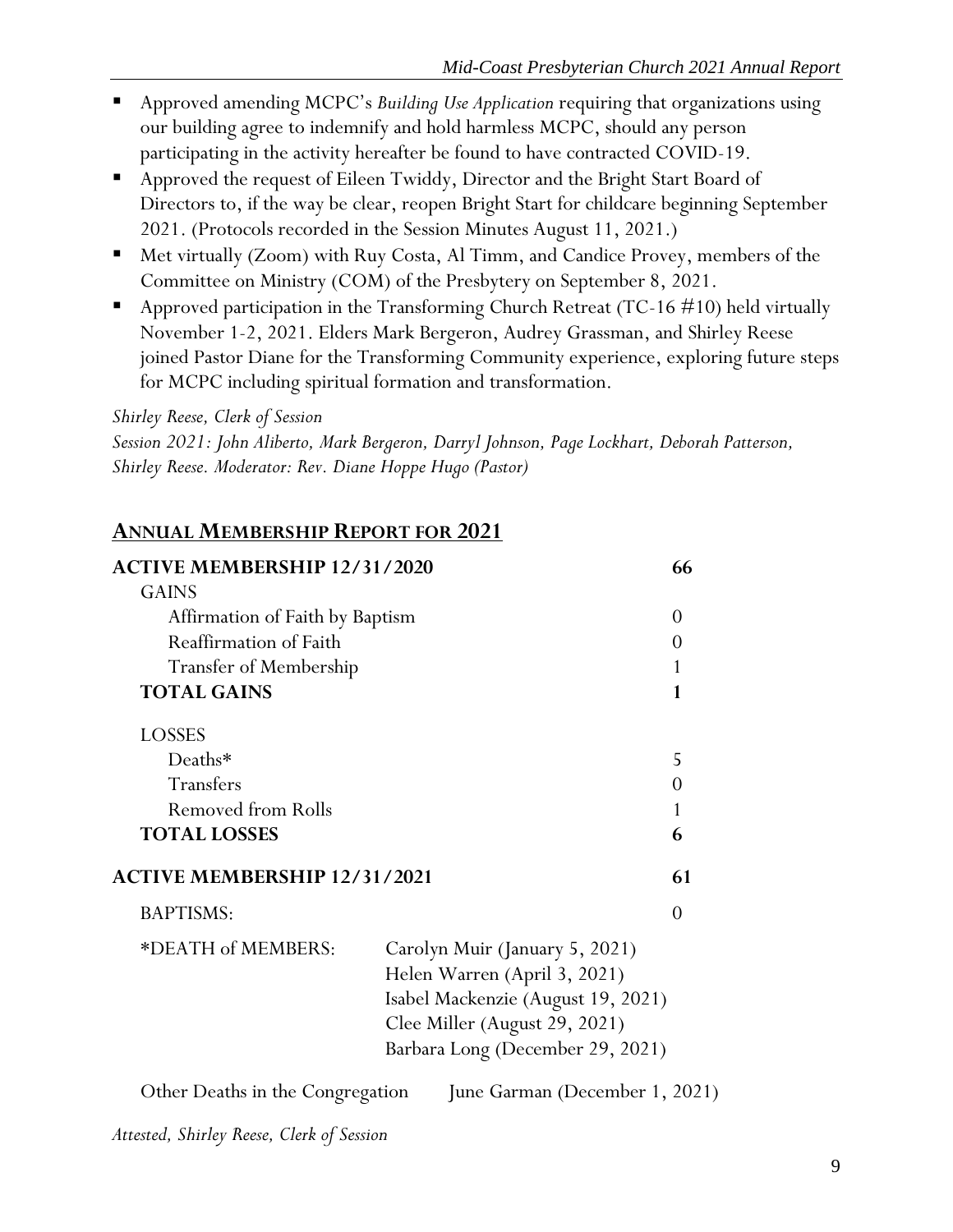- Approved amending MCPC's *Building Use Application* requiring that organizations using our building agree to indemnify and hold harmless MCPC, should any person participating in the activity hereafter be found to have contracted COVID-19.
- Approved the request of Eileen Twiddy, Director and the Bright Start Board of Directors to, if the way be clear, reopen Bright Start for childcare beginning September 2021. (Protocols recorded in the Session Minutes August 11, 2021.)
- Met virtually (Zoom) with Ruy Costa, Al Timm, and Candice Provey, members of the Committee on Ministry (COM) of the Presbytery on September 8, 2021.
- **•** Approved participation in the Transforming Church Retreat (TC-16  $\#10$ ) held virtually November 1-2, 2021. Elders Mark Bergeron, Audrey Grassman, and Shirley Reese joined Pastor Diane for the Transforming Community experience, exploring future steps for MCPC including spiritual formation and transformation.

*Shirley Reese, Clerk of Session*

*Session 2021: John Aliberto, Mark Bergeron, Darryl Johnson, Page Lockhart, Deborah Patterson, Shirley Reese. Moderator: Rev. Diane Hoppe Hugo (Pastor)*

# <span id="page-9-0"></span>**ANNUAL MEMBERSHIP REPORT FOR 2021**

| <b>ACTIVE MEMBERSHIP 12/31/2020</b> |                                    | 66       |
|-------------------------------------|------------------------------------|----------|
| <b>GAINS</b>                        |                                    |          |
| Affirmation of Faith by Baptism     |                                    | $\Omega$ |
| Reaffirmation of Faith              |                                    | $\theta$ |
| <b>Transfer of Membership</b>       |                                    | 1        |
| <b>TOTAL GAINS</b>                  |                                    | 1        |
| <b>LOSSES</b>                       |                                    |          |
| Deaths*                             |                                    | 5        |
| Transfers                           |                                    | $\theta$ |
| Removed from Rolls                  |                                    | 1        |
| <b>TOTAL LOSSES</b>                 |                                    | 6        |
| <b>ACTIVE MEMBERSHIP 12/31/2021</b> |                                    | 61       |
| <b>BAPTISMS:</b>                    |                                    | $\Omega$ |
| *DEATH of MEMBERS:                  | Carolyn Muir (January 5, 2021)     |          |
|                                     | Helen Warren (April 3, 2021)       |          |
|                                     | Isabel Mackenzie (August 19, 2021) |          |
|                                     | Clee Miller (August 29, 2021)      |          |
|                                     | Barbara Long (December 29, 2021)   |          |
| Other Deaths in the Congregation    | June Garman (December 1, 2021)     |          |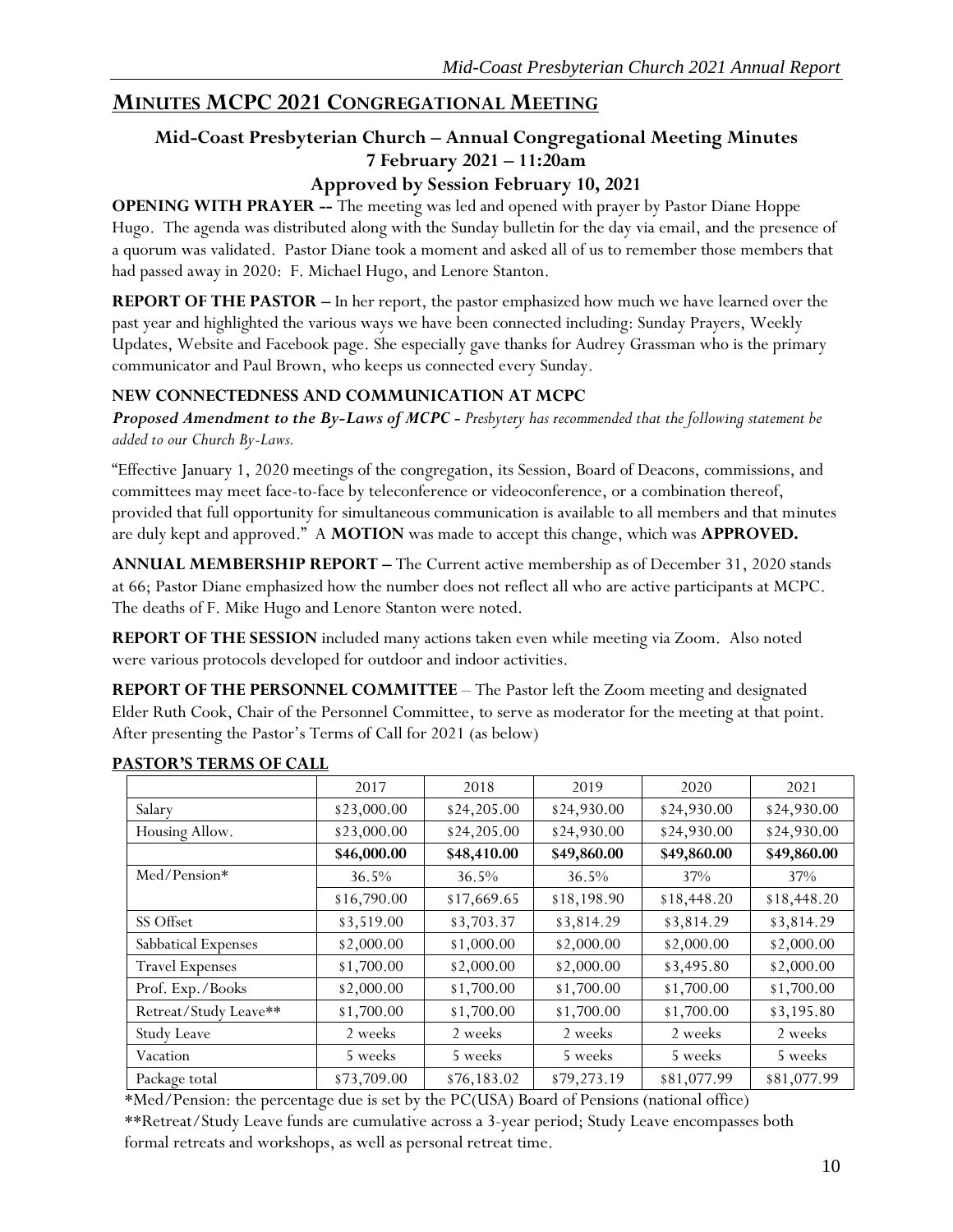# <span id="page-10-0"></span>**MINUTES MCPC 2021 CONGREGATIONAL MEETING**

# **Mid-Coast Presbyterian Church – Annual Congregational Meeting Minutes 7 February 2021 – 11:20am**

### **Approved by Session February 10, 2021**

**OPENING WITH PRAYER --** The meeting was led and opened with prayer by Pastor Diane Hoppe Hugo. The agenda was distributed along with the Sunday bulletin for the day via email, and the presence of a quorum was validated. Pastor Diane took a moment and asked all of us to remember those members that had passed away in 2020: F. Michael Hugo, and Lenore Stanton.

**REPORT OF THE PASTOR –** In her report, the pastor emphasized how much we have learned over the past year and highlighted the various ways we have been connected including: Sunday Prayers, Weekly Updates, Website and Facebook page. She especially gave thanks for Audrey Grassman who is the primary communicator and Paul Brown, who keeps us connected every Sunday.

### **NEW CONNECTEDNESS AND COMMUNICATION AT MCPC**

*Proposed Amendment to the By-Laws of MCPC - Presbytery has recommended that the following statement be added to our Church By-Laws.*

"Effective January 1, 2020 meetings of the congregation, its Session, Board of Deacons, commissions, and committees may meet face-to-face by teleconference or videoconference, or a combination thereof, provided that full opportunity for simultaneous communication is available to all members and that minutes are duly kept and approved." A **MOTION** was made to accept this change, which was **APPROVED.**

**ANNUAL MEMBERSHIP REPORT –** The Current active membership as of December 31, 2020 stands at 66; Pastor Diane emphasized how the number does not reflect all who are active participants at MCPC. The deaths of F. Mike Hugo and Lenore Stanton were noted.

**REPORT OF THE SESSION** included many actions taken even while meeting via Zoom. Also noted were various protocols developed for outdoor and indoor activities.

**REPORT OF THE PERSONNEL COMMITTEE** – The Pastor left the Zoom meeting and designated Elder Ruth Cook, Chair of the Personnel Committee, to serve as moderator for the meeting at that point. After presenting the Pastor's Terms of Call for 2021 (as below)

|                        | 2017        | 2018        | 2019        | 2020        | 2021        |
|------------------------|-------------|-------------|-------------|-------------|-------------|
| Salary                 | \$23,000.00 | \$24,205.00 | \$24,930.00 | \$24,930.00 | \$24,930.00 |
| Housing Allow.         | \$23,000.00 | \$24,205.00 | \$24,930.00 | \$24,930.00 | \$24,930.00 |
|                        | \$46,000.00 | \$48,410.00 | \$49,860.00 | \$49,860.00 | \$49,860.00 |
| Med/Pension*           | 36.5%       | 36.5%       | 36.5%       | 37%         | 37%         |
|                        | \$16,790.00 | \$17,669.65 | \$18,198.90 | \$18,448.20 | \$18,448.20 |
| SS Offset              | \$3,519.00  | \$3,703.37  | \$3,814.29  | \$3,814.29  | \$3,814.29  |
| Sabbatical Expenses    | \$2,000.00  | \$1,000.00  | \$2,000.00  | \$2,000.00  | \$2,000.00  |
| <b>Travel Expenses</b> | \$1,700.00  | \$2,000.00  | \$2,000.00  | \$3,495.80  | \$2,000.00  |
| Prof. Exp./Books       | \$2,000.00  | \$1,700.00  | \$1,700.00  | \$1,700.00  | \$1,700.00  |
| Retreat/Study Leave**  | \$1,700.00  | \$1,700.00  | \$1,700.00  | \$1,700.00  | \$3,195.80  |
| <b>Study Leave</b>     | 2 weeks     | 2 weeks     | 2 weeks     | 2 weeks     | 2 weeks     |
| Vacation               | 5 weeks     | 5 weeks     | 5 weeks     | 5 weeks     | 5 weeks     |
| Package total          | \$73,709.00 | \$76,183.02 | \$79,273.19 | \$81,077.99 | \$81,077.99 |

#### **PASTOR'S TERMS OF CALL**

\*Med/Pension: the percentage due is set by the PC(USA) Board of Pensions (national office) \*\*Retreat/Study Leave funds are cumulative across a 3-year period; Study Leave encompasses both formal retreats and workshops, as well as personal retreat time.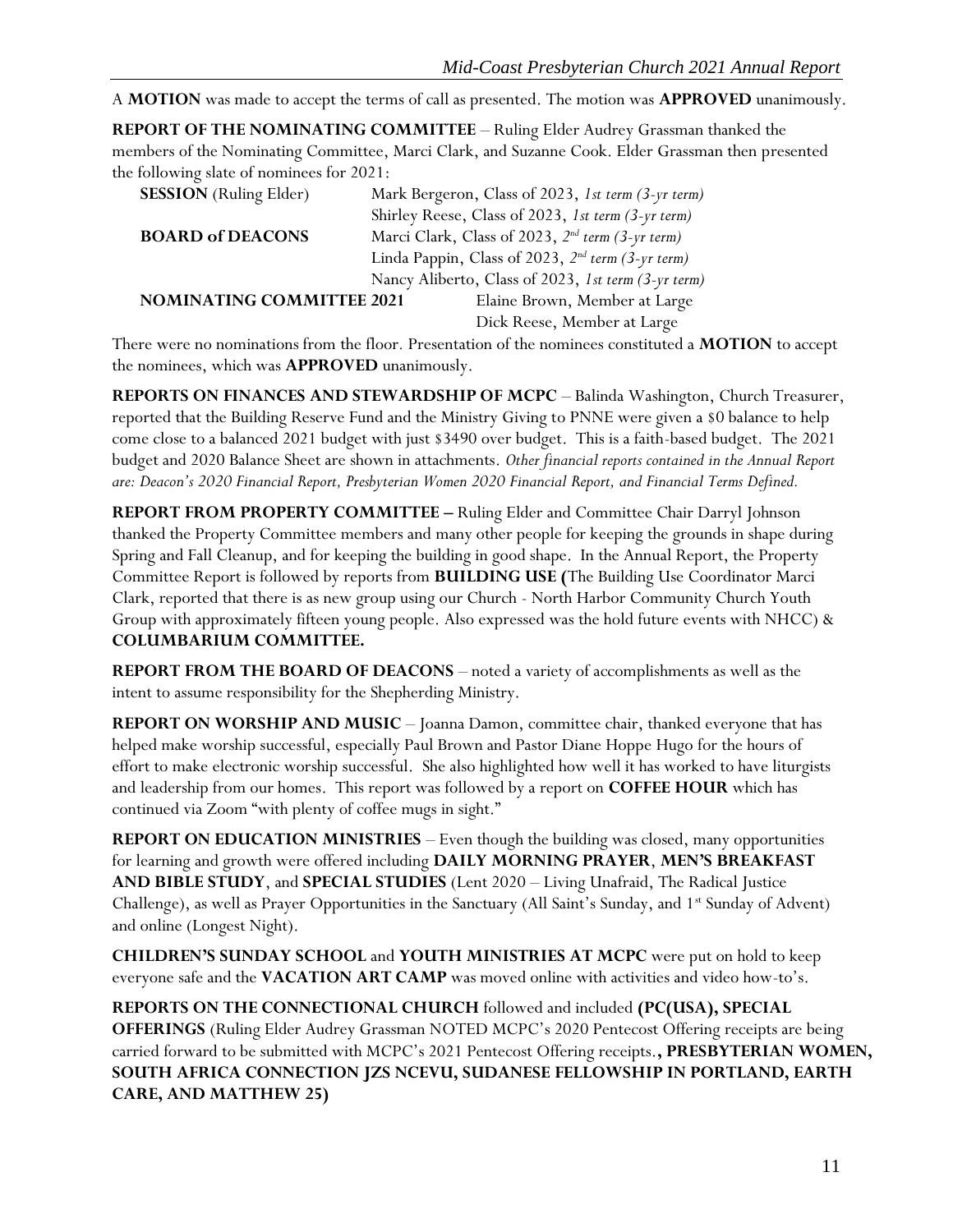A **MOTION** was made to accept the terms of call as presented. The motion was **APPROVED** unanimously.

**REPORT OF THE NOMINATING COMMITTEE** – Ruling Elder Audrey Grassman thanked the members of the Nominating Committee, Marci Clark, and Suzanne Cook. Elder Grassman then presented the following slate of nominees for 2021:

| <b>SESSION</b> (Ruling Elder)    |                                                              | Mark Bergeron, Class of 2023, 1st term (3-yr term)            |  |  |  |
|----------------------------------|--------------------------------------------------------------|---------------------------------------------------------------|--|--|--|
|                                  |                                                              | Shirley Reese, Class of 2023, 1st term (3-yr term)            |  |  |  |
| <b>BOARD of DEACONS</b>          | Marci Clark, Class of 2023, 2 <sup>nd</sup> term (3-yr term) |                                                               |  |  |  |
|                                  |                                                              | Linda Pappin, Class of 2023, 2 <sup>nd</sup> term (3-yr term) |  |  |  |
|                                  |                                                              | Nancy Aliberto, Class of 2023, 1st term (3-yr term)           |  |  |  |
| <b>NOMINATING COMMITTEE 2021</b> |                                                              | Elaine Brown, Member at Large                                 |  |  |  |
|                                  |                                                              | Dick Reese, Member at Large                                   |  |  |  |

There were no nominations from the floor*.* Presentation of the nominees constituted a **MOTION** to accept the nominees, which was **APPROVED** unanimously.

**REPORTS ON FINANCES AND STEWARDSHIP OF MCPC** – Balinda Washington, Church Treasurer, reported that the Building Reserve Fund and the Ministry Giving to PNNE were given a \$0 balance to help come close to a balanced 2021 budget with just \$3490 over budget. This is a faith-based budget. The 2021 budget and 2020 Balance Sheet are shown in attachments. *Other financial reports contained in the Annual Report are: Deacon's 2020 Financial Report, Presbyterian Women 2020 Financial Report, and Financial Terms Defined.*

**REPORT FROM PROPERTY COMMITTEE –** Ruling Elder and Committee Chair Darryl Johnson thanked the Property Committee members and many other people for keeping the grounds in shape during Spring and Fall Cleanup, and for keeping the building in good shape. In the Annual Report, the Property Committee Report is followed by reports from **BUILDING USE (**The Building Use Coordinator Marci Clark, reported that there is as new group using our Church - North Harbor Community Church Youth Group with approximately fifteen young people. Also expressed was the hold future events with NHCC) & **COLUMBARIUM COMMITTEE.**

**REPORT FROM THE BOARD OF DEACONS** – noted a variety of accomplishments as well as the intent to assume responsibility for the Shepherding Ministry.

**REPORT ON WORSHIP AND MUSIC** – Joanna Damon, committee chair, thanked everyone that has helped make worship successful, especially Paul Brown and Pastor Diane Hoppe Hugo for the hours of effort to make electronic worship successful. She also highlighted how well it has worked to have liturgists and leadership from our homes. This report was followed by a report on **COFFEE HOUR** which has continued via Zoom "with plenty of coffee mugs in sight."

**REPORT ON EDUCATION MINISTRIES** – Even though the building was closed, many opportunities for learning and growth were offered including **DAILY MORNING PRAYER**, **MEN'S BREAKFAST AND BIBLE STUDY**, and **SPECIAL STUDIES** (Lent 2020 – Living Unafraid, The Radical Justice Challenge), as well as Prayer Opportunities in the Sanctuary (All Saint's Sunday, and  $1<sup>st</sup>$  Sunday of Advent) and online (Longest Night).

**CHILDREN'S SUNDAY SCHOOL** and **YOUTH MINISTRIES AT MCPC** were put on hold to keep everyone safe and the **VACATION ART CAMP** was moved online with activities and video how-to's.

**REPORTS ON THE CONNECTIONAL CHURCH** followed and included **(PC(USA), SPECIAL OFFERINGS** (Ruling Elder Audrey Grassman NOTED MCPC's 2020 Pentecost Offering receipts are being carried forward to be submitted with MCPC's 2021 Pentecost Offering receipts.**, PRESBYTERIAN WOMEN, SOUTH AFRICA CONNECTION JZS NCEVU, SUDANESE FELLOWSHIP IN PORTLAND, EARTH CARE, AND MATTHEW 25)**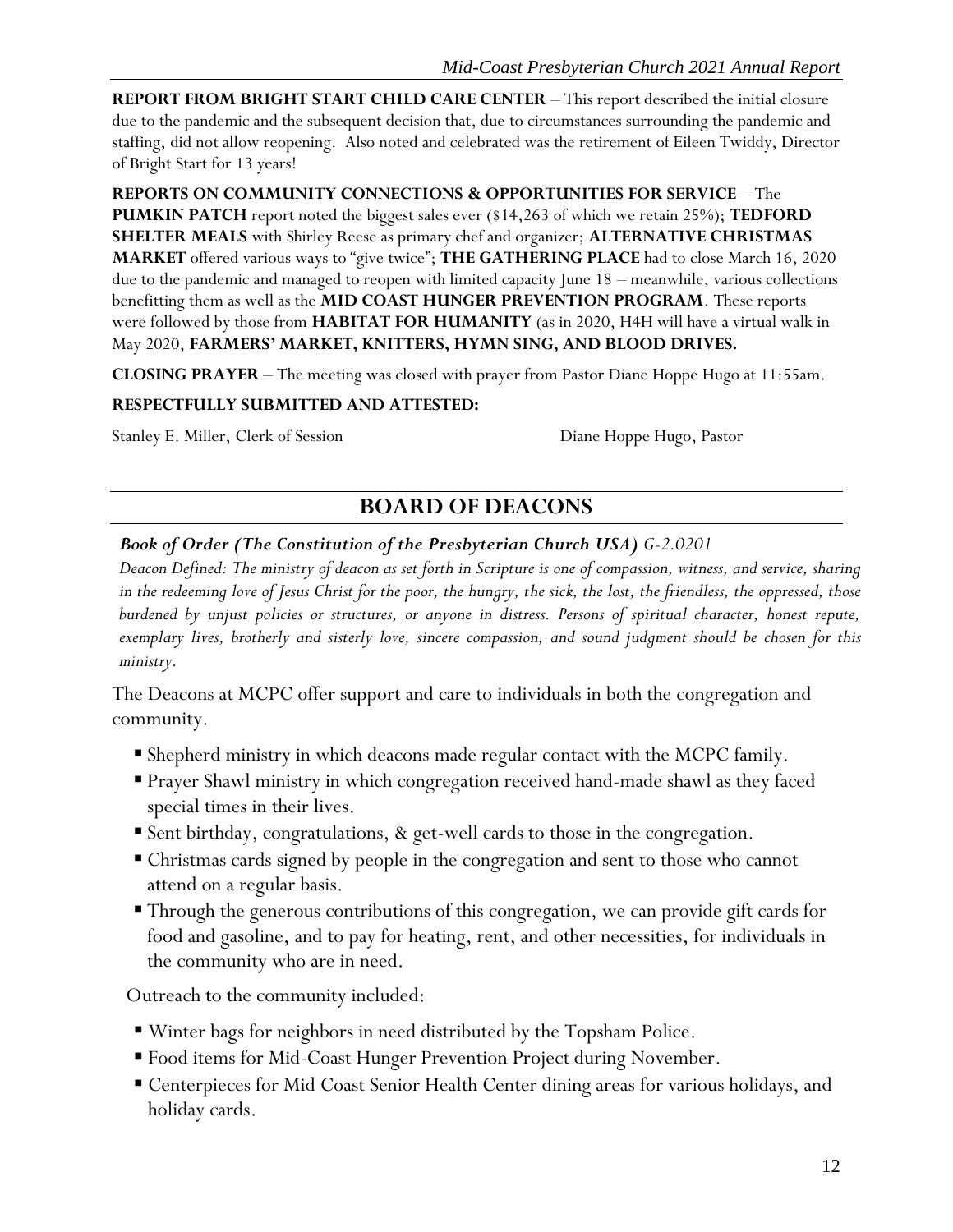**REPORT FROM BRIGHT START CHILD CARE CENTER** – This report described the initial closure due to the pandemic and the subsequent decision that, due to circumstances surrounding the pandemic and staffing, did not allow reopening. Also noted and celebrated was the retirement of Eileen Twiddy, Director of Bright Start for 13 years!

**REPORTS ON COMMUNITY CONNECTIONS & OPPORTUNITIES FOR SERVICE** – The **PUMKIN PATCH** report noted the biggest sales ever (\$14,263 of which we retain 25%); **TEDFORD SHELTER MEALS** with Shirley Reese as primary chef and organizer; **ALTERNATIVE CHRISTMAS MARKET** offered various ways to "give twice"; **THE GATHERING PLACE** had to close March 16, 2020 due to the pandemic and managed to reopen with limited capacity June 18 – meanwhile, various collections benefitting them as well as the **MID COAST HUNGER PREVENTION PROGRAM**. These reports were followed by those from **HABITAT FOR HUMANITY** (as in 2020, H4H will have a virtual walk in May 2020, **FARMERS' MARKET, KNITTERS, HYMN SING, AND BLOOD DRIVES.**

**CLOSING PRAYER** – The meeting was closed with prayer from Pastor Diane Hoppe Hugo at 11:55am.

#### **RESPECTFULLY SUBMITTED AND ATTESTED:**

<span id="page-12-0"></span>Stanley E. Miller, Clerk of Session Diane Hoppe Hugo, Pastor

# **BOARD OF DEACONS**

### *Book of Order (The Constitution of the Presbyterian Church USA) G-2.0201*

*Deacon Defined: The ministry of deacon as set forth in Scripture is one of compassion, witness, and service, sharing in the redeeming love of Jesus Christ for the poor, the hungry, the sick, the lost, the friendless, the oppressed, those burdened by unjust policies or structures, or anyone in distress. Persons of spiritual character, honest repute, exemplary lives, brotherly and sisterly love, sincere compassion, and sound judgment should be chosen for this ministry.*

The Deacons at MCPC offer support and care to individuals in both the congregation and community.

- Shepherd ministry in which deacons made regular contact with the MCPC family.
- Prayer Shawl ministry in which congregation received hand-made shawl as they faced special times in their lives.
- Sent birthday, congratulations, & get-well cards to those in the congregation.
- Christmas cards signed by people in the congregation and sent to those who cannot attend on a regular basis.
- Through the generous contributions of this congregation, we can provide gift cards for food and gasoline, and to pay for heating, rent, and other necessities, for individuals in the community who are in need.

Outreach to the community included:

- Winter bags for neighbors in need distributed by the Topsham Police.
- Food items for Mid-Coast Hunger Prevention Project during November.
- Centerpieces for Mid Coast Senior Health Center dining areas for various holidays, and holiday cards.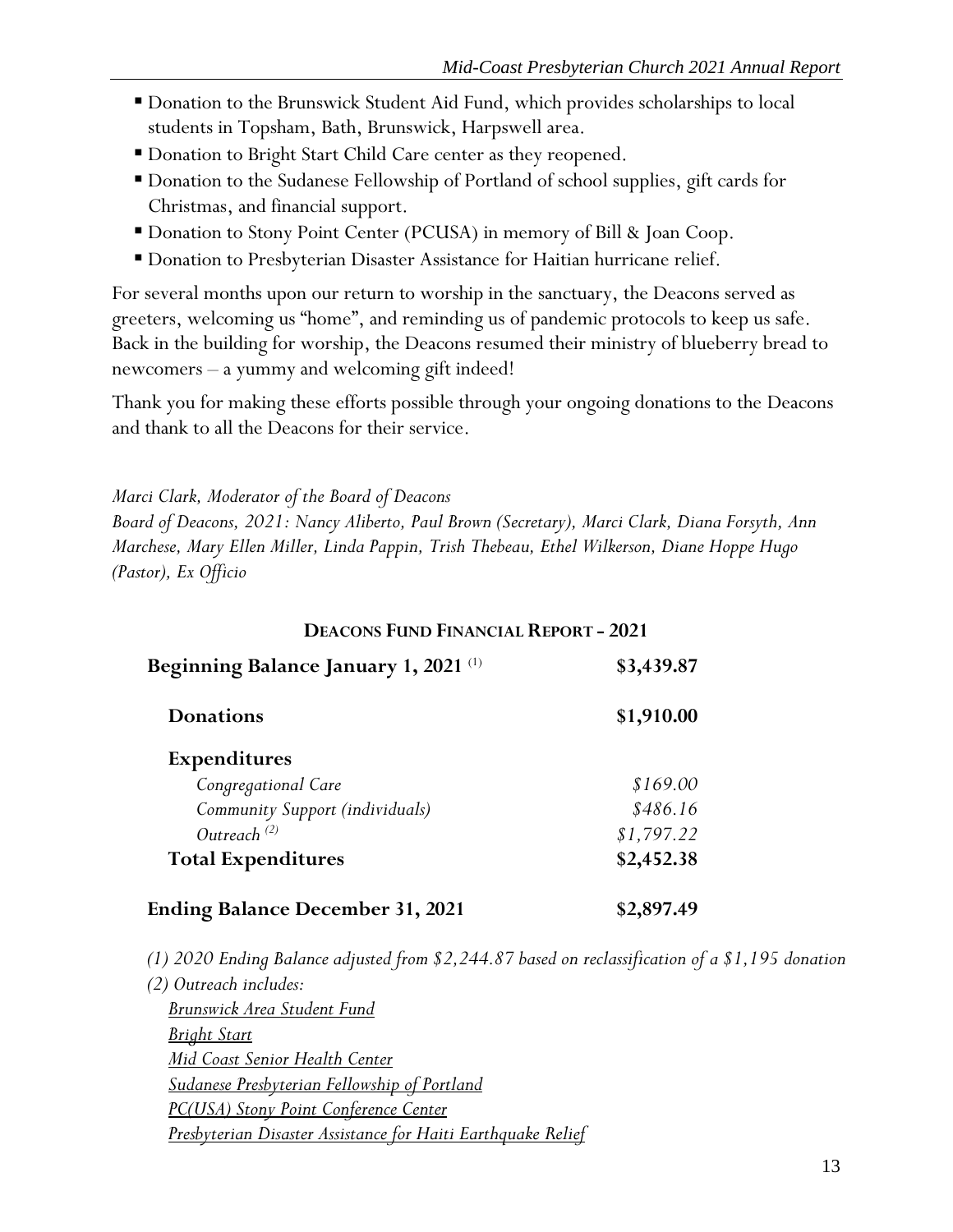- Donation to the Brunswick Student Aid Fund, which provides scholarships to local students in Topsham, Bath, Brunswick, Harpswell area.
- Donation to Bright Start Child Care center as they reopened.
- Donation to the Sudanese Fellowship of Portland of school supplies, gift cards for Christmas, and financial support.
- Donation to Stony Point Center (PCUSA) in memory of Bill & Joan Coop.
- **Donation to Presbyterian Disaster Assistance for Haitian hurricane relief.**

For several months upon our return to worship in the sanctuary, the Deacons served as greeters, welcoming us "home", and reminding us of pandemic protocols to keep us safe. Back in the building for worship, the Deacons resumed their ministry of blueberry bread to newcomers – a yummy and welcoming gift indeed!

Thank you for making these efforts possible through your ongoing donations to the Deacons and thank to all the Deacons for their service.

*Marci Clark, Moderator of the Board of Deacons*

*Board of Deacons, 2021: Nancy Aliberto, Paul Brown (Secretary), Marci Clark, Diana Forsyth, Ann Marchese, Mary Ellen Miller, Linda Pappin, Trish Thebeau, Ethel Wilkerson, Diane Hoppe Hugo (Pastor), Ex Officio*

# **DEACONS FUND FINANCIAL REPORT - 2021 Beginning Balance January 1, 2021** <sup>(1)</sup> \$3,439.87 **Donations \$1,910.00 Expenditures** *Congregational Care \$169.00 Community Support (individuals) \$486.16 Outreach (2) \$1,797.22* **Total Expenditures \$2,452.38 Ending Balance December 31, 2021 \$2,897.49**

*(1) 2020 Ending Balance adjusted from \$2,244.87 based on reclassification of a \$1,195 donation*

*(2) Outreach includes: Brunswick Area Student Fund Bright Start Mid Coast Senior Health Center Sudanese Presbyterian Fellowship of Portland PC(USA) Stony Point Conference Center Presbyterian Disaster Assistance for Haiti Earthquake Relief*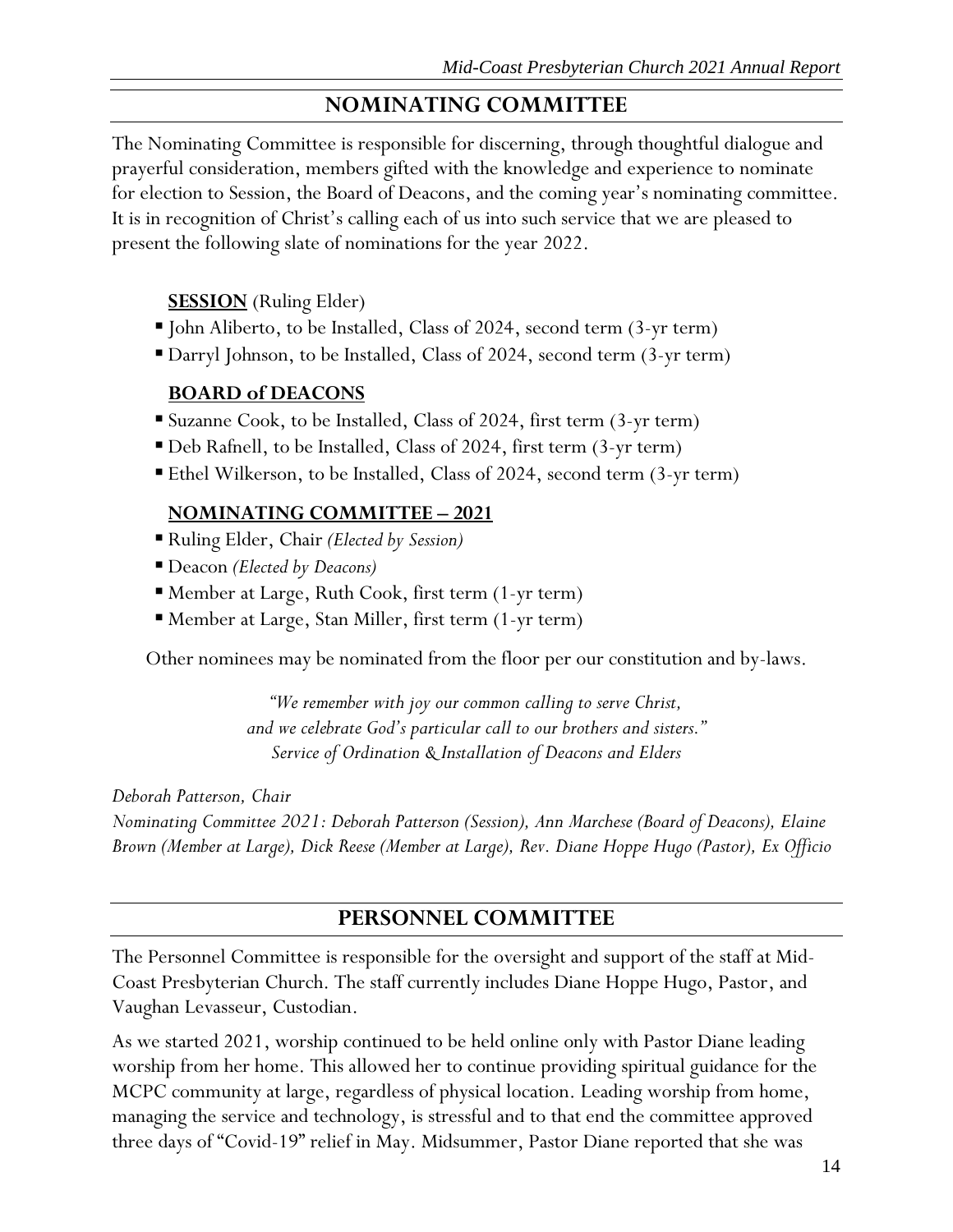# **NOMINATING COMMITTEE**

<span id="page-14-0"></span>The Nominating Committee is responsible for discerning, through thoughtful dialogue and prayerful consideration, members gifted with the knowledge and experience to nominate for election to Session, the Board of Deacons, and the coming year's nominating committee. It is in recognition of Christ's calling each of us into such service that we are pleased to present the following slate of nominations for the year 2022.

### **SESSION** (Ruling Elder)

- John Aliberto, to be Installed, Class of 2024, second term (3-yr term)
- Darryl Johnson, to be Installed, Class of 2024, second term (3-yr term)

### **BOARD of DEACONS**

- Suzanne Cook, to be Installed, Class of 2024, first term (3-yr term)
- Deb Rafnell, to be Installed, Class of 2024, first term (3-yr term)
- Ethel Wilkerson, to be Installed, Class of 2024, second term (3-yr term)

### **NOMINATING COMMITTEE – 2021**

- Ruling Elder, Chair *(Elected by Session)*
- Deacon *(Elected by Deacons)*
- Member at Large, Ruth Cook, first term (1-yr term)
- Member at Large, Stan Miller, first term (1-yr term)

Other nominees may be nominated from the floor per our constitution and by-laws.

*"We remember with joy our common calling to serve Christ, and we celebrate God's particular call to our brothers and sisters." Service of Ordination & Installation of Deacons and Elders*

*Deborah Patterson, Chair*

*Nominating Committee 2021: Deborah Patterson (Session), Ann Marchese (Board of Deacons), Elaine Brown (Member at Large), Dick Reese (Member at Large), Rev. Diane Hoppe Hugo (Pastor), Ex Officio*

### **PERSONNEL COMMITTEE**

<span id="page-14-1"></span>The Personnel Committee is responsible for the oversight and support of the staff at Mid-Coast Presbyterian Church. The staff currently includes Diane Hoppe Hugo, Pastor, and Vaughan Levasseur, Custodian.

As we started 2021, worship continued to be held online only with Pastor Diane leading worship from her home. This allowed her to continue providing spiritual guidance for the MCPC community at large, regardless of physical location. Leading worship from home, managing the service and technology, is stressful and to that end the committee approved three days of "Covid-19" relief in May. Midsummer, Pastor Diane reported that she was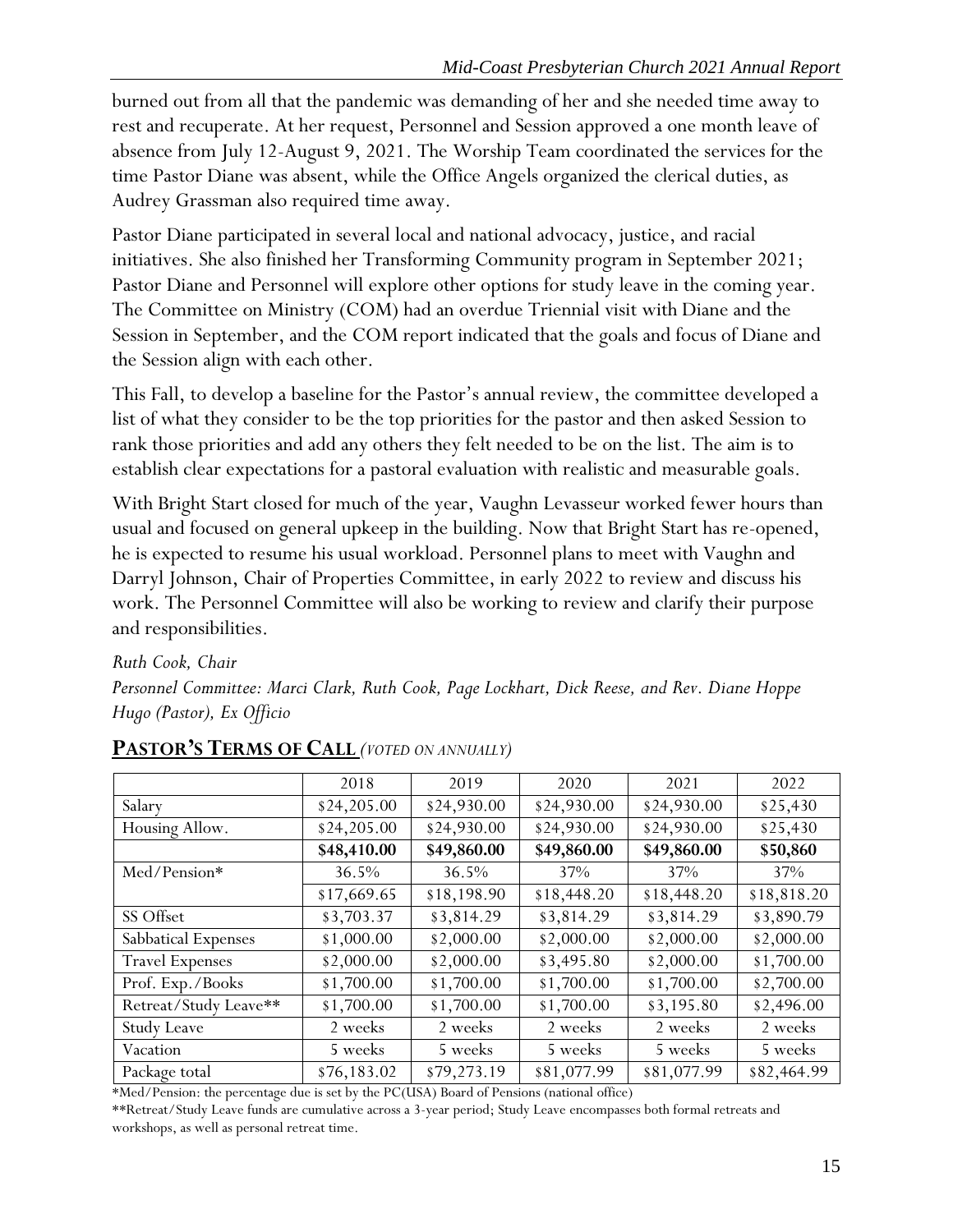burned out from all that the pandemic was demanding of her and she needed time away to rest and recuperate. At her request, Personnel and Session approved a one month leave of absence from July 12-August 9, 2021. The Worship Team coordinated the services for the time Pastor Diane was absent, while the Office Angels organized the clerical duties, as Audrey Grassman also required time away.

Pastor Diane participated in several local and national advocacy, justice, and racial initiatives. She also finished her Transforming Community program in September 2021; Pastor Diane and Personnel will explore other options for study leave in the coming year. The Committee on Ministry (COM) had an overdue Triennial visit with Diane and the Session in September, and the COM report indicated that the goals and focus of Diane and the Session align with each other.

This Fall, to develop a baseline for the Pastor's annual review, the committee developed a list of what they consider to be the top priorities for the pastor and then asked Session to rank those priorities and add any others they felt needed to be on the list. The aim is to establish clear expectations for a pastoral evaluation with realistic and measurable goals.

With Bright Start closed for much of the year, Vaughn Levasseur worked fewer hours than usual and focused on general upkeep in the building. Now that Bright Start has re-opened, he is expected to resume his usual workload. Personnel plans to meet with Vaughn and Darryl Johnson, Chair of Properties Committee, in early 2022 to review and discuss his work. The Personnel Committee will also be working to review and clarify their purpose and responsibilities.

*Ruth Cook, Chair Personnel Committee: Marci Clark, Ruth Cook, Page Lockhart, Dick Reese, and Rev. Diane Hoppe Hugo (Pastor), Ex Officio*

|                        | 2018        | 2019        | 2020        | 2021        | 2022        |
|------------------------|-------------|-------------|-------------|-------------|-------------|
| Salary                 | \$24,205.00 | \$24,930.00 | \$24,930.00 | \$24,930.00 | \$25,430    |
| Housing Allow.         | \$24,205.00 | \$24,930.00 | \$24,930.00 | \$24,930.00 | \$25,430    |
|                        | \$48,410.00 | \$49,860.00 | \$49,860.00 | \$49,860.00 | \$50,860    |
| Med/Pension*           | 36.5%       | 36.5%       | 37%         | 37%         | 37%         |
|                        | \$17,669.65 | \$18,198.90 | \$18,448.20 | \$18,448.20 | \$18,818.20 |
| SS Offset              | \$3,703.37  | \$3,814.29  | \$3,814.29  | \$3,814.29  | \$3,890.79  |
| Sabbatical Expenses    | \$1,000.00  | \$2,000.00  | \$2,000.00  | \$2,000.00  | \$2,000.00  |
| <b>Travel Expenses</b> | \$2,000.00  | \$2,000.00  | \$3,495.80  | \$2,000.00  | \$1,700.00  |
| Prof. Exp./Books       | \$1,700.00  | \$1,700.00  | \$1,700.00  | \$1,700.00  | \$2,700.00  |
| Retreat/Study Leave**  | \$1,700.00  | \$1,700.00  | \$1,700.00  | \$3,195.80  | \$2,496.00  |
| <b>Study Leave</b>     | 2 weeks     | 2 weeks     | 2 weeks     | 2 weeks     | 2 weeks     |
| Vacation               | 5 weeks     | 5 weeks     | 5 weeks     | 5 weeks     | 5 weeks     |
| Package total          | \$76,183.02 | \$79,273.19 | \$81,077.99 | \$81,077.99 | \$82,464.99 |

### <span id="page-15-0"></span>**PASTOR'S TERMS OF CALL** *(VOTED ON ANNUALLY)*

\*Med/Pension: the percentage due is set by the PC(USA) Board of Pensions (national office)

\*\*Retreat/Study Leave funds are cumulative across a 3-year period; Study Leave encompasses both formal retreats and workshops, as well as personal retreat time.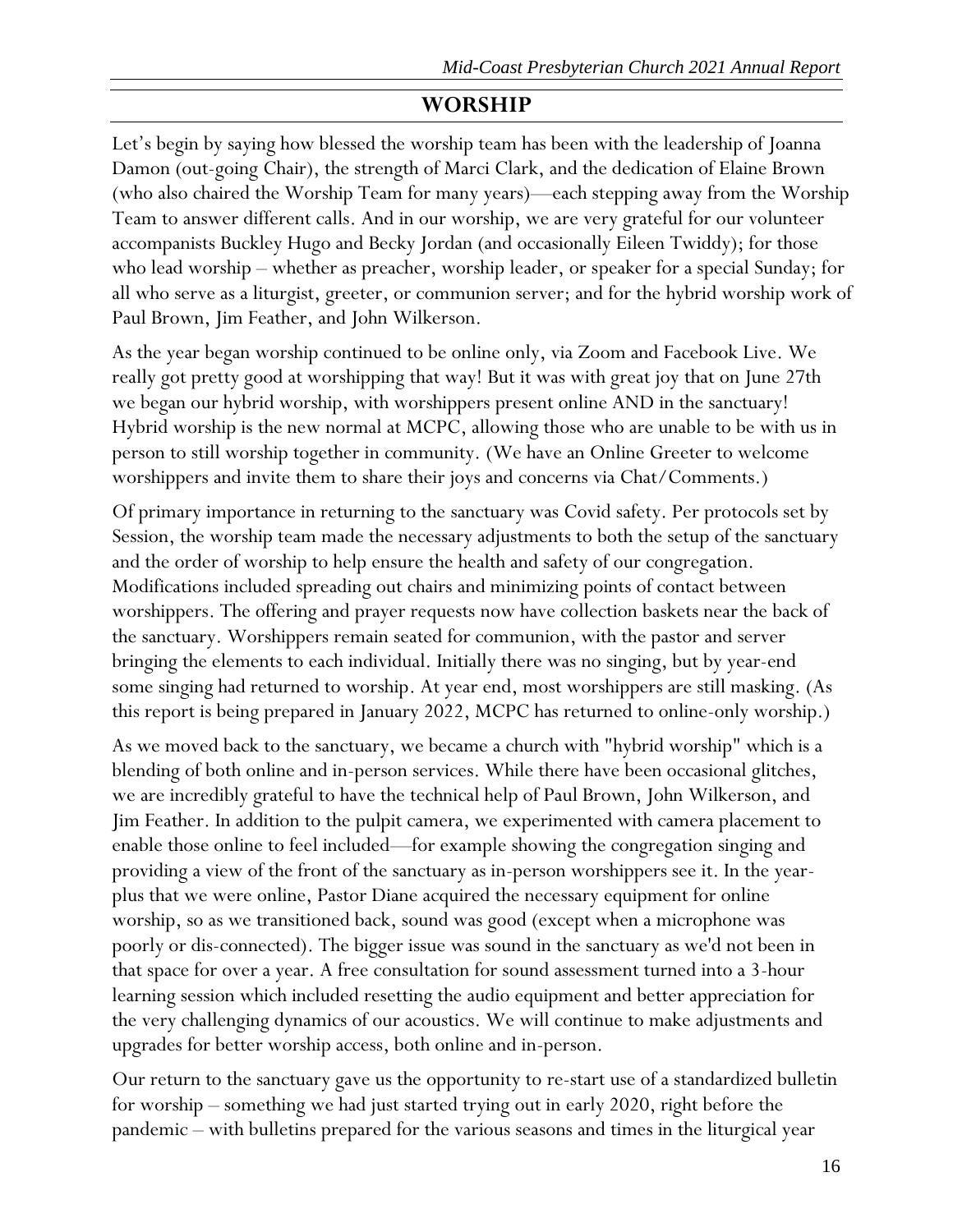# **WORSHIP**

<span id="page-16-0"></span>Let's begin by saying how blessed the worship team has been with the leadership of Joanna Damon (out-going Chair), the strength of Marci Clark, and the dedication of Elaine Brown (who also chaired the Worship Team for many years)—each stepping away from the Worship Team to answer different calls. And in our worship, we are very grateful for our volunteer accompanists Buckley Hugo and Becky Jordan (and occasionally Eileen Twiddy); for those who lead worship – whether as preacher, worship leader, or speaker for a special Sunday; for all who serve as a liturgist, greeter, or communion server; and for the hybrid worship work of Paul Brown, Jim Feather, and John Wilkerson.

As the year began worship continued to be online only, via Zoom and Facebook Live. We really got pretty good at worshipping that way! But it was with great joy that on June 27th we began our hybrid worship, with worshippers present online AND in the sanctuary! Hybrid worship is the new normal at MCPC, allowing those who are unable to be with us in person to still worship together in community. (We have an Online Greeter to welcome worshippers and invite them to share their joys and concerns via Chat/Comments.)

Of primary importance in returning to the sanctuary was Covid safety. Per protocols set by Session, the worship team made the necessary adjustments to both the setup of the sanctuary and the order of worship to help ensure the health and safety of our congregation. Modifications included spreading out chairs and minimizing points of contact between worshippers. The offering and prayer requests now have collection baskets near the back of the sanctuary. Worshippers remain seated for communion, with the pastor and server bringing the elements to each individual. Initially there was no singing, but by year-end some singing had returned to worship. At year end, most worshippers are still masking. (As this report is being prepared in January 2022, MCPC has returned to online-only worship.)

As we moved back to the sanctuary, we became a church with "hybrid worship" which is a blending of both online and in-person services. While there have been occasional glitches, we are incredibly grateful to have the technical help of Paul Brown, John Wilkerson, and Jim Feather. In addition to the pulpit camera, we experimented with camera placement to enable those online to feel included—for example showing the congregation singing and providing a view of the front of the sanctuary as in-person worshippers see it. In the yearplus that we were online, Pastor Diane acquired the necessary equipment for online worship, so as we transitioned back, sound was good (except when a microphone was poorly or dis-connected). The bigger issue was sound in the sanctuary as we'd not been in that space for over a year. A free consultation for sound assessment turned into a 3-hour learning session which included resetting the audio equipment and better appreciation for the very challenging dynamics of our acoustics. We will continue to make adjustments and upgrades for better worship access, both online and in-person.

Our return to the sanctuary gave us the opportunity to re-start use of a standardized bulletin for worship – something we had just started trying out in early 2020, right before the pandemic – with bulletins prepared for the various seasons and times in the liturgical year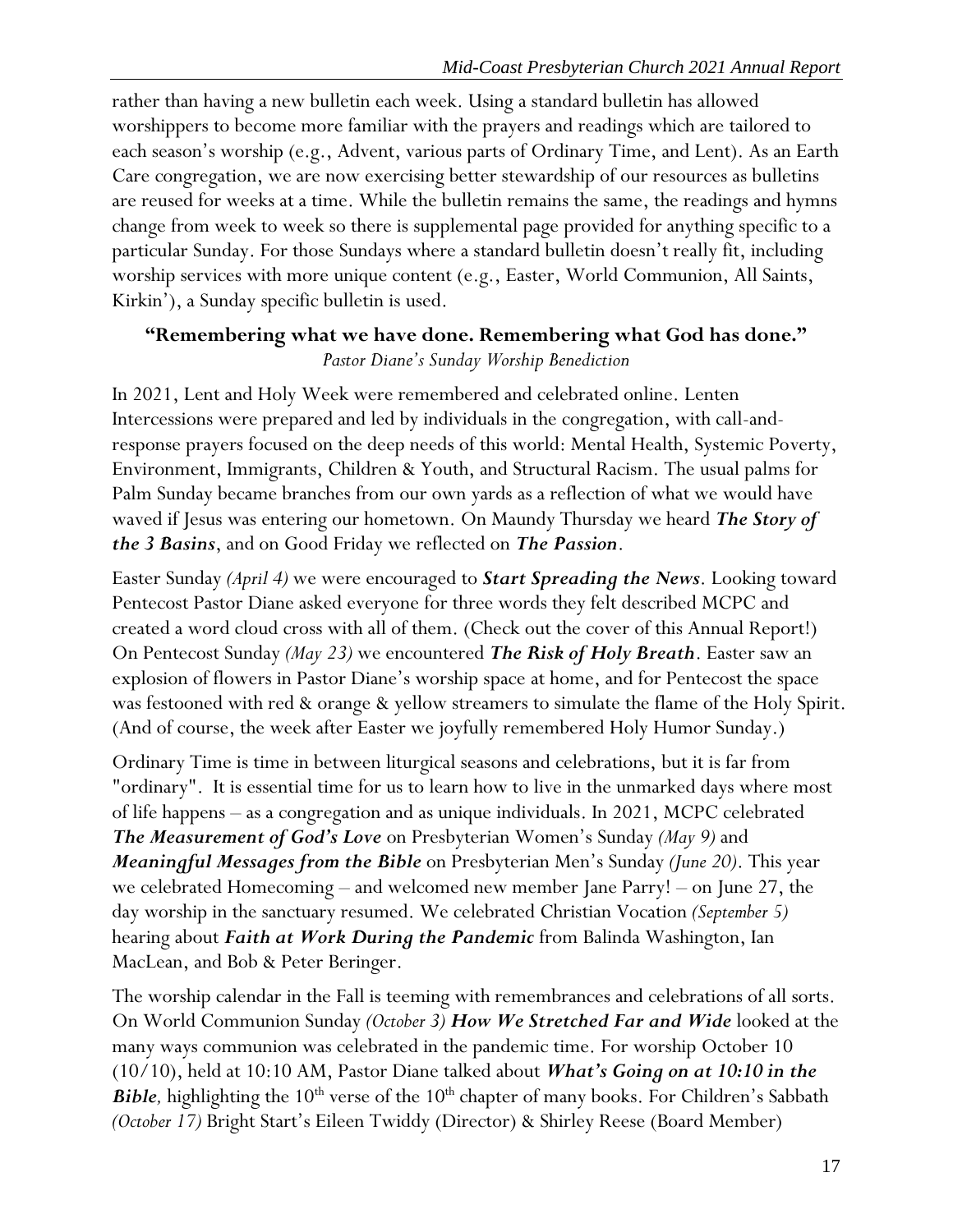rather than having a new bulletin each week. Using a standard bulletin has allowed worshippers to become more familiar with the prayers and readings which are tailored to each season's worship (e.g., Advent, various parts of Ordinary Time, and Lent). As an Earth Care congregation, we are now exercising better stewardship of our resources as bulletins are reused for weeks at a time. While the bulletin remains the same, the readings and hymns change from week to week so there is supplemental page provided for anything specific to a particular Sunday. For those Sundays where a standard bulletin doesn't really fit, including worship services with more unique content (e.g., Easter, World Communion, All Saints, Kirkin'), a Sunday specific bulletin is used.

# **"Remembering what we have done. Remembering what God has done."** *Pastor Diane's Sunday Worship Benediction*

In 2021, Lent and Holy Week were remembered and celebrated online. Lenten Intercessions were prepared and led by individuals in the congregation, with call-andresponse prayers focused on the deep needs of this world: Mental Health, Systemic Poverty, Environment, Immigrants, Children & Youth, and Structural Racism. The usual palms for Palm Sunday became branches from our own yards as a reflection of what we would have waved if Jesus was entering our hometown. On Maundy Thursday we heard *The Story of the 3 Basins*, and on Good Friday we reflected on *The Passion*.

Easter Sunday *(April 4)* we were encouraged to *Start Spreading the News*. Looking toward Pentecost Pastor Diane asked everyone for three words they felt described MCPC and created a word cloud cross with all of them. (Check out the cover of this Annual Report!) On Pentecost Sunday *(May 23)* we encountered *The Risk of Holy Breath*. Easter saw an explosion of flowers in Pastor Diane's worship space at home, and for Pentecost the space was festooned with red & orange & yellow streamers to simulate the flame of the Holy Spirit. (And of course, the week after Easter we joyfully remembered Holy Humor Sunday.)

Ordinary Time is time in between liturgical seasons and celebrations, but it is far from "ordinary". It is essential time for us to learn how to live in the unmarked days where most of life happens – as a congregation and as unique individuals. In 2021, MCPC celebrated *The Measurement of God's Love* on Presbyterian Women's Sunday *(May 9)* and *Meaningful Messages from the Bible* on Presbyterian Men's Sunday *(June 20)*. This year we celebrated Homecoming – and welcomed new member Jane Parry! – on June 27, the day worship in the sanctuary resumed. We celebrated Christian Vocation *(September 5)* hearing about *Faith at Work During the Pandemic* from Balinda Washington, Ian MacLean, and Bob & Peter Beringer.

The worship calendar in the Fall is teeming with remembrances and celebrations of all sorts. On World Communion Sunday *(October 3) How We Stretched Far and Wide* looked at the many ways communion was celebrated in the pandemic time. For worship October 10 (10/10), held at 10:10 AM, Pastor Diane talked about *What's Going on at 10:10 in the*  **Bible**, highlighting the 10<sup>th</sup> verse of the 10<sup>th</sup> chapter of many books. For Children's Sabbath *(October 17)* Bright Start's Eileen Twiddy (Director) & Shirley Reese (Board Member)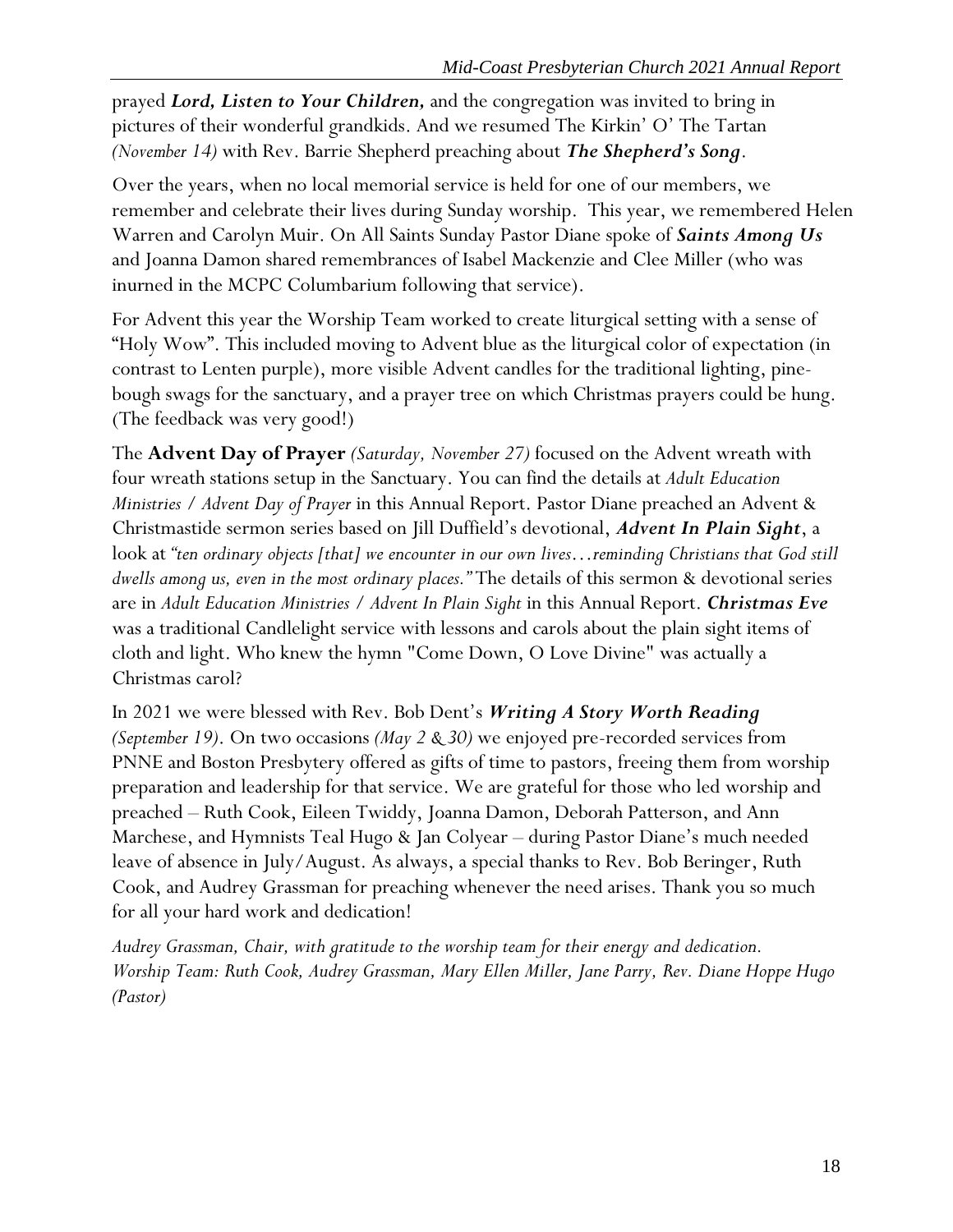prayed *Lord, Listen to Your Children,* and the congregation was invited to bring in pictures of their wonderful grandkids. And we resumed The Kirkin' O' The Tartan *(November 14)* with Rev. Barrie Shepherd preaching about *The Shepherd's Song*.

Over the years, when no local memorial service is held for one of our members, we remember and celebrate their lives during Sunday worship. This year, we remembered Helen Warren and Carolyn Muir. On All Saints Sunday Pastor Diane spoke of *Saints Among Us* and Joanna Damon shared remembrances of Isabel Mackenzie and Clee Miller (who was inurned in the MCPC Columbarium following that service).

For Advent this year the Worship Team worked to create liturgical setting with a sense of "Holy Wow". This included moving to Advent blue as the liturgical color of expectation (in contrast to Lenten purple), more visible Advent candles for the traditional lighting, pinebough swags for the sanctuary, and a prayer tree on which Christmas prayers could be hung. (The feedback was very good!)

The **Advent Day of Prayer** *(Saturday, November 27)* focused on the Advent wreath with four wreath stations setup in the Sanctuary. You can find the details at *Adult Education Ministries / Advent Day of Prayer* in this Annual Report. Pastor Diane preached an Advent & Christmastide sermon series based on Jill Duffield's devotional, *Advent In Plain Sight*, a look at *"ten ordinary objects [that] we encounter in our own lives…reminding Christians that God still dwells among us, even in the most ordinary places."* The details of this sermon & devotional series are in *Adult Education Ministries / Advent In Plain Sight* in this Annual Report. *Christmas Eve* was a traditional Candlelight service with lessons and carols about the plain sight items of cloth and light. Who knew the hymn "Come Down, O Love Divine" was actually a Christmas carol?

In 2021 we were blessed with Rev. Bob Dent's *Writing A Story Worth Reading (September 19)*. On two occasions *(May 2 & 30)* we enjoyed pre-recorded services from PNNE and Boston Presbytery offered as gifts of time to pastors, freeing them from worship preparation and leadership for that service. We are grateful for those who led worship and preached – Ruth Cook, Eileen Twiddy, Joanna Damon, Deborah Patterson, and Ann Marchese, and Hymnists Teal Hugo & Jan Colyear – during Pastor Diane's much needed leave of absence in July/August. As always, a special thanks to Rev. Bob Beringer, Ruth Cook, and Audrey Grassman for preaching whenever the need arises. Thank you so much for all your hard work and dedication!

*Audrey Grassman, Chair, with gratitude to the worship team for their energy and dedication. Worship Team: Ruth Cook, Audrey Grassman, Mary Ellen Miller, Jane Parry, Rev. Diane Hoppe Hugo (Pastor)*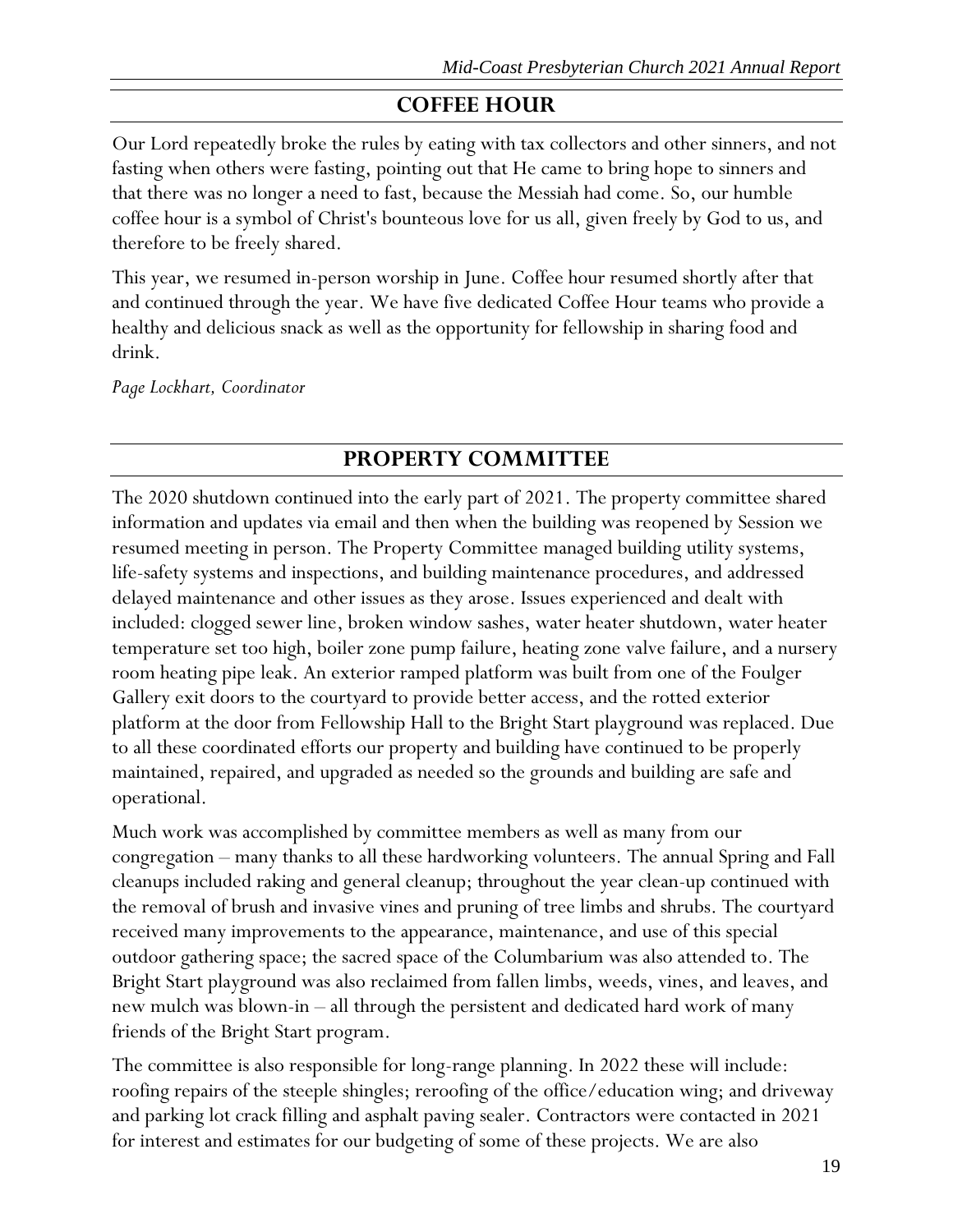# **COFFEE HOUR**

<span id="page-19-0"></span>Our Lord repeatedly broke the rules by eating with tax collectors and other sinners, and not fasting when others were fasting, pointing out that He came to bring hope to sinners and that there was no longer a need to fast, because the Messiah had come. So, our humble coffee hour is a symbol of Christ's bounteous love for us all, given freely by God to us, and therefore to be freely shared.

This year, we resumed in-person worship in June. Coffee hour resumed shortly after that and continued through the year. We have five dedicated Coffee Hour teams who provide a healthy and delicious snack as well as the opportunity for fellowship in sharing food and drink.

*Page Lockhart, Coordinator*

# **PROPERTY COMMITTEE**

<span id="page-19-1"></span>The 2020 shutdown continued into the early part of 2021. The property committee shared information and updates via email and then when the building was reopened by Session we resumed meeting in person. The Property Committee managed building utility systems, life-safety systems and inspections, and building maintenance procedures, and addressed delayed maintenance and other issues as they arose. Issues experienced and dealt with included: clogged sewer line, broken window sashes, water heater shutdown, water heater temperature set too high, boiler zone pump failure, heating zone valve failure, and a nursery room heating pipe leak. An exterior ramped platform was built from one of the Foulger Gallery exit doors to the courtyard to provide better access, and the rotted exterior platform at the door from Fellowship Hall to the Bright Start playground was replaced. Due to all these coordinated efforts our property and building have continued to be properly maintained, repaired, and upgraded as needed so the grounds and building are safe and operational.

Much work was accomplished by committee members as well as many from our congregation – many thanks to all these hardworking volunteers. The annual Spring and Fall cleanups included raking and general cleanup; throughout the year clean-up continued with the removal of brush and invasive vines and pruning of tree limbs and shrubs. The courtyard received many improvements to the appearance, maintenance, and use of this special outdoor gathering space; the sacred space of the Columbarium was also attended to. The Bright Start playground was also reclaimed from fallen limbs, weeds, vines, and leaves, and new mulch was blown-in – all through the persistent and dedicated hard work of many friends of the Bright Start program.

The committee is also responsible for long-range planning. In 2022 these will include: roofing repairs of the steeple shingles; reroofing of the office/education wing; and driveway and parking lot crack filling and asphalt paving sealer. Contractors were contacted in 2021 for interest and estimates for our budgeting of some of these projects. We are also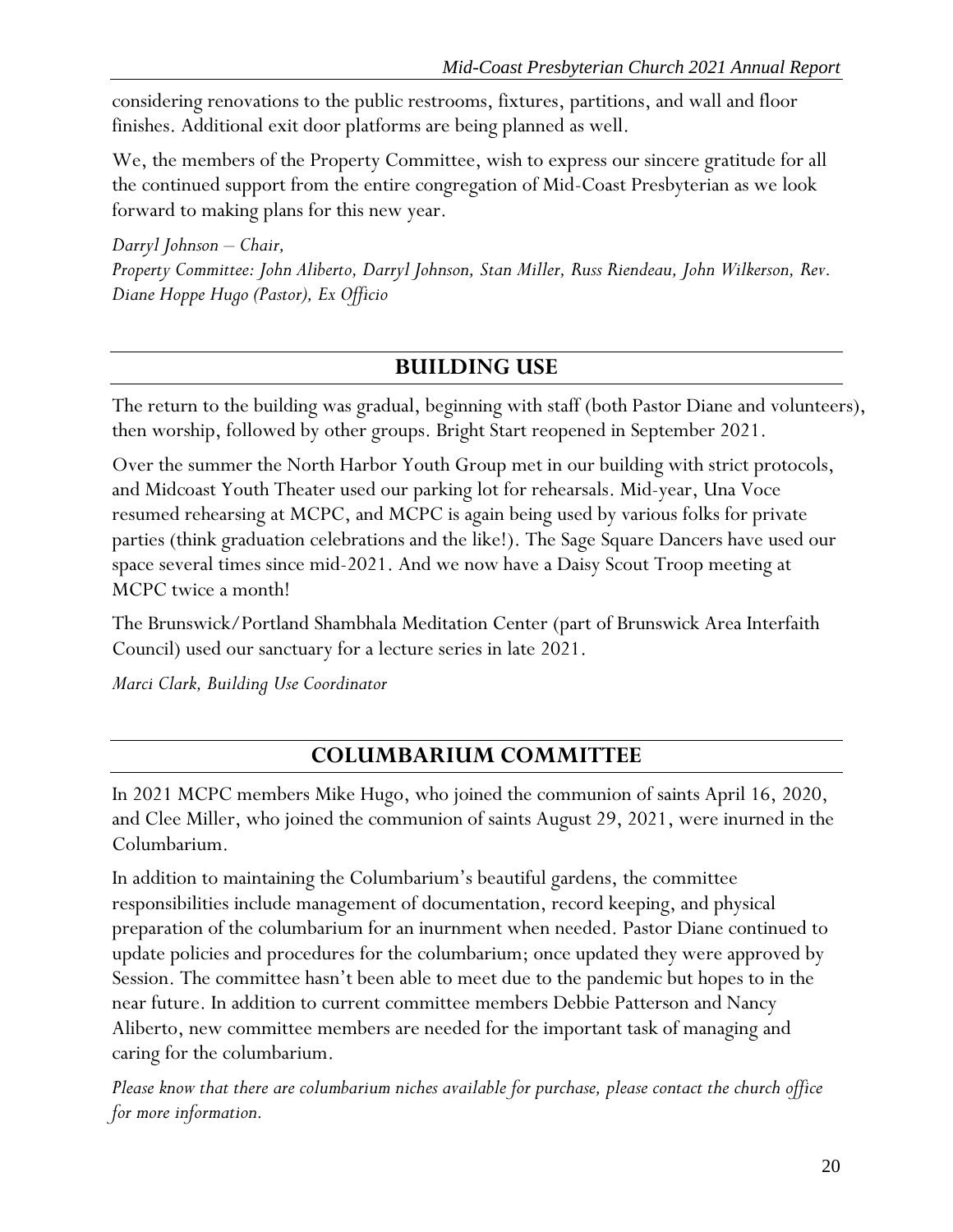considering renovations to the public restrooms, fixtures, partitions, and wall and floor finishes. Additional exit door platforms are being planned as well.

We, the members of the Property Committee, wish to express our sincere gratitude for all the continued support from the entire congregation of Mid-Coast Presbyterian as we look forward to making plans for this new year.

*Darryl Johnson – Chair, Property Committee: John Aliberto, Darryl Johnson, Stan Miller, Russ Riendeau, John Wilkerson, Rev. Diane Hoppe Hugo (Pastor), Ex Officio*

# **BUILDING USE**

<span id="page-20-0"></span>The return to the building was gradual, beginning with staff (both Pastor Diane and volunteers), then worship, followed by other groups. Bright Start reopened in September 2021.

Over the summer the North Harbor Youth Group met in our building with strict protocols, and Midcoast Youth Theater used our parking lot for rehearsals. Mid-year, Una Voce resumed rehearsing at MCPC, and MCPC is again being used by various folks for private parties (think graduation celebrations and the like!). The Sage Square Dancers have used our space several times since mid-2021. And we now have a Daisy Scout Troop meeting at MCPC twice a month!

The Brunswick/Portland Shambhala Meditation Center (part of Brunswick Area Interfaith Council) used our sanctuary for a lecture series in late 2021.

*Marci Clark, Building Use Coordinator*

# **COLUMBARIUM COMMITTEE**

<span id="page-20-1"></span>In 2021 MCPC members Mike Hugo, who joined the communion of saints April 16, 2020, and Clee Miller, who joined the communion of saints August 29, 2021, were inurned in the Columbarium.

In addition to maintaining the Columbarium's beautiful gardens, the committee responsibilities include management of documentation, record keeping, and physical preparation of the columbarium for an inurnment when needed. Pastor Diane continued to update policies and procedures for the columbarium; once updated they were approved by Session. The committee hasn't been able to meet due to the pandemic but hopes to in the near future. In addition to current committee members Debbie Patterson and Nancy Aliberto, new committee members are needed for the important task of managing and caring for the columbarium.

*Please know that there are columbarium niches available for purchase, please contact the church office for more information.*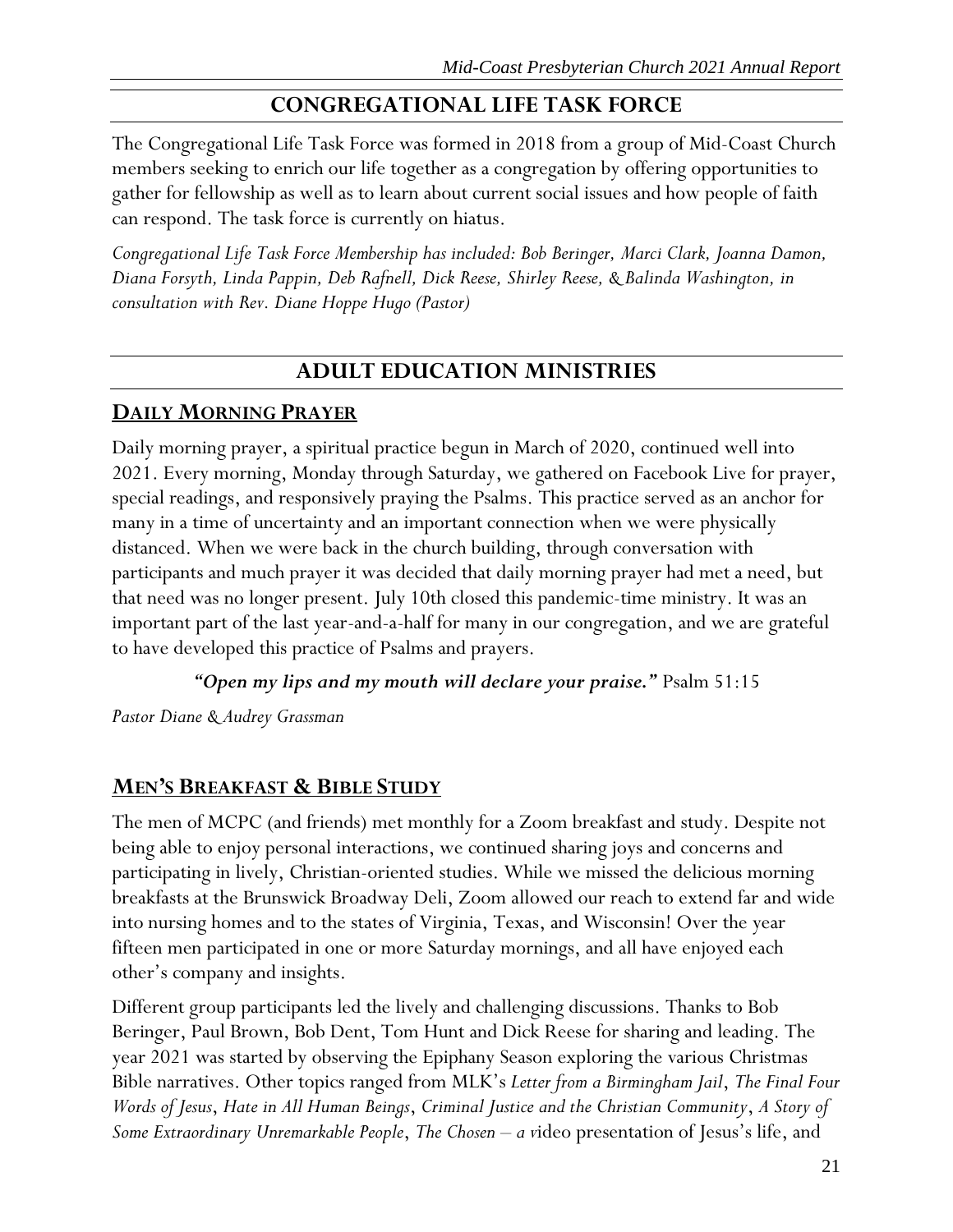# **CONGREGATIONAL LIFE TASK FORCE**

<span id="page-21-0"></span>The Congregational Life Task Force was formed in 2018 from a group of Mid-Coast Church members seeking to enrich our life together as a congregation by offering opportunities to gather for fellowship as well as to learn about current social issues and how people of faith can respond. The task force is currently on hiatus.

*Congregational Life Task Force Membership has included: Bob Beringer, Marci Clark, Joanna Damon, Diana Forsyth, Linda Pappin, Deb Rafnell, Dick Reese, Shirley Reese, & Balinda Washington, in consultation with Rev. Diane Hoppe Hugo (Pastor)*

# **ADULT EDUCATION MINISTRIES**

### <span id="page-21-2"></span><span id="page-21-1"></span>**DAILY MORNING PRAYER**

Daily morning prayer, a spiritual practice begun in March of 2020, continued well into 2021. Every morning, Monday through Saturday, we gathered on Facebook Live for prayer, special readings, and responsively praying the Psalms. This practice served as an anchor for many in a time of uncertainty and an important connection when we were physically distanced. When we were back in the church building, through conversation with participants and much prayer it was decided that daily morning prayer had met a need, but that need was no longer present. July 10th closed this pandemic-time ministry. It was an important part of the last year-and-a-half for many in our congregation, and we are grateful to have developed this practice of Psalms and prayers.

*"Open my lips and my mouth will declare your praise."* Psalm 51:15

*Pastor Diane & Audrey Grassman*

# <span id="page-21-3"></span>**MEN'S BREAKFAST & BIBLE STUDY**

The men of MCPC (and friends) met monthly for a Zoom breakfast and study. Despite not being able to enjoy personal interactions, we continued sharing joys and concerns and participating in lively, Christian-oriented studies. While we missed the delicious morning breakfasts at the Brunswick Broadway Deli, Zoom allowed our reach to extend far and wide into nursing homes and to the states of Virginia, Texas, and Wisconsin! Over the year fifteen men participated in one or more Saturday mornings, and all have enjoyed each other's company and insights.

Different group participants led the lively and challenging discussions. Thanks to Bob Beringer, Paul Brown, Bob Dent, Tom Hunt and Dick Reese for sharing and leading. The year 2021 was started by observing the Epiphany Season exploring the various Christmas Bible narratives. Other topics ranged from MLK's *Letter from a Birmingham Jail*, *The Final Four Words of Jesus*, *Hate in All Human Beings*, *Criminal Justice and the Christian Community*, *A Story of Some Extraordinary Unremarkable People*, *The Chosen – a v*ideo presentation of Jesus's life, and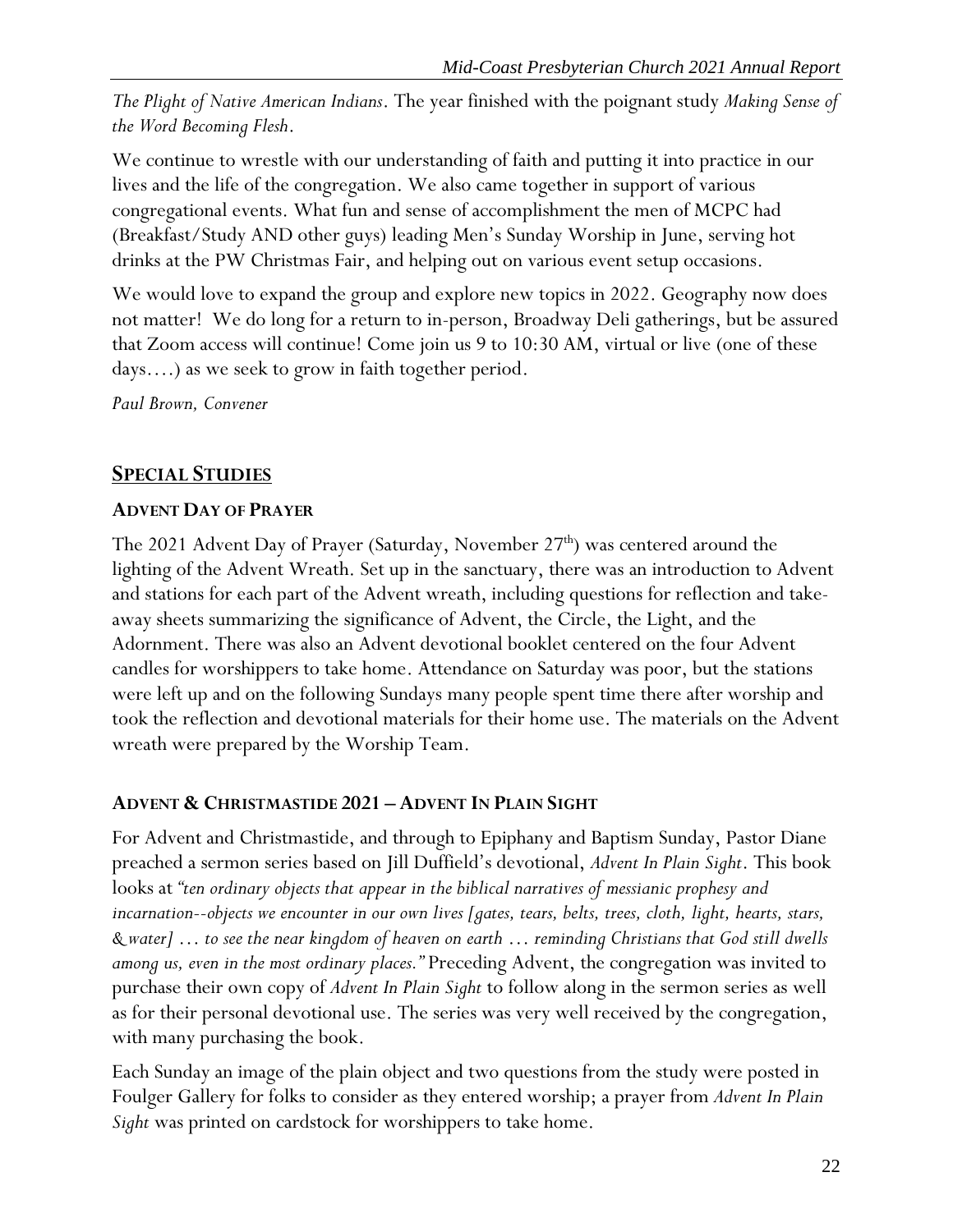*The Plight of Native American Indians*. The year finished with the poignant study *Making Sense of the Word Becoming Flesh*.

We continue to wrestle with our understanding of faith and putting it into practice in our lives and the life of the congregation. We also came together in support of various congregational events. What fun and sense of accomplishment the men of MCPC had (Breakfast/Study AND other guys) leading Men's Sunday Worship in June, serving hot drinks at the PW Christmas Fair, and helping out on various event setup occasions.

We would love to expand the group and explore new topics in 2022. Geography now does not matter! We do long for a return to in-person, Broadway Deli gatherings, but be assured that Zoom access will continue! Come join us 9 to 10:30 AM, virtual or live (one of these days….) as we seek to grow in faith together period.

*Paul Brown, Convener*

# <span id="page-22-0"></span>**SPECIAL STUDIES**

### <span id="page-22-1"></span>**ADVENT DAY OF PRAYER**

The 2021 Advent Day of Prayer (Saturday, November  $27<sup>th</sup>$ ) was centered around the lighting of the Advent Wreath. Set up in the sanctuary, there was an introduction to Advent and stations for each part of the Advent wreath, including questions for reflection and takeaway sheets summarizing the significance of Advent, the Circle, the Light, and the Adornment. There was also an Advent devotional booklet centered on the four Advent candles for worshippers to take home. Attendance on Saturday was poor, but the stations were left up and on the following Sundays many people spent time there after worship and took the reflection and devotional materials for their home use. The materials on the Advent wreath were prepared by the Worship Team.

### <span id="page-22-2"></span>**ADVENT & CHRISTMASTIDE 2021 – ADVENT IN PLAIN SIGHT**

For Advent and Christmastide, and through to Epiphany and Baptism Sunday, Pastor Diane preached a sermon series based on Jill Duffield's devotional, *Advent In Plain Sight*. This book looks at *"ten ordinary objects that appear in the biblical narratives of messianic prophesy and incarnation--objects we encounter in our own lives [gates, tears, belts, trees, cloth, light, hearts, stars, & water] … to see the near kingdom of heaven on earth … reminding Christians that God still dwells among us, even in the most ordinary places."* Preceding Advent, the congregation was invited to purchase their own copy of *Advent In Plain Sight* to follow along in the sermon series as well as for their personal devotional use. The series was very well received by the congregation, with many purchasing the book.

Each Sunday an image of the plain object and two questions from the study were posted in Foulger Gallery for folks to consider as they entered worship; a prayer from *Advent In Plain Sight* was printed on cardstock for worshippers to take home.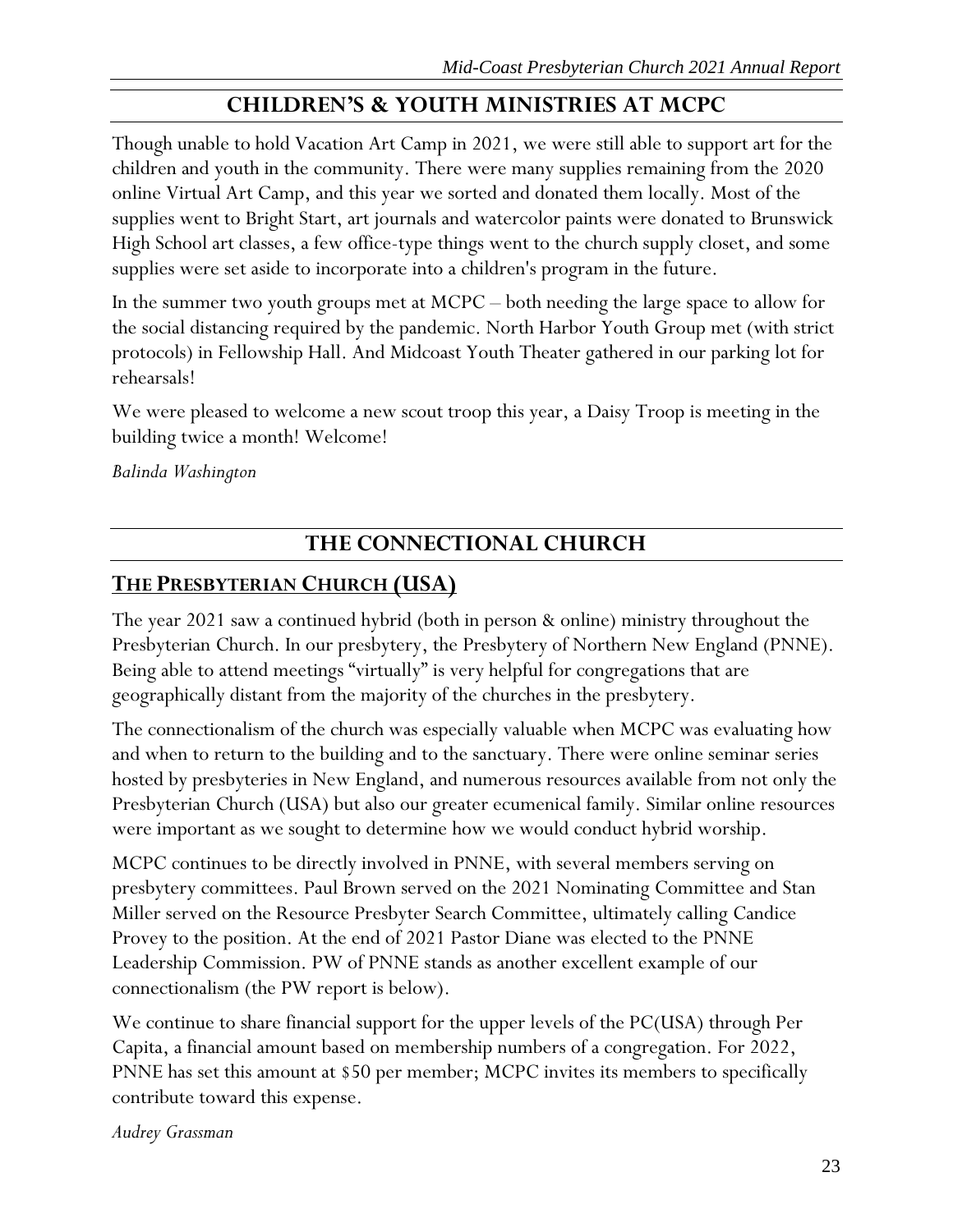# **CHILDREN'S & YOUTH MINISTRIES AT MCPC**

<span id="page-23-0"></span>Though unable to hold Vacation Art Camp in 2021, we were still able to support art for the children and youth in the community. There were many supplies remaining from the 2020 online Virtual Art Camp, and this year we sorted and donated them locally. Most of the supplies went to Bright Start, art journals and watercolor paints were donated to Brunswick High School art classes, a few office-type things went to the church supply closet, and some supplies were set aside to incorporate into a children's program in the future.

In the summer two youth groups met at MCPC – both needing the large space to allow for the social distancing required by the pandemic. North Harbor Youth Group met (with strict protocols) in Fellowship Hall. And Midcoast Youth Theater gathered in our parking lot for rehearsals!

We were pleased to welcome a new scout troop this year, a Daisy Troop is meeting in the building twice a month! Welcome!

*Balinda Washington*

# **THE CONNECTIONAL CHURCH**

# <span id="page-23-2"></span><span id="page-23-1"></span>**THE PRESBYTERIAN CHURCH (USA)**

The year 2021 saw a continued hybrid (both in person & online) ministry throughout the Presbyterian Church. In our presbytery, the Presbytery of Northern New England (PNNE). Being able to attend meetings "virtually" is very helpful for congregations that are geographically distant from the majority of the churches in the presbytery.

The connectionalism of the church was especially valuable when MCPC was evaluating how and when to return to the building and to the sanctuary. There were online seminar series hosted by presbyteries in New England, and numerous resources available from not only the Presbyterian Church (USA) but also our greater ecumenical family. Similar online resources were important as we sought to determine how we would conduct hybrid worship.

MCPC continues to be directly involved in PNNE, with several members serving on presbytery committees. Paul Brown served on the 2021 Nominating Committee and Stan Miller served on the Resource Presbyter Search Committee, ultimately calling Candice Provey to the position. At the end of 2021 Pastor Diane was elected to the PNNE Leadership Commission. PW of PNNE stands as another excellent example of our connectionalism (the PW report is below).

We continue to share financial support for the upper levels of the PC(USA) through Per Capita, a financial amount based on membership numbers of a congregation. For 2022, PNNE has set this amount at \$50 per member; MCPC invites its members to specifically contribute toward this expense.

*Audrey Grassman*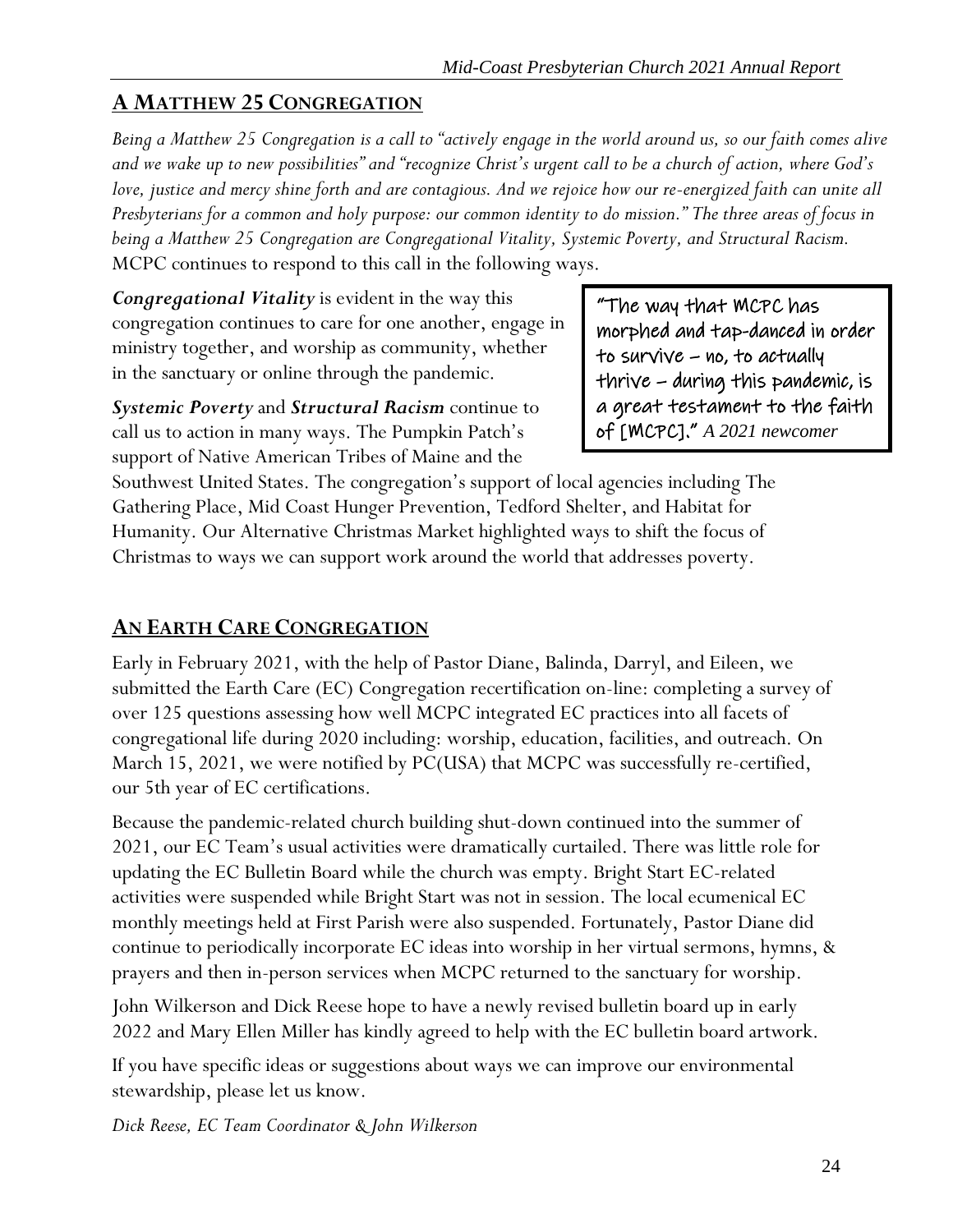# <span id="page-24-0"></span>**A MATTHEW 25 CONGREGATION**

*Being a Matthew 25 Congregation is a call to "actively engage in the world around us, so our faith comes alive and we wake up to new possibilities" and "recognize Christ's urgent call to be a church of action, where God's love, justice and mercy shine forth and are contagious. And we rejoice how our re-energized faith can unite all Presbyterians for a common and holy purpose: our common identity to do mission." The three areas of focus in being a Matthew 25 Congregation are Congregational Vitality, Systemic Poverty, and Structural Racism.* MCPC continues to respond to this call in the following ways.

*Congregational Vitality* is evident in the way this congregation continues to care for one another, engage in ministry together, and worship as community, whether in the sanctuary or online through the pandemic.

*Systemic Poverty* and *Structural Racism* continue to call us to action in many ways. The Pumpkin Patch's support of Native American Tribes of Maine and the

"The way that MCPC has morphed and tap-danced in order to survive – no, to actually thrive – during this pandemic, is a great testament to the faith of [MCPC]." *A 2021 newcomer*

Southwest United States. The congregation's support of local agencies including The Gathering Place, Mid Coast Hunger Prevention, Tedford Shelter, and Habitat for Humanity. Our Alternative Christmas Market highlighted ways to shift the focus of Christmas to ways we can support work around the world that addresses poverty.

# <span id="page-24-1"></span>**AN EARTH CARE CONGREGATION**

Early in February 2021, with the help of Pastor Diane, Balinda, Darryl, and Eileen, we submitted the Earth Care (EC) Congregation recertification on-line: completing a survey of over 125 questions assessing how well MCPC integrated EC practices into all facets of congregational life during 2020 including: worship, education, facilities, and outreach. On March 15, 2021, we were notified by PC(USA) that MCPC was successfully re-certified, our 5th year of EC certifications.

Because the pandemic-related church building shut-down continued into the summer of 2021, our EC Team's usual activities were dramatically curtailed. There was little role for updating the EC Bulletin Board while the church was empty. Bright Start EC-related activities were suspended while Bright Start was not in session. The local ecumenical EC monthly meetings held at First Parish were also suspended. Fortunately, Pastor Diane did continue to periodically incorporate EC ideas into worship in her virtual sermons, hymns, & prayers and then in-person services when MCPC returned to the sanctuary for worship.

John Wilkerson and Dick Reese hope to have a newly revised bulletin board up in early 2022 and Mary Ellen Miller has kindly agreed to help with the EC bulletin board artwork.

If you have specific ideas or suggestions about ways we can improve our environmental stewardship, please let us know.

*Dick Reese, EC Team Coordinator & John Wilkerson*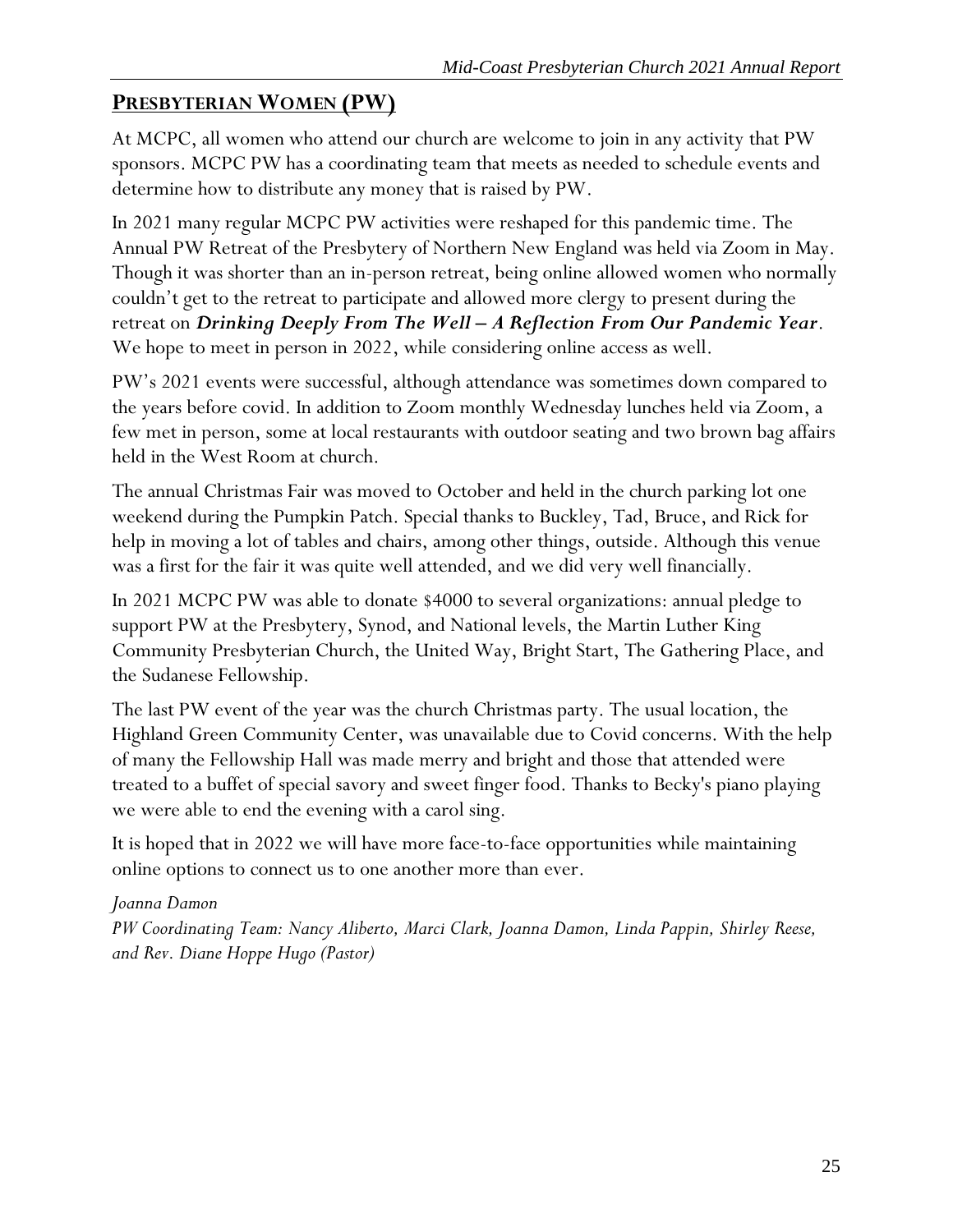# <span id="page-25-0"></span>**PRESBYTERIAN WOMEN (PW)**

At MCPC, all women who attend our church are welcome to join in any activity that PW sponsors. MCPC PW has a coordinating team that meets as needed to schedule events and determine how to distribute any money that is raised by PW.

In 2021 many regular MCPC PW activities were reshaped for this pandemic time. The Annual PW Retreat of the Presbytery of Northern New England was held via Zoom in May. Though it was shorter than an in-person retreat, being online allowed women who normally couldn't get to the retreat to participate and allowed more clergy to present during the retreat on *Drinking Deeply From The Well – A Reflection From Our Pandemic Year*. We hope to meet in person in 2022, while considering online access as well.

PW's 2021 events were successful, although attendance was sometimes down compared to the years before covid. In addition to Zoom monthly Wednesday lunches held via Zoom, a few met in person, some at local restaurants with outdoor seating and two brown bag affairs held in the West Room at church.

The annual Christmas Fair was moved to October and held in the church parking lot one weekend during the Pumpkin Patch. Special thanks to Buckley, Tad, Bruce, and Rick for help in moving a lot of tables and chairs, among other things, outside. Although this venue was a first for the fair it was quite well attended, and we did very well financially.

In 2021 MCPC PW was able to donate \$4000 to several organizations: annual pledge to support PW at the Presbytery, Synod, and National levels, the Martin Luther King Community Presbyterian Church, the United Way, Bright Start, The Gathering Place, and the Sudanese Fellowship.

The last PW event of the year was the church Christmas party. The usual location, the Highland Green Community Center, was unavailable due to Covid concerns. With the help of many the Fellowship Hall was made merry and bright and those that attended were treated to a buffet of special savory and sweet finger food. Thanks to Becky's piano playing we were able to end the evening with a carol sing.

It is hoped that in 2022 we will have more face-to-face opportunities while maintaining online options to connect us to one another more than ever.

### *Joanna Damon*

*PW Coordinating Team: Nancy Aliberto, Marci Clark, Joanna Damon, Linda Pappin, Shirley Reese, and Rev. Diane Hoppe Hugo (Pastor)*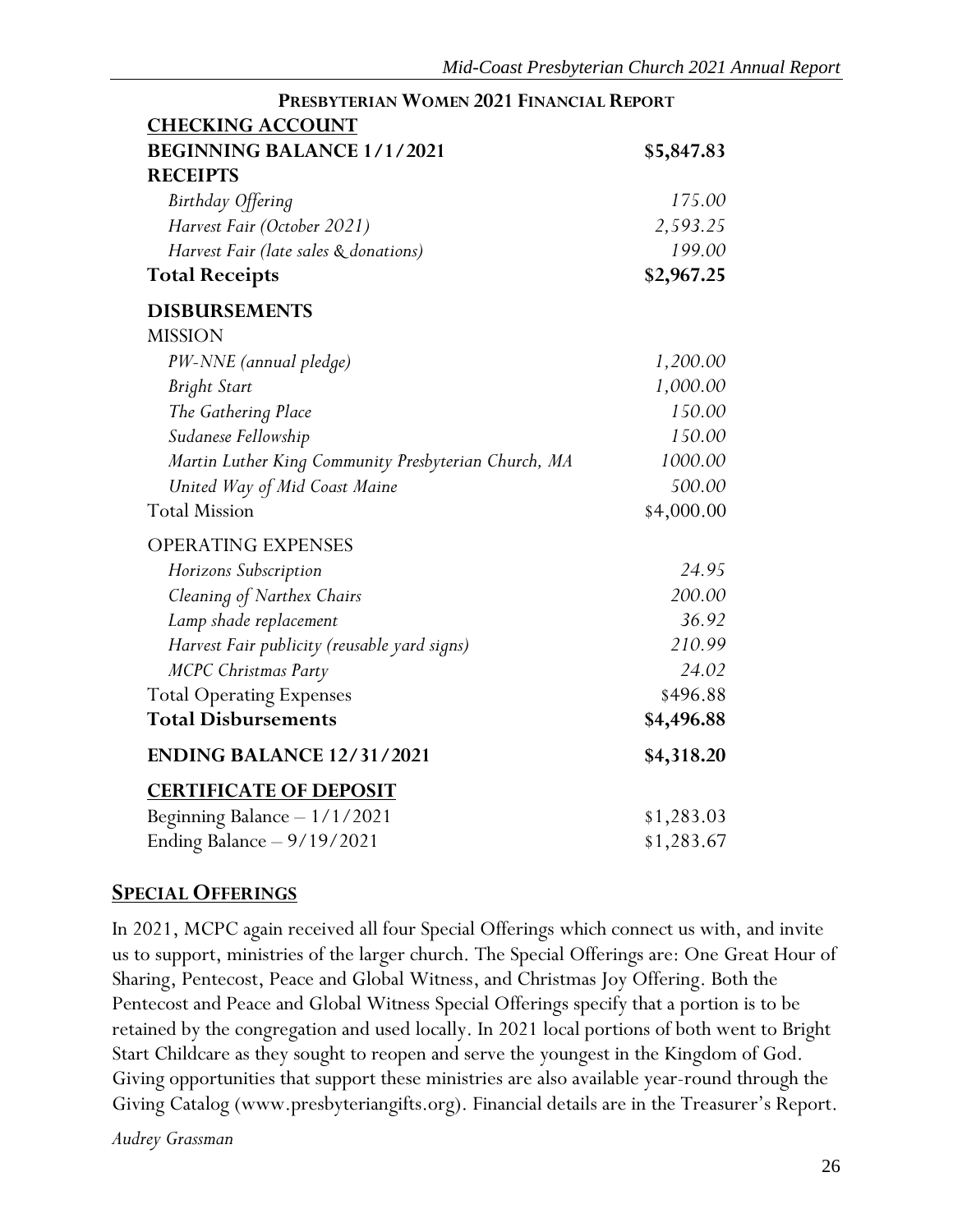| <b>CHECKING ACCOUNT</b>                              |            |
|------------------------------------------------------|------------|
| <b>BEGINNING BALANCE 1/1/2021</b>                    | \$5,847.83 |
| <b>RECEIPTS</b>                                      |            |
| Birthday Offering                                    | 175.00     |
| Harvest Fair (October 2021)                          | 2,593.25   |
| Harvest Fair (late sales & donations)                | 199.00     |
| <b>Total Receipts</b>                                | \$2,967.25 |
| <b>DISBURSEMENTS</b>                                 |            |
| <b>MISSION</b>                                       |            |
| PW-NNE (annual pledge)                               | 1,200.00   |
| <b>Bright Start</b>                                  | 1,000.00   |
| The Gathering Place                                  | 150.00     |
| Sudanese Fellowship                                  | 150.00     |
| Martin Luther King Community Presbyterian Church, MA | 1000.00    |
| United Way of Mid Coast Maine                        | 500.00     |
| <b>Total Mission</b>                                 | \$4,000.00 |
| <b>OPERATING EXPENSES</b>                            |            |
| Horizons Subscription                                | 24.95      |
| Cleaning of Narthex Chairs                           | 200.00     |
| Lamp shade replacement                               | 36.92      |
| Harvest Fair publicity (reusable yard signs)         | 210.99     |
| MCPC Christmas Party                                 | 24.02      |
| <b>Total Operating Expenses</b>                      | \$496.88   |
| <b>Total Disbursements</b>                           | \$4,496.88 |
| <b>ENDING BALANCE 12/31/2021</b>                     | \$4,318.20 |
| <b>CERTIFICATE OF DEPOSIT</b>                        |            |
| Beginning Balance $-1/1/2021$                        | \$1,283.03 |
| Ending Balance $-9/19/2021$                          | \$1,283.67 |

# **PRESBYTERIAN WOMEN 2021 FINANCIAL REPORT**

### <span id="page-26-0"></span>**SPECIAL OFFERINGS**

In 2021, MCPC again received all four Special Offerings which connect us with, and invite us to support, ministries of the larger church. The Special Offerings are: One Great Hour of Sharing, Pentecost, Peace and Global Witness, and Christmas Joy Offering. Both the Pentecost and Peace and Global Witness Special Offerings specify that a portion is to be retained by the congregation and used locally. In 2021 local portions of both went to Bright Start Childcare as they sought to reopen and serve the youngest in the Kingdom of God. Giving opportunities that support these ministries are also available year-round through the Giving Catalog (www.presbyteriangifts.org). Financial details are in the Treasurer's Report.

*Audrey Grassman*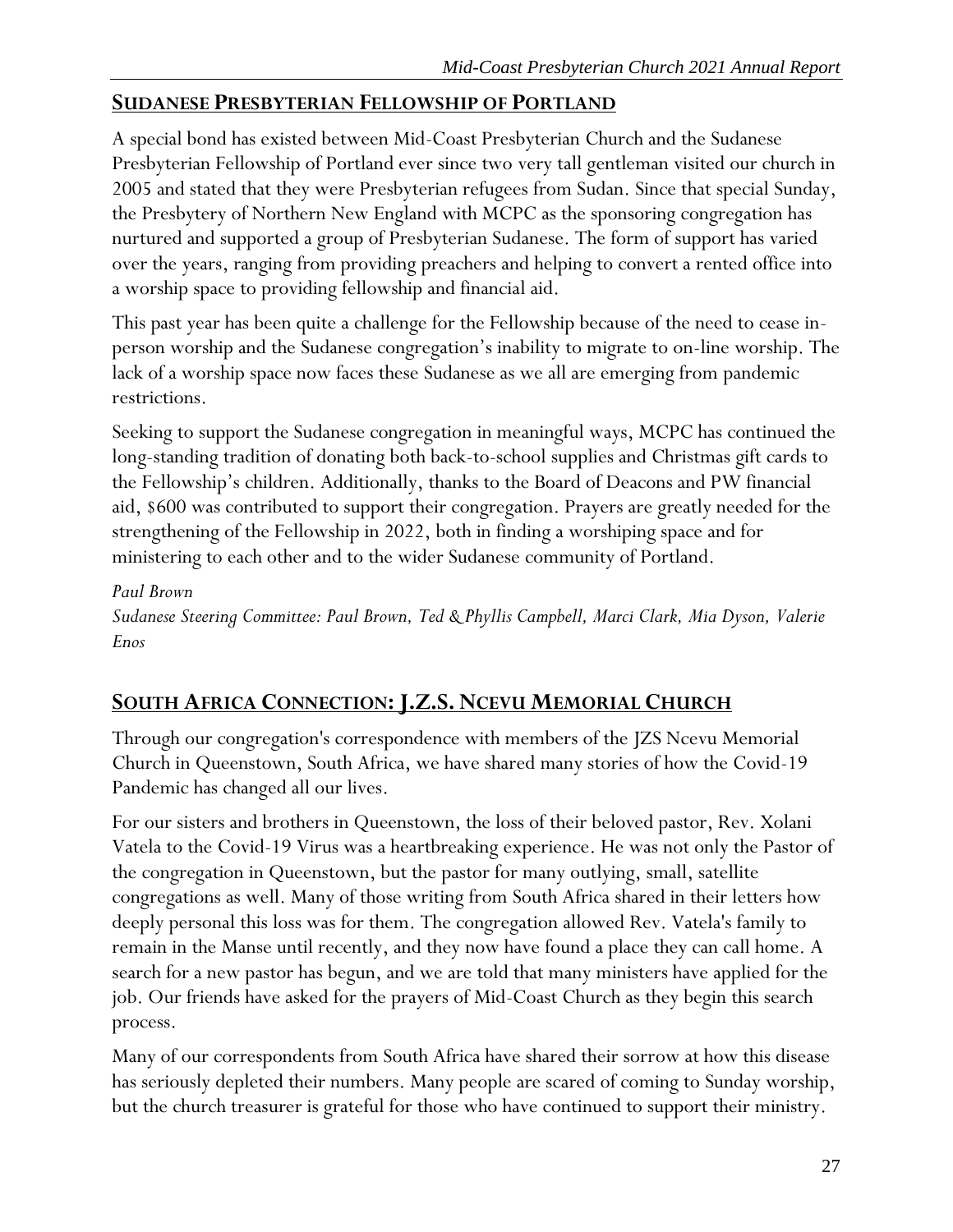# <span id="page-27-0"></span>**SUDANESE PRESBYTERIAN FELLOWSHIP OF PORTLAND**

A special bond has existed between Mid-Coast Presbyterian Church and the Sudanese Presbyterian Fellowship of Portland ever since two very tall gentleman visited our church in 2005 and stated that they were Presbyterian refugees from Sudan. Since that special Sunday, the Presbytery of Northern New England with MCPC as the sponsoring congregation has nurtured and supported a group of Presbyterian Sudanese. The form of support has varied over the years, ranging from providing preachers and helping to convert a rented office into a worship space to providing fellowship and financial aid.

This past year has been quite a challenge for the Fellowship because of the need to cease inperson worship and the Sudanese congregation's inability to migrate to on-line worship. The lack of a worship space now faces these Sudanese as we all are emerging from pandemic restrictions.

Seeking to support the Sudanese congregation in meaningful ways, MCPC has continued the long-standing tradition of donating both back-to-school supplies and Christmas gift cards to the Fellowship's children. Additionally, thanks to the Board of Deacons and PW financial aid, \$600 was contributed to support their congregation. Prayers are greatly needed for the strengthening of the Fellowship in 2022, both in finding a worshiping space and for ministering to each other and to the wider Sudanese community of Portland.

*Paul Brown Sudanese Steering Committee: Paul Brown, Ted & Phyllis Campbell, Marci Clark, Mia Dyson, Valerie Enos*

# <span id="page-27-1"></span>**SOUTH AFRICA CONNECTION:J.Z.S. NCEVU MEMORIAL CHURCH**

Through our congregation's correspondence with members of the JZS Ncevu Memorial Church in Queenstown, South Africa, we have shared many stories of how the Covid-19 Pandemic has changed all our lives.

For our sisters and brothers in Queenstown, the loss of their beloved pastor, Rev. Xolani Vatela to the Covid-19 Virus was a heartbreaking experience. He was not only the Pastor of the congregation in Queenstown, but the pastor for many outlying, small, satellite congregations as well. Many of those writing from South Africa shared in their letters how deeply personal this loss was for them. The congregation allowed Rev. Vatela's family to remain in the Manse until recently, and they now have found a place they can call home. A search for a new pastor has begun, and we are told that many ministers have applied for the job. Our friends have asked for the prayers of Mid-Coast Church as they begin this search process.

Many of our correspondents from South Africa have shared their sorrow at how this disease has seriously depleted their numbers. Many people are scared of coming to Sunday worship, but the church treasurer is grateful for those who have continued to support their ministry.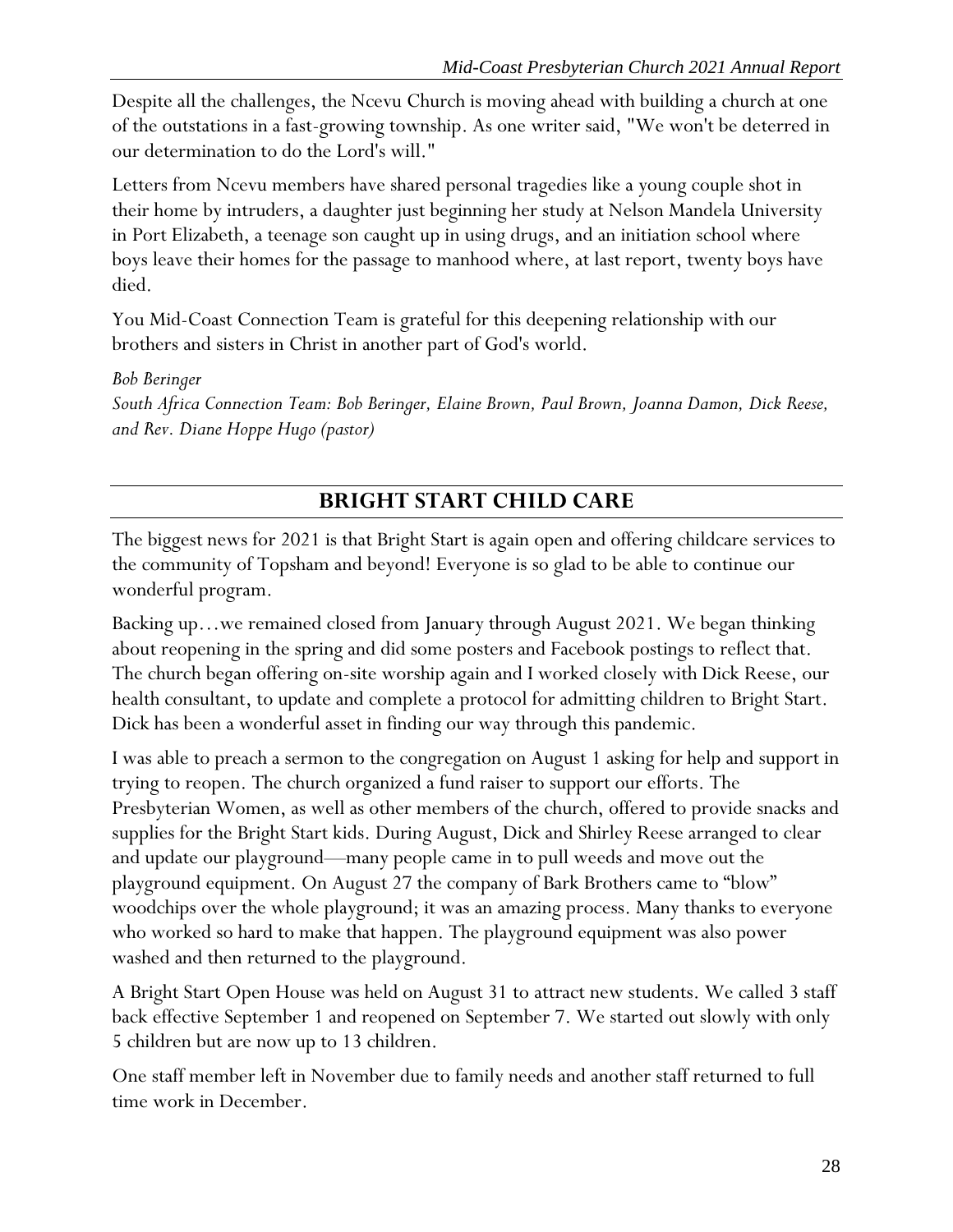Despite all the challenges, the Ncevu Church is moving ahead with building a church at one of the outstations in a fast-growing township. As one writer said, "We won't be deterred in our determination to do the Lord's will."

Letters from Ncevu members have shared personal tragedies like a young couple shot in their home by intruders, a daughter just beginning her study at Nelson Mandela University in Port Elizabeth, a teenage son caught up in using drugs, and an initiation school where boys leave their homes for the passage to manhood where, at last report, twenty boys have died.

You Mid-Coast Connection Team is grateful for this deepening relationship with our brothers and sisters in Christ in another part of God's world.

*Bob Beringer*

*South Africa Connection Team: Bob Beringer, Elaine Brown, Paul Brown, Joanna Damon, Dick Reese, and Rev. Diane Hoppe Hugo (pastor)*

# **BRIGHT START CHILD CARE**

<span id="page-28-0"></span>The biggest news for 2021 is that Bright Start is again open and offering childcare services to the community of Topsham and beyond! Everyone is so glad to be able to continue our wonderful program.

Backing up…we remained closed from January through August 2021. We began thinking about reopening in the spring and did some posters and Facebook postings to reflect that. The church began offering on-site worship again and I worked closely with Dick Reese, our health consultant, to update and complete a protocol for admitting children to Bright Start. Dick has been a wonderful asset in finding our way through this pandemic.

I was able to preach a sermon to the congregation on August 1 asking for help and support in trying to reopen. The church organized a fund raiser to support our efforts. The Presbyterian Women, as well as other members of the church, offered to provide snacks and supplies for the Bright Start kids. During August, Dick and Shirley Reese arranged to clear and update our playground—many people came in to pull weeds and move out the playground equipment. On August 27 the company of Bark Brothers came to "blow" woodchips over the whole playground; it was an amazing process. Many thanks to everyone who worked so hard to make that happen. The playground equipment was also power washed and then returned to the playground.

A Bright Start Open House was held on August 31 to attract new students. We called 3 staff back effective September 1 and reopened on September 7. We started out slowly with only 5 children but are now up to 13 children.

One staff member left in November due to family needs and another staff returned to full time work in December.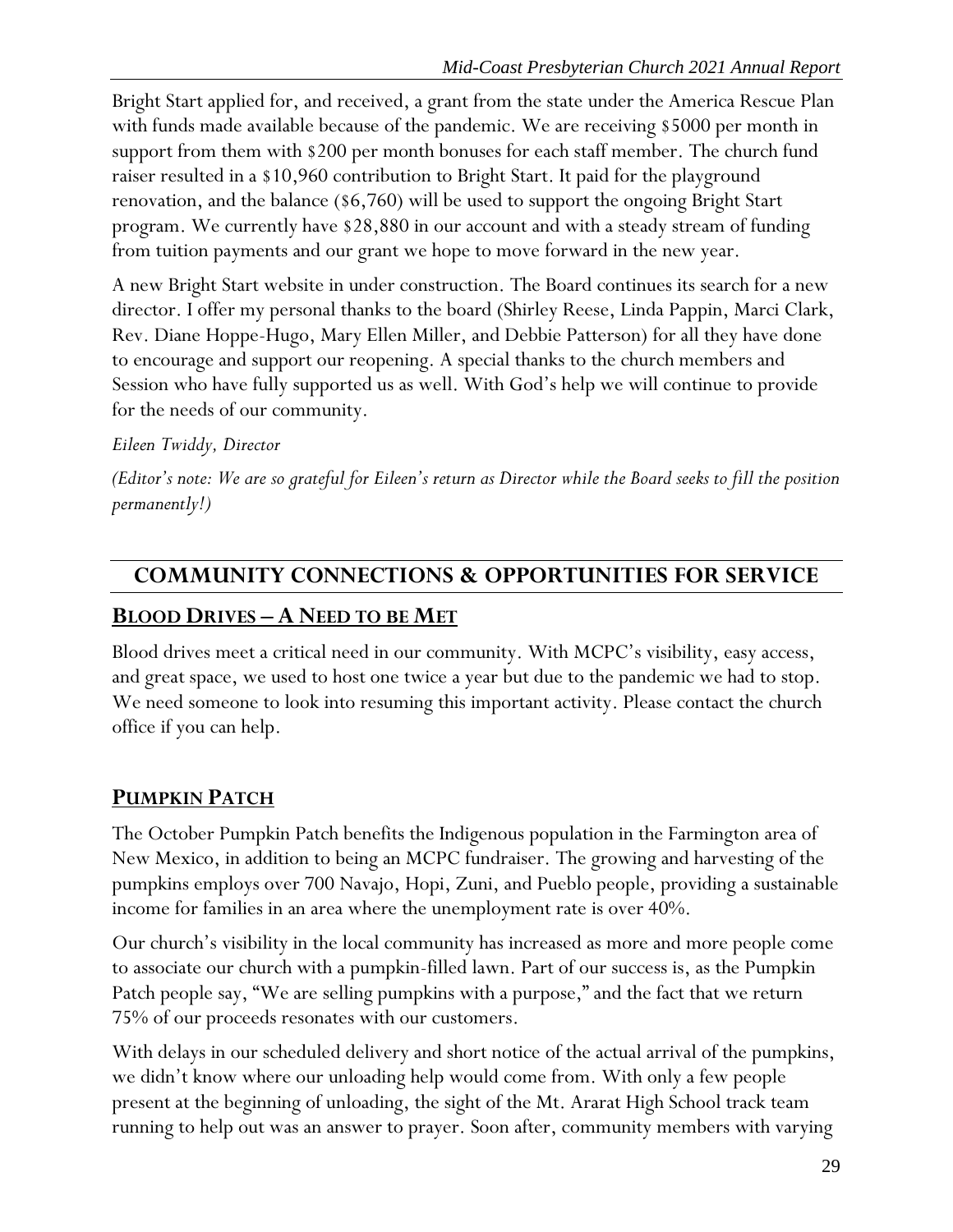Bright Start applied for, and received, a grant from the state under the America Rescue Plan with funds made available because of the pandemic. We are receiving \$5000 per month in support from them with \$200 per month bonuses for each staff member. The church fund raiser resulted in a \$10,960 contribution to Bright Start. It paid for the playground renovation, and the balance (\$6,760) will be used to support the ongoing Bright Start program. We currently have \$28,880 in our account and with a steady stream of funding from tuition payments and our grant we hope to move forward in the new year.

A new Bright Start website in under construction. The Board continues its search for a new director. I offer my personal thanks to the board (Shirley Reese, Linda Pappin, Marci Clark, Rev. Diane Hoppe-Hugo, Mary Ellen Miller, and Debbie Patterson) for all they have done to encourage and support our reopening. A special thanks to the church members and Session who have fully supported us as well. With God's help we will continue to provide for the needs of our community.

# *Eileen Twiddy, Director*

*(Editor's note: We are so grateful for Eileen's return as Director while the Board seeks to fill the position permanently!)*

# <span id="page-29-0"></span>**COMMUNITY CONNECTIONS & OPPORTUNITIES FOR SERVICE**

# <span id="page-29-1"></span>**BLOOD DRIVES – A NEED TO BE MET**

Blood drives meet a critical need in our community. With MCPC's visibility, easy access, and great space, we used to host one twice a year but due to the pandemic we had to stop. We need someone to look into resuming this important activity. Please contact the church office if you can help.

# <span id="page-29-2"></span>**PUMPKIN PATCH**

The October Pumpkin Patch benefits the Indigenous population in the Farmington area of New Mexico, in addition to being an MCPC fundraiser. The growing and harvesting of the pumpkins employs over 700 Navajo, Hopi, Zuni, and Pueblo people, providing a sustainable income for families in an area where the unemployment rate is over 40%.

Our church's visibility in the local community has increased as more and more people come to associate our church with a pumpkin-filled lawn. Part of our success is, as the Pumpkin Patch people say, "We are selling pumpkins with a purpose," and the fact that we return 75% of our proceeds resonates with our customers.

With delays in our scheduled delivery and short notice of the actual arrival of the pumpkins, we didn't know where our unloading help would come from. With only a few people present at the beginning of unloading, the sight of the Mt. Ararat High School track team running to help out was an answer to prayer. Soon after, community members with varying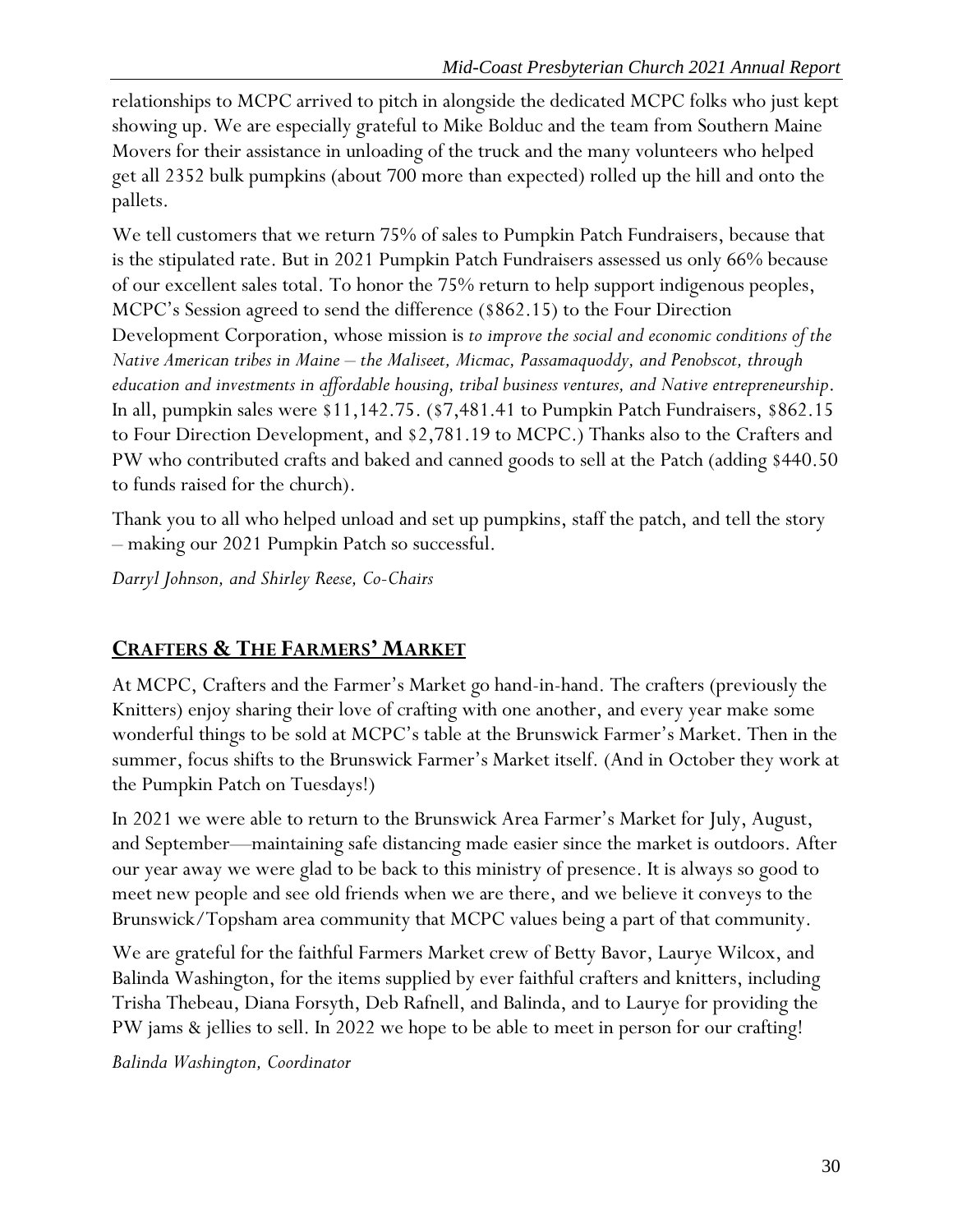relationships to MCPC arrived to pitch in alongside the dedicated MCPC folks who just kept showing up. We are especially grateful to Mike Bolduc and the team from Southern Maine Movers for their assistance in unloading of the truck and the many volunteers who helped get all 2352 bulk pumpkins (about 700 more than expected) rolled up the hill and onto the pallets.

We tell customers that we return 75% of sales to Pumpkin Patch Fundraisers, because that is the stipulated rate. But in 2021 Pumpkin Patch Fundraisers assessed us only 66% because of our excellent sales total. To honor the 75% return to help support indigenous peoples, MCPC's Session agreed to send the difference (\$862.15) to the Four Direction Development Corporation, whose mission is *to improve the social and economic conditions of the Native American tribes in Maine – the Maliseet, Micmac, Passamaquoddy, and Penobscot, through education and investments in affordable housing, tribal business ventures, and Native entrepreneurship*. In all, pumpkin sales were \$11,142.75. (\$7,481.41 to Pumpkin Patch Fundraisers, \$862.15 to Four Direction Development, and \$2,781.19 to MCPC.) Thanks also to the Crafters and PW who contributed crafts and baked and canned goods to sell at the Patch (adding \$440.50 to funds raised for the church).

Thank you to all who helped unload and set up pumpkins, staff the patch, and tell the story – making our 2021 Pumpkin Patch so successful.

*Darryl Johnson, and Shirley Reese, Co-Chairs*

# <span id="page-30-0"></span>**CRAFTERS & THE FARMERS' MARKET**

At MCPC, Crafters and the Farmer's Market go hand-in-hand. The crafters (previously the Knitters) enjoy sharing their love of crafting with one another, and every year make some wonderful things to be sold at MCPC's table at the Brunswick Farmer's Market. Then in the summer, focus shifts to the Brunswick Farmer's Market itself. (And in October they work at the Pumpkin Patch on Tuesdays!)

In 2021 we were able to return to the Brunswick Area Farmer's Market for July, August, and September—maintaining safe distancing made easier since the market is outdoors. After our year away we were glad to be back to this ministry of presence. It is always so good to meet new people and see old friends when we are there, and we believe it conveys to the Brunswick/Topsham area community that MCPC values being a part of that community.

We are grateful for the faithful Farmers Market crew of Betty Bavor, Laurye Wilcox, and Balinda Washington, for the items supplied by ever faithful crafters and knitters, including Trisha Thebeau, Diana Forsyth, Deb Rafnell, and Balinda, and to Laurye for providing the PW jams & jellies to sell. In 2022 we hope to be able to meet in person for our crafting!

*Balinda Washington, Coordinator*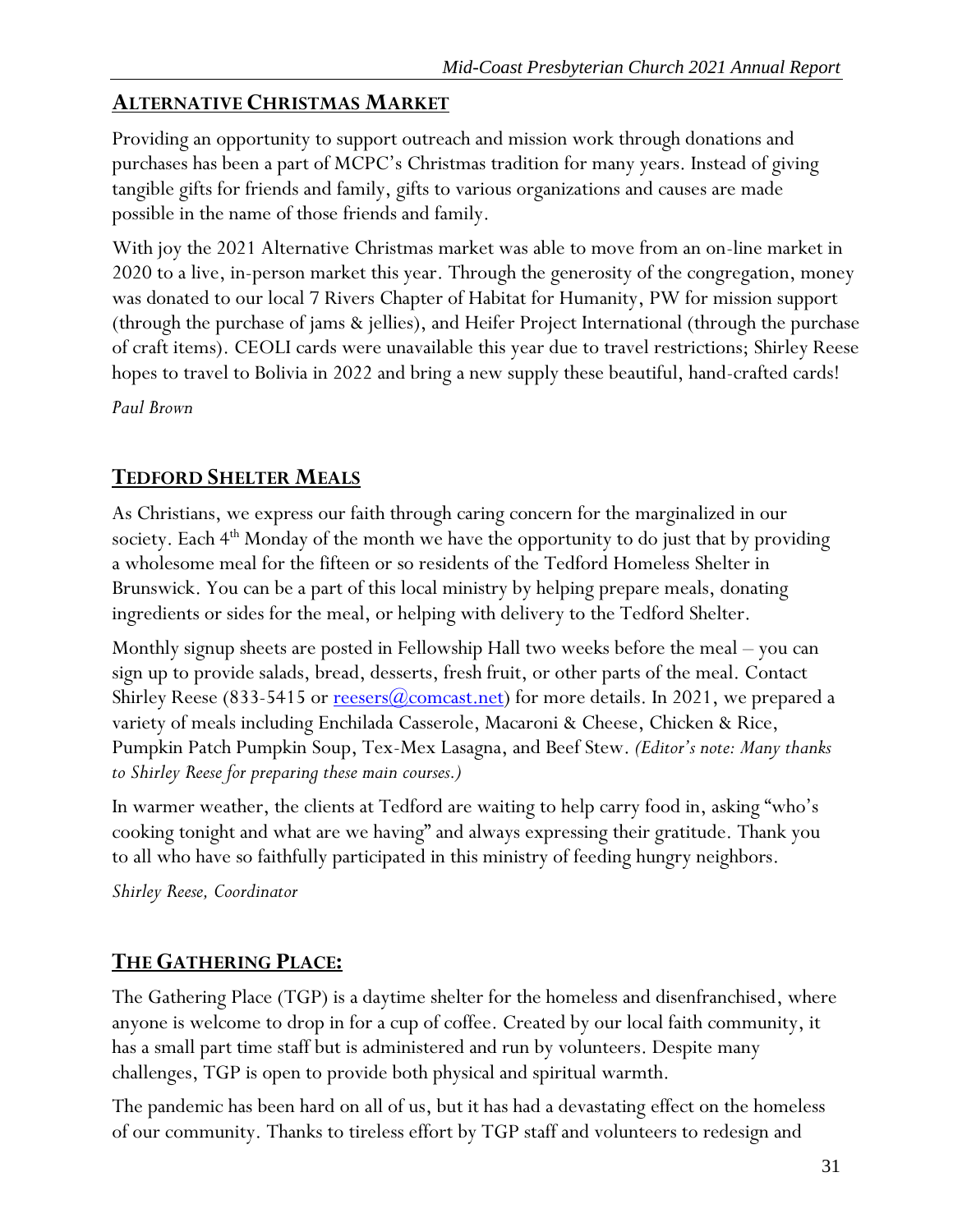# <span id="page-31-0"></span>**ALTERNATIVE CHRISTMAS MARKET**

Providing an opportunity to support outreach and mission work through donations and purchases has been a part of MCPC's Christmas tradition for many years. Instead of giving tangible gifts for friends and family, gifts to various organizations and causes are made possible in the name of those friends and family.

With joy the 2021 Alternative Christmas market was able to move from an on-line market in 2020 to a live, in-person market this year. Through the generosity of the congregation, money was donated to our local 7 Rivers Chapter of Habitat for Humanity, PW for mission support (through the purchase of jams & jellies), and Heifer Project International (through the purchase of craft items). CEOLI cards were unavailable this year due to travel restrictions; Shirley Reese hopes to travel to Bolivia in 2022 and bring a new supply these beautiful, hand-crafted cards!

*Paul Brown*

# <span id="page-31-1"></span>**TEDFORD SHELTER MEALS**

As Christians, we express our faith through caring concern for the marginalized in our society. Each  $4<sup>th</sup>$  Monday of the month we have the opportunity to do just that by providing a wholesome meal for the fifteen or so residents of the Tedford Homeless Shelter in Brunswick. You can be a part of this local ministry by helping prepare meals, donating ingredients or sides for the meal, or helping with delivery to the Tedford Shelter.

Monthly signup sheets are posted in Fellowship Hall two weeks before the meal – you can sign up to provide salads, bread, desserts, fresh fruit, or other parts of the meal. Contact Shirley Reese (833-5415 or <u>reesers( $\omega$ comcast.net</u>) for more details. In 2021, we prepared a variety of meals including Enchilada Casserole, Macaroni & Cheese, Chicken & Rice, Pumpkin Patch Pumpkin Soup, Tex-Mex Lasagna, and Beef Stew. *(Editor's note: Many thanks to Shirley Reese for preparing these main courses.)*

In warmer weather, the clients at Tedford are waiting to help carry food in, asking "who's cooking tonight and what are we having" and always expressing their gratitude. Thank you to all who have so faithfully participated in this ministry of feeding hungry neighbors.

*Shirley Reese, Coordinator* 

# <span id="page-31-2"></span>**THE GATHERING PLACE:**

The Gathering Place (TGP) is a daytime shelter for the homeless and disenfranchised, where anyone is welcome to drop in for a cup of coffee. Created by our local faith community, it has a small part time staff but is administered and run by volunteers. Despite many challenges, TGP is open to provide both physical and spiritual warmth.

The pandemic has been hard on all of us, but it has had a devastating effect on the homeless of our community. Thanks to tireless effort by TGP staff and volunteers to redesign and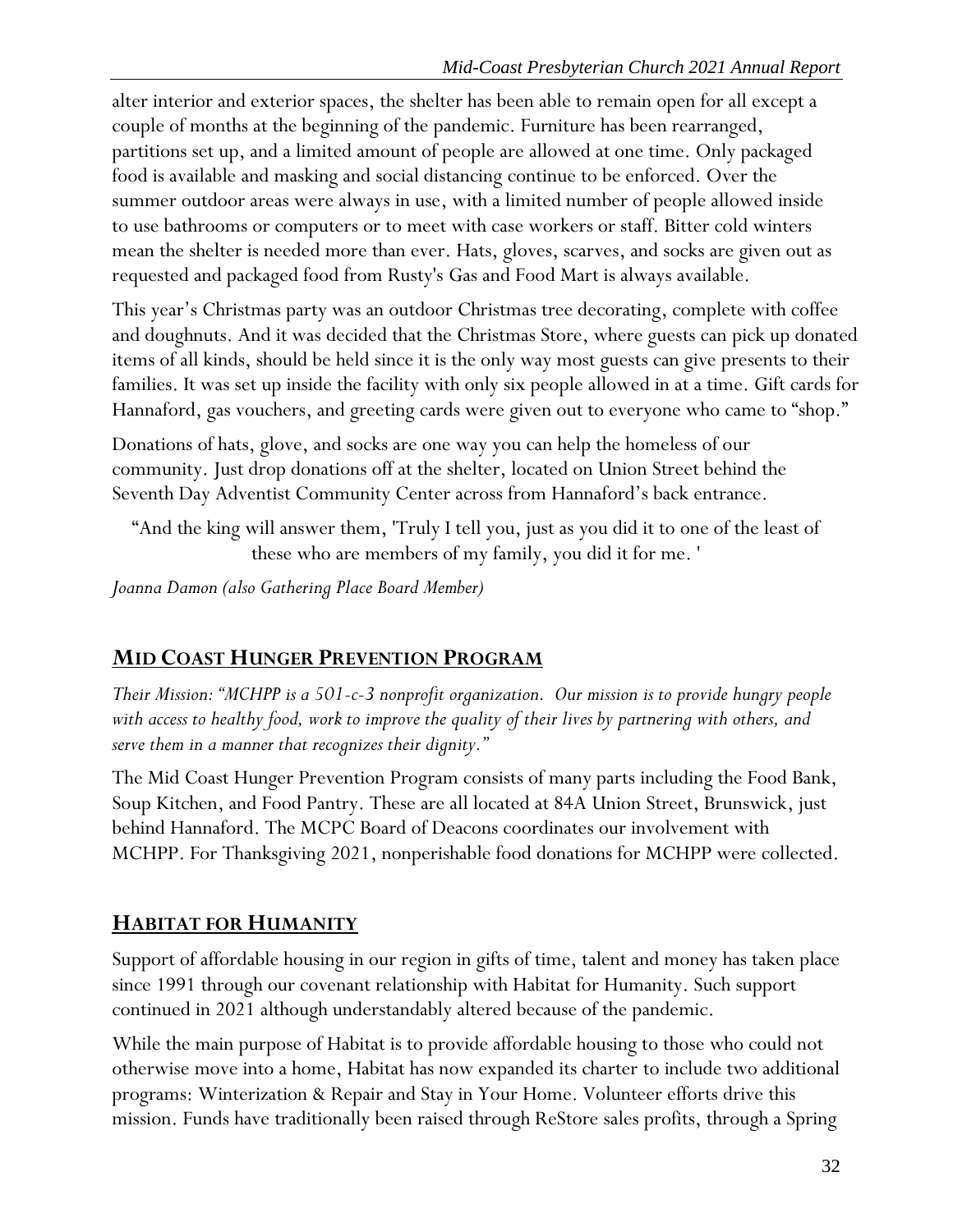alter interior and exterior spaces, the shelter has been able to remain open for all except a couple of months at the beginning of the pandemic. Furniture has been rearranged, partitions set up, and a limited amount of people are allowed at one time. Only packaged food is available and masking and social distancing continue to be enforced. Over the summer outdoor areas were always in use, with a limited number of people allowed inside to use bathrooms or computers or to meet with case workers or staff. Bitter cold winters mean the shelter is needed more than ever. Hats, gloves, scarves, and socks are given out as requested and packaged food from Rusty's Gas and Food Mart is always available.

This year's Christmas party was an outdoor Christmas tree decorating, complete with coffee and doughnuts. And it was decided that the Christmas Store, where guests can pick up donated items of all kinds, should be held since it is the only way most guests can give presents to their families. It was set up inside the facility with only six people allowed in at a time. Gift cards for Hannaford, gas vouchers, and greeting cards were given out to everyone who came to "shop."

Donations of hats, glove, and socks are one way you can help the homeless of our community. Just drop donations off at the shelter, located on Union Street behind the Seventh Day Adventist Community Center across from Hannaford's back entrance.

"And the king will answer them, 'Truly I tell you, just as you did it to one of the least of these who are members of my family, you did it for me. '

*Joanna Damon (also Gathering Place Board Member)*

# <span id="page-32-0"></span>**MID COAST HUNGER PREVENTION PROGRAM**

*Their Mission: "MCHPP is a 501-c-3 nonprofit organization. Our mission is to provide hungry people with access to healthy food, work to improve the quality of their lives by partnering with others, and serve them in a manner that recognizes their dignity."*

The Mid Coast Hunger Prevention Program consists of many parts including the Food Bank, Soup Kitchen, and Food Pantry. These are all located at 84A Union Street, Brunswick, just behind Hannaford. The MCPC Board of Deacons coordinates our involvement with MCHPP. For Thanksgiving 2021, nonperishable food donations for MCHPP were collected.

# <span id="page-32-1"></span>**HABITAT FOR HUMANITY**

Support of affordable housing in our region in gifts of time, talent and money has taken place since 1991 through our covenant relationship with Habitat for Humanity. Such support continued in 2021 although understandably altered because of the pandemic.

While the main purpose of Habitat is to provide affordable housing to those who could not otherwise move into a home, Habitat has now expanded its charter to include two additional programs: Winterization & Repair and Stay in Your Home. Volunteer efforts drive this mission. Funds have traditionally been raised through ReStore sales profits, through a Spring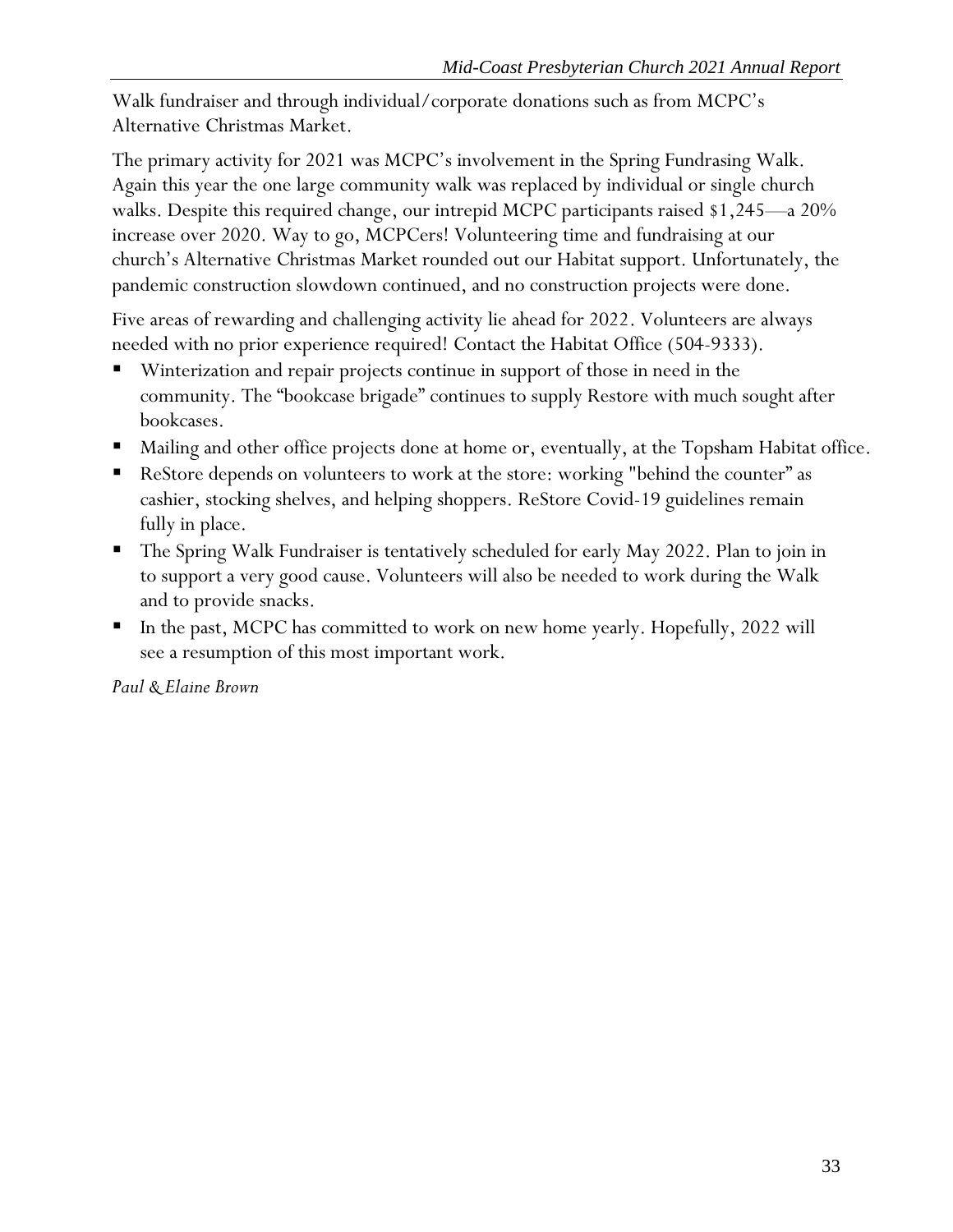Walk fundraiser and through individual/corporate donations such as from MCPC's Alternative Christmas Market.

The primary activity for 2021 was MCPC's involvement in the Spring Fundrasing Walk. Again this year the one large community walk was replaced by individual or single church walks. Despite this required change, our intrepid MCPC participants raised \$1,245—a 20% increase over 2020. Way to go, MCPCers! Volunteering time and fundraising at our church's Alternative Christmas Market rounded out our Habitat support. Unfortunately, the pandemic construction slowdown continued, and no construction projects were done.

Five areas of rewarding and challenging activity lie ahead for 2022. Volunteers are always needed with no prior experience required! Contact the Habitat Office (504-9333).

- Winterization and repair projects continue in support of those in need in the community. The "bookcase brigade" continues to supply Restore with much sought after bookcases.
- Mailing and other office projects done at home or, eventually, at the Topsham Habitat office.
- ReStore depends on volunteers to work at the store: working "behind the counter" as cashier, stocking shelves, and helping shoppers. ReStore Covid-19 guidelines remain fully in place.
- The Spring Walk Fundraiser is tentatively scheduled for early May 2022. Plan to join in to support a very good cause. Volunteers will also be needed to work during the Walk and to provide snacks.
- In the past, MCPC has committed to work on new home yearly. Hopefully, 2022 will see a resumption of this most important work.

*Paul & Elaine Brown*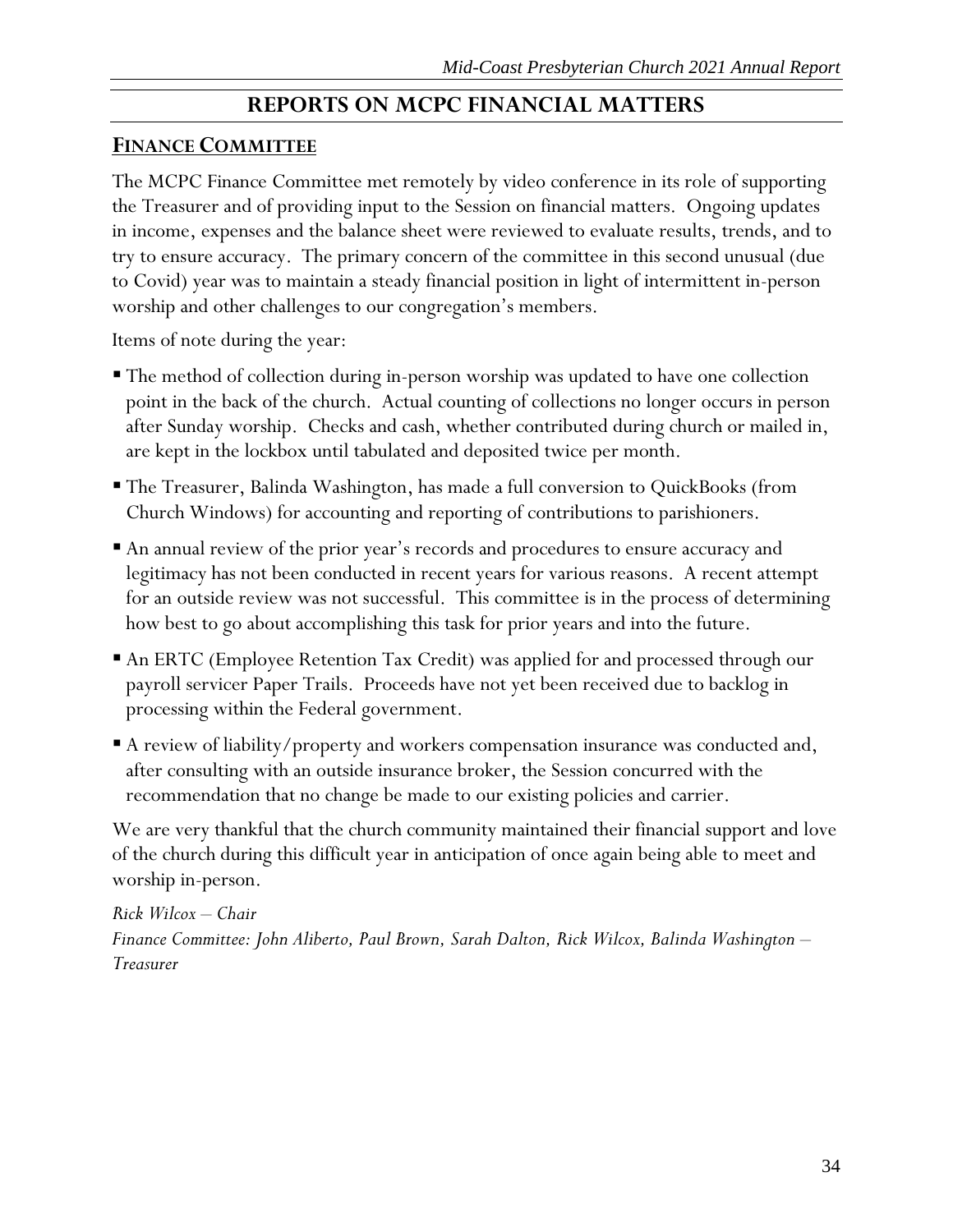# **REPORTS ON MCPC FINANCIAL MATTERS**

### <span id="page-34-1"></span><span id="page-34-0"></span>**FINANCE COMMITTEE**

The MCPC Finance Committee met remotely by video conference in its role of supporting the Treasurer and of providing input to the Session on financial matters. Ongoing updates in income, expenses and the balance sheet were reviewed to evaluate results, trends, and to try to ensure accuracy. The primary concern of the committee in this second unusual (due to Covid) year was to maintain a steady financial position in light of intermittent in-person worship and other challenges to our congregation's members.

Items of note during the year:

- The method of collection during in-person worship was updated to have one collection point in the back of the church. Actual counting of collections no longer occurs in person after Sunday worship. Checks and cash, whether contributed during church or mailed in, are kept in the lockbox until tabulated and deposited twice per month.
- The Treasurer, Balinda Washington, has made a full conversion to QuickBooks (from Church Windows) for accounting and reporting of contributions to parishioners.
- An annual review of the prior year's records and procedures to ensure accuracy and legitimacy has not been conducted in recent years for various reasons. A recent attempt for an outside review was not successful. This committee is in the process of determining how best to go about accomplishing this task for prior years and into the future.
- An ERTC (Employee Retention Tax Credit) was applied for and processed through our payroll servicer Paper Trails. Proceeds have not yet been received due to backlog in processing within the Federal government.
- A review of liability/property and workers compensation insurance was conducted and, after consulting with an outside insurance broker, the Session concurred with the recommendation that no change be made to our existing policies and carrier.

We are very thankful that the church community maintained their financial support and love of the church during this difficult year in anticipation of once again being able to meet and worship in-person.

*Rick Wilcox – Chair Finance Committee: John Aliberto, Paul Brown, Sarah Dalton, Rick Wilcox, Balinda Washington – Treasurer*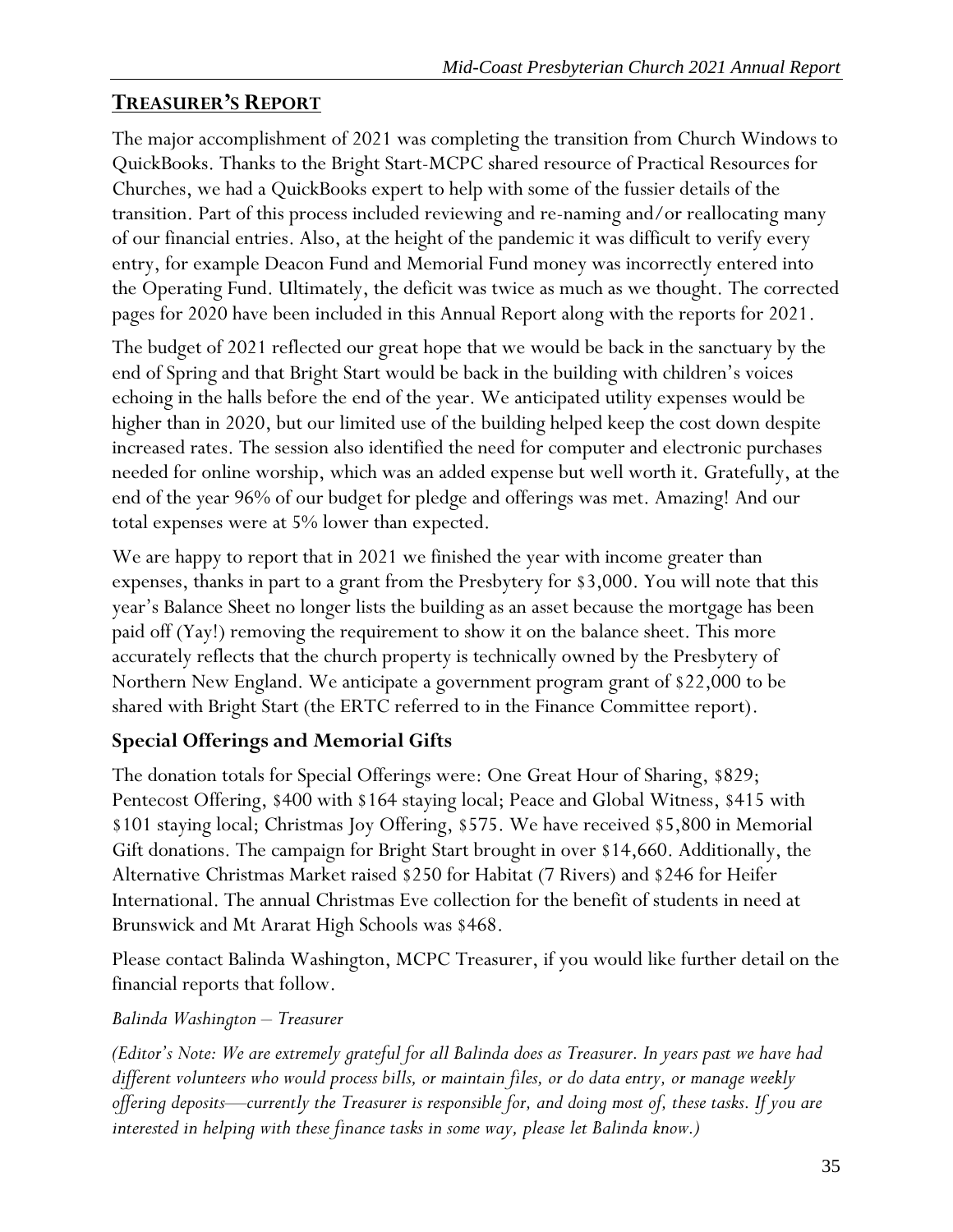# <span id="page-35-0"></span>**TREASURER'S REPORT**

The major accomplishment of 2021 was completing the transition from Church Windows to QuickBooks. Thanks to the Bright Start-MCPC shared resource of Practical Resources for Churches, we had a QuickBooks expert to help with some of the fussier details of the transition. Part of this process included reviewing and re-naming and/or reallocating many of our financial entries. Also, at the height of the pandemic it was difficult to verify every entry, for example Deacon Fund and Memorial Fund money was incorrectly entered into the Operating Fund. Ultimately, the deficit was twice as much as we thought. The corrected pages for 2020 have been included in this Annual Report along with the reports for 2021.

The budget of 2021 reflected our great hope that we would be back in the sanctuary by the end of Spring and that Bright Start would be back in the building with children's voices echoing in the halls before the end of the year. We anticipated utility expenses would be higher than in 2020, but our limited use of the building helped keep the cost down despite increased rates. The session also identified the need for computer and electronic purchases needed for online worship, which was an added expense but well worth it. Gratefully, at the end of the year 96% of our budget for pledge and offerings was met. Amazing! And our total expenses were at 5% lower than expected.

We are happy to report that in 2021 we finished the year with income greater than expenses, thanks in part to a grant from the Presbytery for \$3,000. You will note that this year's Balance Sheet no longer lists the building as an asset because the mortgage has been paid off (Yay!) removing the requirement to show it on the balance sheet. This more accurately reflects that the church property is technically owned by the Presbytery of Northern New England. We anticipate a government program grant of \$22,000 to be shared with Bright Start (the ERTC referred to in the Finance Committee report).

# **Special Offerings and Memorial Gifts**

The donation totals for Special Offerings were: One Great Hour of Sharing, \$829; Pentecost Offering, \$400 with \$164 staying local; Peace and Global Witness, \$415 with \$101 staying local; Christmas Joy Offering, \$575. We have received \$5,800 in Memorial Gift donations. The campaign for Bright Start brought in over \$14,660. Additionally, the Alternative Christmas Market raised \$250 for Habitat (7 Rivers) and \$246 for Heifer International. The annual Christmas Eve collection for the benefit of students in need at Brunswick and Mt Ararat High Schools was \$468.

Please contact Balinda Washington, MCPC Treasurer, if you would like further detail on the financial reports that follow.

# *Balinda Washington – Treasurer*

*(Editor's Note: We are extremely grateful for all Balinda does as Treasurer. In years past we have had different volunteers who would process bills, or maintain files, or do data entry, or manage weekly offering deposits—currently the Treasurer is responsible for, and doing most of, these tasks. If you are interested in helping with these finance tasks in some way, please let Balinda know.)*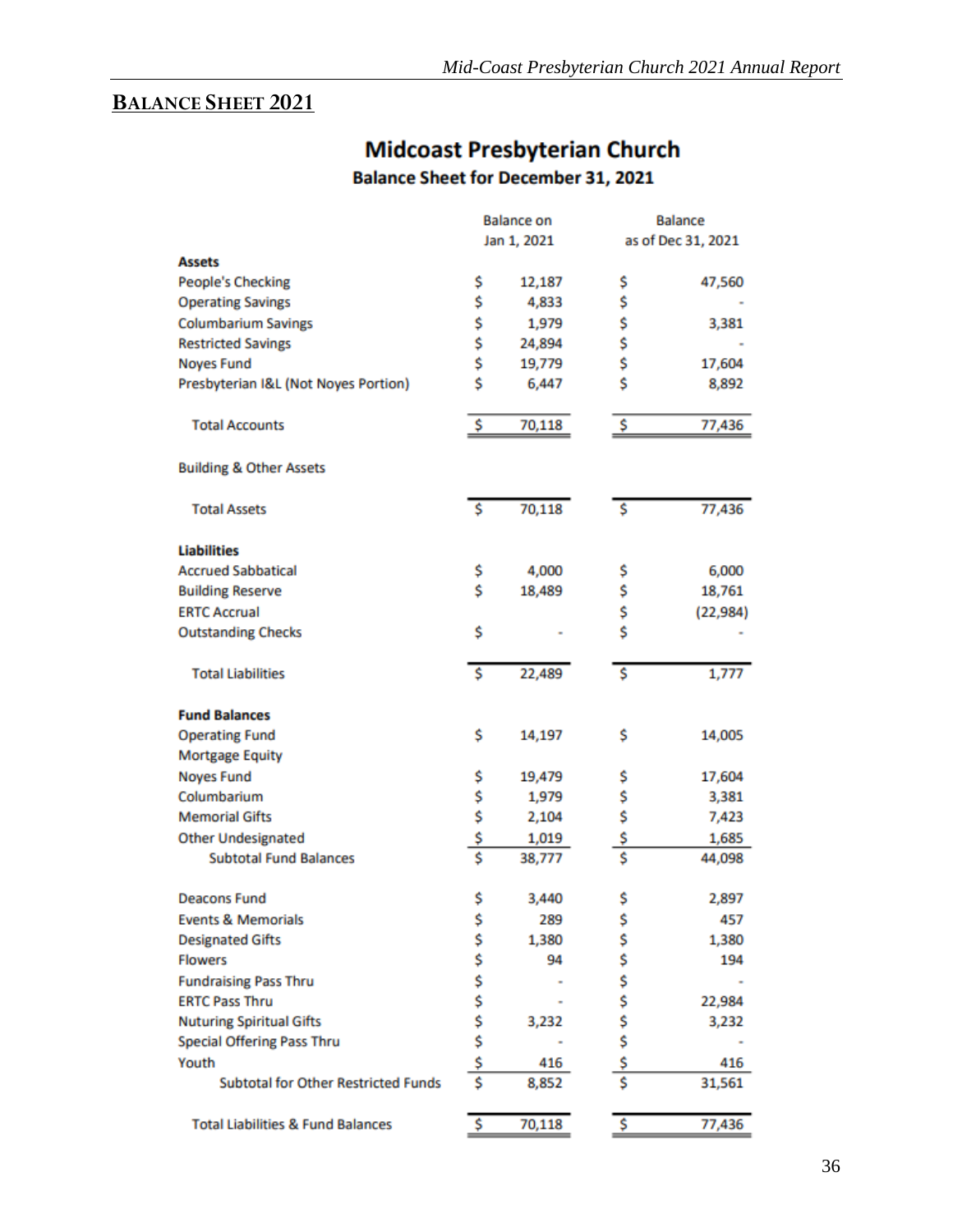# <span id="page-36-0"></span>**BALANCE SHEET 2021**

|                                              | <b>Balance on</b><br>Jan 1, 2021 |        |          | <b>Balance</b><br>as of Dec 31, 2021 |
|----------------------------------------------|----------------------------------|--------|----------|--------------------------------------|
| <b>Assets</b>                                |                                  |        |          |                                      |
| People's Checking                            | \$                               | 12,187 | \$       | 47,560                               |
| <b>Operating Savings</b>                     | \$                               | 4,833  | \$       |                                      |
| <b>Columbarium Savings</b>                   | \$                               | 1,979  | \$       | 3,381                                |
| <b>Restricted Savings</b>                    | \$                               | 24,894 | \$       |                                      |
| <b>Noyes Fund</b>                            | \$                               | 19,779 | \$       | 17,604                               |
| Presbyterian I&L (Not Noyes Portion)         | \$                               | 6,447  | Ś        | 8,892                                |
| <b>Total Accounts</b>                        | \$                               | 70,118 | \$       | 77,436                               |
| <b>Building &amp; Other Assets</b>           |                                  |        |          |                                      |
| <b>Total Assets</b>                          | <b>S</b>                         | 70,118 | \$       | 77,436                               |
| <b>Liabilities</b>                           |                                  |        |          |                                      |
| <b>Accrued Sabbatical</b>                    | \$                               | 4,000  | \$       | 6,000                                |
| <b>Building Reserve</b>                      | \$                               | 18,489 | \$       | 18,761                               |
| <b>ERTC Accrual</b>                          |                                  |        | \$       | (22, 984)                            |
| <b>Outstanding Checks</b>                    | \$                               |        | \$       |                                      |
| <b>Total Liabilities</b>                     | \$                               | 22,489 | \$       | 1,777                                |
| <b>Fund Balances</b>                         |                                  |        |          |                                      |
| <b>Operating Fund</b>                        | \$                               | 14,197 | \$       | 14,005                               |
| <b>Mortgage Equity</b>                       |                                  |        |          |                                      |
| <b>Noyes Fund</b>                            | \$                               | 19,479 | \$       | 17,604                               |
| Columbarium                                  | \$<br>\$                         | 1,979  | \$<br>\$ | 3,381                                |
| <b>Memorial Gifts</b>                        |                                  | 2,104  |          | 7,423                                |
| <b>Other Undesignated</b>                    | \$                               | 1,019  | \$       | 1,685                                |
| <b>Subtotal Fund Balances</b>                | Ś                                | 38,777 | \$       | 44,098                               |
| <b>Deacons Fund</b>                          | \$                               | 3,440  | \$       | 2,897                                |
| <b>Events &amp; Memorials</b>                | \$<br>\$                         | 289    | \$       | 457                                  |
| <b>Designated Gifts</b>                      |                                  | 1,380  | \$       | 1,380                                |
| <b>Flowers</b>                               | \$                               | 94     | \$       | 194                                  |
| <b>Fundraising Pass Thru</b>                 |                                  |        | \$       |                                      |
| <b>ERTC Pass Thru</b>                        |                                  |        | \$       | 22,984                               |
| <b>Nuturing Spiritual Gifts</b>              | \$\$\$                           | 3,232  | \$<br>\$ | 3,232                                |
| <b>Special Offering Pass Thru</b>            |                                  |        |          |                                      |
| Youth                                        | \$                               | 416    | \$       | 416                                  |
| <b>Subtotal for Other Restricted Funds</b>   | Ś                                | 8,852  | \$       | 31,561                               |
| <b>Total Liabilities &amp; Fund Balances</b> | \$                               | 70,118 | \$       | 77,436                               |

# **Midcoast Presbyterian Church Balance Sheet for December 31, 2021**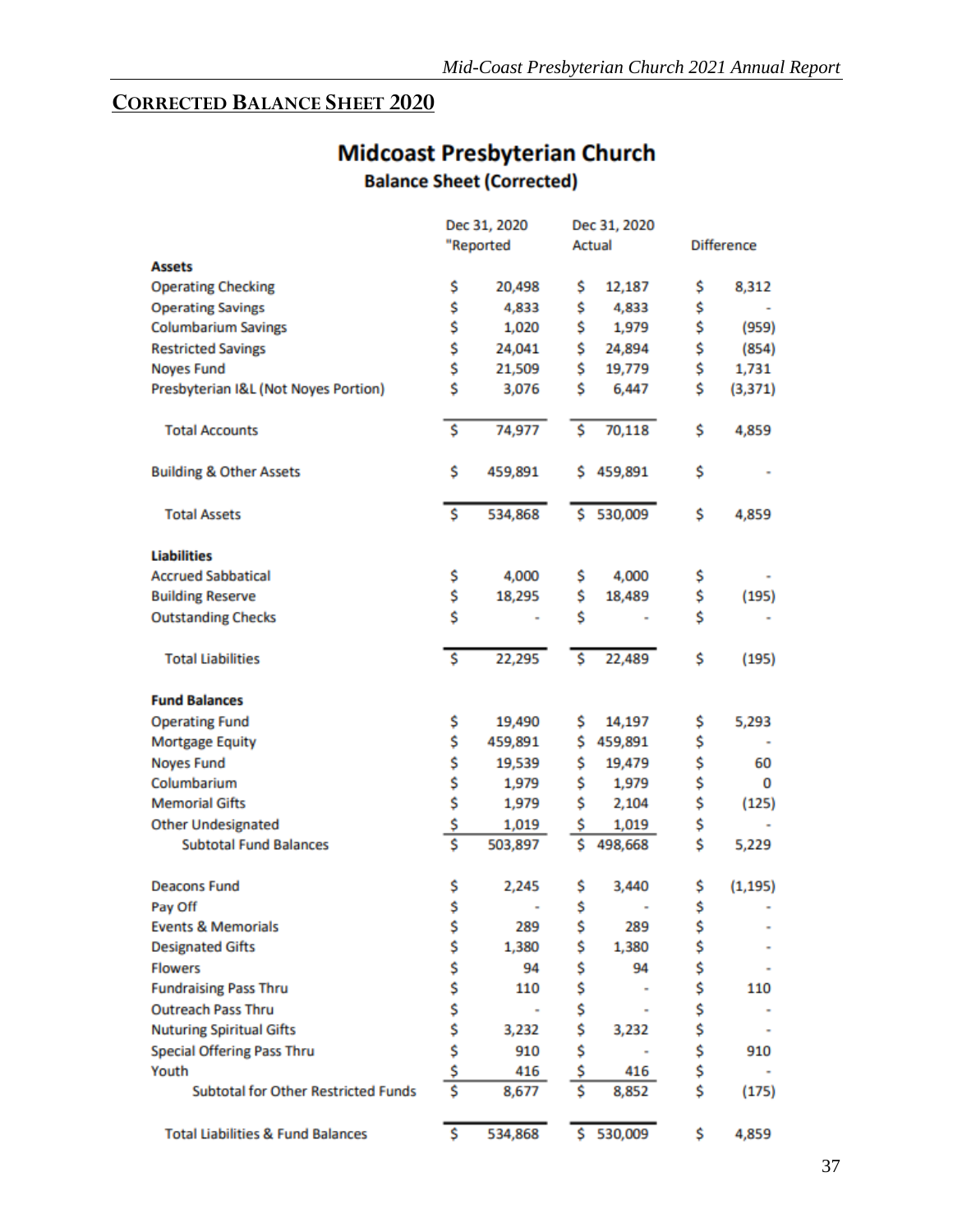# <span id="page-37-0"></span>**CORRECTED BALANCE SHEET 2020**

# **Midcoast Presbyterian Church Balance Sheet (Corrected)**

|                                              | Dec 31, 2020                    |                |    | Dec 31, 2020 |    |                   |  |
|----------------------------------------------|---------------------------------|----------------|----|--------------|----|-------------------|--|
|                                              | "Reported                       |                |    | Actual       |    | <b>Difference</b> |  |
| <b>Assets</b>                                |                                 |                |    |              |    |                   |  |
| <b>Operating Checking</b>                    | \$                              | 20,498         | \$ | 12,187       | \$ | 8,312             |  |
| <b>Operating Savings</b>                     | \$                              | 4,833          | \$ | 4,833        | \$ |                   |  |
| <b>Columbarium Savings</b>                   | \$                              | 1,020          | \$ | 1,979        | \$ | (959)             |  |
| <b>Restricted Savings</b>                    | \$                              | 24,041         | \$ | 24,894       | \$ | (854)             |  |
| <b>Noyes Fund</b>                            | \$                              | 21,509         | \$ | 19,779       | \$ | 1,731             |  |
| Presbyterian I&L (Not Noyes Portion)         | \$                              | 3,076          | \$ | 6,447        | \$ | (3, 371)          |  |
| <b>Total Accounts</b>                        | \$                              | 74,977         | \$ | 70,118       | \$ | 4,859             |  |
| <b>Building &amp; Other Assets</b>           | \$                              | 459,891        | s  | 459,891      | \$ |                   |  |
| <b>Total Assets</b>                          | \$                              | 534,868        | \$ | 530,009      | \$ | 4,859             |  |
| <b>Liabilities</b>                           |                                 |                |    |              |    |                   |  |
| <b>Accrued Sabbatical</b>                    | \$                              | 4,000          | \$ | 4,000        | \$ |                   |  |
| <b>Building Reserve</b>                      | \$                              | 18,295         | \$ | 18,489       | \$ | (195)             |  |
| <b>Outstanding Checks</b>                    | \$                              |                | \$ |              | \$ |                   |  |
| <b>Total Liabilities</b>                     | Ŝ                               | 22,295         | Ś  | 22,489       | \$ | (195)             |  |
| <b>Fund Balances</b>                         |                                 |                |    |              |    |                   |  |
| <b>Operating Fund</b>                        | \$                              | 19,490         | \$ | 14,197       | \$ | 5,293             |  |
| Mortgage Equity                              | \$                              | 459,891        | \$ | 459,891      | \$ |                   |  |
| <b>Noyes Fund</b>                            |                                 | 19,539         | \$ | 19,479       | \$ | 60                |  |
| Columbarium                                  | \$\$                            | 1,979          | \$ | 1,979        | \$ | 0                 |  |
| <b>Memorial Gifts</b>                        |                                 | 1,979          | \$ | 2,104        | \$ | (125)             |  |
| <b>Other Undesignated</b>                    | \$                              | 1,019          | \$ | 1,019        | \$ |                   |  |
| <b>Subtotal Fund Balances</b>                | $\overline{\mathsf{s}}$         | 503,897        | \$ | 498,668      | \$ | 5,229             |  |
| <b>Deacons Fund</b>                          | \$                              | 2,245          | \$ | 3,440        | \$ | (1, 195)          |  |
| Pay Off                                      | \$                              |                | \$ |              | \$ |                   |  |
| <b>Events &amp; Memorials</b>                | \$                              | 289            | \$ | 289          | \$ |                   |  |
| <b>Designated Gifts</b>                      | \$                              | 1,380          | \$ | 1,380        | \$ |                   |  |
| <b>Flowers</b>                               |                                 | 94             | \$ | 94           | \$ |                   |  |
| <b>Fundraising Pass Thru</b>                 |                                 | 110            | \$ |              | \$ | 110               |  |
| <b>Outreach Pass Thru</b>                    |                                 | $\blacksquare$ | \$ |              | \$ |                   |  |
| <b>Nuturing Spiritual Gifts</b>              |                                 | 3,232          | \$ | 3,232        | \$ |                   |  |
| <b>Special Offering Pass Thru</b>            | s<br>s<br>s<br>s<br>s<br>s<br>s | 910            | \$ |              | \$ | 910               |  |
| Youth                                        |                                 | 416            | \$ | 416          | \$ |                   |  |
| <b>Subtotal for Other Restricted Funds</b>   |                                 | 8,677          | \$ | 8,852        | \$ | (175)             |  |
| <b>Total Liabilities &amp; Fund Balances</b> | \$                              | 534,868        |    | \$530,009    | \$ | 4,859             |  |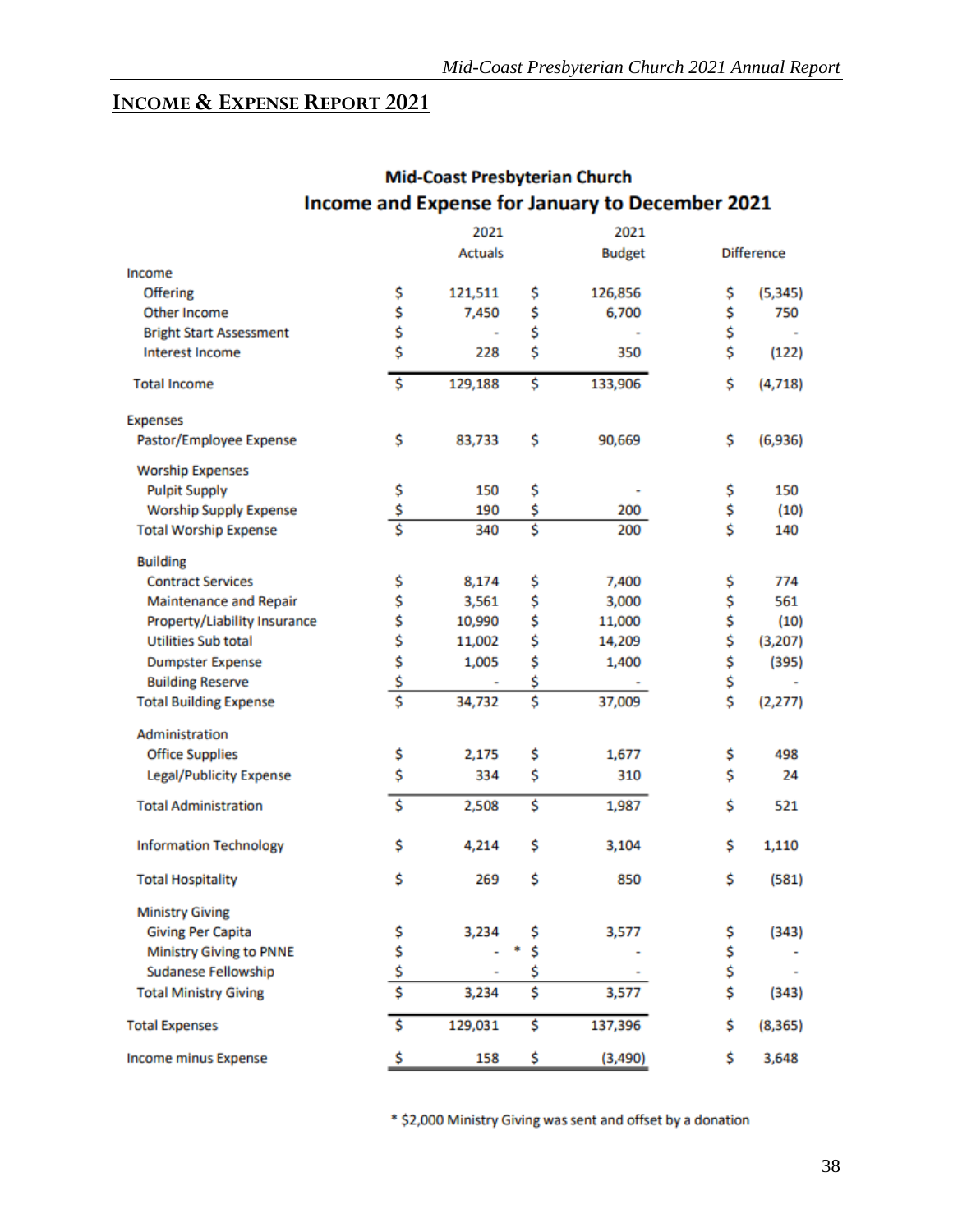### <span id="page-38-0"></span>**INCOME & EXPENSE REPORT 2021**

| 2021 |                                                                                                                                             |                                           |                                                                     | 2021                     |                                                                                        |  |  |
|------|---------------------------------------------------------------------------------------------------------------------------------------------|-------------------------------------------|---------------------------------------------------------------------|--------------------------|----------------------------------------------------------------------------------------|--|--|
|      | <b>Actuals</b>                                                                                                                              |                                           | <b>Budget</b>                                                       |                          | <b>Difference</b>                                                                      |  |  |
|      |                                                                                                                                             |                                           |                                                                     |                          |                                                                                        |  |  |
| \$   | 121,511                                                                                                                                     | \$                                        | 126,856                                                             | \$                       | (5, 345)                                                                               |  |  |
|      | 7,450                                                                                                                                       | \$                                        | 6,700                                                               | \$                       | 750                                                                                    |  |  |
|      |                                                                                                                                             |                                           |                                                                     |                          |                                                                                        |  |  |
|      | 228                                                                                                                                         |                                           | 350                                                                 |                          | (122)                                                                                  |  |  |
| \$   | 129,188                                                                                                                                     | \$                                        | 133,906                                                             | \$                       | (4, 718)                                                                               |  |  |
|      |                                                                                                                                             |                                           |                                                                     |                          |                                                                                        |  |  |
| \$   | 83,733                                                                                                                                      | \$                                        | 90,669                                                              | \$                       | (6,936)                                                                                |  |  |
|      |                                                                                                                                             |                                           |                                                                     |                          |                                                                                        |  |  |
|      |                                                                                                                                             |                                           |                                                                     |                          | 150                                                                                    |  |  |
|      | 190                                                                                                                                         |                                           | 200                                                                 |                          | (10)                                                                                   |  |  |
|      | 340                                                                                                                                         |                                           | 200                                                                 |                          | 140                                                                                    |  |  |
|      |                                                                                                                                             |                                           |                                                                     |                          |                                                                                        |  |  |
|      |                                                                                                                                             |                                           |                                                                     |                          | 774                                                                                    |  |  |
|      |                                                                                                                                             |                                           |                                                                     |                          | 561                                                                                    |  |  |
|      |                                                                                                                                             |                                           |                                                                     |                          | (10)                                                                                   |  |  |
|      |                                                                                                                                             |                                           | 14,209                                                              |                          | (3, 207)                                                                               |  |  |
|      | 1,005                                                                                                                                       |                                           | 1,400                                                               |                          | (395)                                                                                  |  |  |
|      |                                                                                                                                             |                                           |                                                                     |                          |                                                                                        |  |  |
|      | 34,732                                                                                                                                      |                                           | 37,009                                                              |                          | (2, 277)                                                                               |  |  |
|      |                                                                                                                                             |                                           |                                                                     |                          |                                                                                        |  |  |
|      | 2,175                                                                                                                                       | \$                                        | 1,677                                                               | \$                       | 498                                                                                    |  |  |
| \$   | 334                                                                                                                                         | \$                                        | 310                                                                 | \$                       | 24                                                                                     |  |  |
| \$   | 2,508                                                                                                                                       | \$                                        | 1,987                                                               | \$                       | 521                                                                                    |  |  |
| \$   | 4,214                                                                                                                                       | \$                                        | 3,104                                                               | \$                       | 1,110                                                                                  |  |  |
| \$   | 269                                                                                                                                         | \$                                        | 850                                                                 | \$                       | (581)                                                                                  |  |  |
|      |                                                                                                                                             |                                           |                                                                     |                          |                                                                                        |  |  |
|      | 3,234                                                                                                                                       | \$                                        | 3,577                                                               |                          | (343)                                                                                  |  |  |
|      |                                                                                                                                             | \$                                        |                                                                     |                          |                                                                                        |  |  |
|      |                                                                                                                                             | \$                                        |                                                                     |                          |                                                                                        |  |  |
|      | 3,234                                                                                                                                       | \$                                        | 3,577                                                               | \$                       | (343)                                                                                  |  |  |
| \$   | 129,031                                                                                                                                     | \$                                        | 137,396                                                             | \$                       | (8, 365)                                                                               |  |  |
| \$   | 158                                                                                                                                         | \$                                        | (3,490)                                                             | \$                       | 3,648                                                                                  |  |  |
|      | \$<br>\$<br>\$<br>\$<br>$rac{5}{5}$<br>\$<br>\$<br>\$<br>\$<br>\$<br>$\frac{5}{5}$<br>\$<br>\$<br>\$<br>$\overline{\boldsymbol{\varsigma}}$ | 150<br>8,174<br>3,561<br>10,990<br>11,002 | \$<br>\$<br>\$<br>\$<br>Ś<br>\$<br>\$<br>\$<br>\$<br>\$<br>\$<br>\$ | 7,400<br>3,000<br>11,000 | \$<br>\$<br>\$<br>\$<br>\$<br>\$<br>\$<br>\$<br>\$<br>\$<br>\$<br>\$<br>\$<br>\$<br>\$ |  |  |

# **Mid-Coast Presbyterian Church** Income and Expense for January to December 2021

\* \$2,000 Ministry Giving was sent and offset by a donation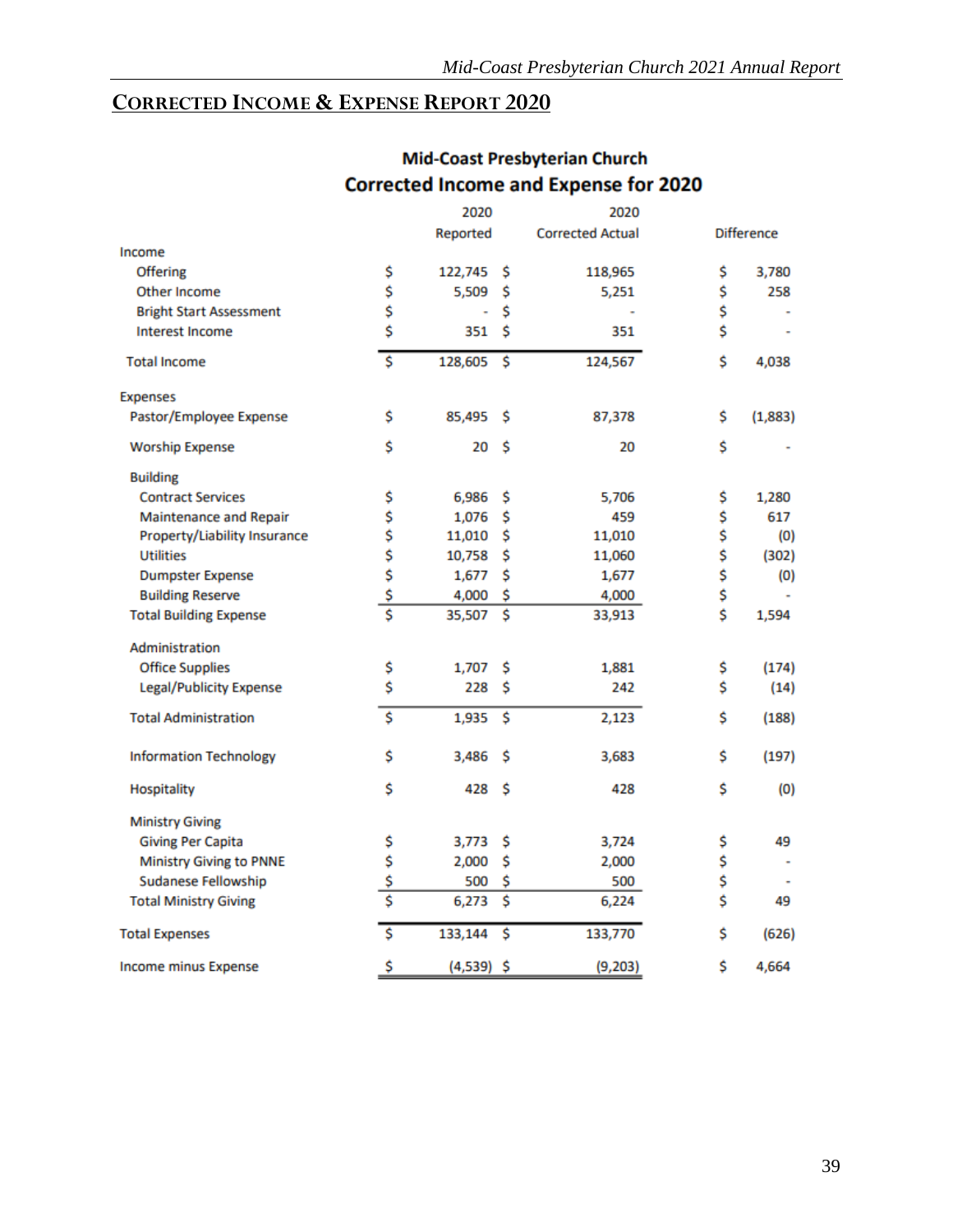# <span id="page-39-0"></span>**CORRECTED INCOME & EXPENSE REPORT 2020**

|                                |               | 2020         |    | 2020                    |                   |
|--------------------------------|---------------|--------------|----|-------------------------|-------------------|
|                                |               | Reported     |    | <b>Corrected Actual</b> | <b>Difference</b> |
| Income                         |               |              |    |                         |                   |
| <b>Offering</b>                | \$            | 122,745      | \$ | 118,965                 | \$<br>3,780       |
| Other Income                   | \$            | 5,509        | \$ | 5,251                   | \$<br>258         |
| <b>Bright Start Assessment</b> | \$            |              | \$ |                         | \$                |
| <b>Interest Income</b>         | \$            | 351          | \$ | 351                     | \$                |
| <b>Total Income</b>            | \$            | 128,605      | \$ | 124,567                 | \$<br>4,038       |
| <b>Expenses</b>                |               |              |    |                         |                   |
| Pastor/Employee Expense        | \$            | 85,495       | s  | 87,378                  | \$<br>(1,883)     |
| <b>Worship Expense</b>         | \$            | 20           | \$ | 20                      | \$                |
| <b>Building</b>                |               |              |    |                         |                   |
| <b>Contract Services</b>       | \$            | 6,986        | \$ | 5,706                   | \$<br>1,280       |
| Maintenance and Repair         | \$<br>\$      | 1,076        | \$ | 459                     | \$<br>617         |
| Property/Liability Insurance   |               | 11,010       | \$ | 11,010                  | \$<br>(0)         |
| <b>Utilities</b>               | \$            | 10,758       | \$ | 11,060                  | \$<br>(302)       |
| <b>Dumpster Expense</b>        | \$            | 1,677        | \$ | 1,677                   | \$<br>(0)         |
| <b>Building Reserve</b>        | \$            | 4,000        | \$ | 4,000                   | \$                |
| <b>Total Building Expense</b>  | ŝ             | 35,507       | \$ | 33,913                  | \$<br>1,594       |
| Administration                 |               |              |    |                         |                   |
| <b>Office Supplies</b>         | \$            | 1,707        | \$ | 1,881                   | \$<br>(174)       |
| Legal/Publicity Expense        | \$            | 228          | \$ | 242                     | \$<br>(14)        |
| <b>Total Administration</b>    | \$            | 1,935        | \$ | 2,123                   | \$<br>(188)       |
| <b>Information Technology</b>  | \$            | 3,486        | S  | 3,683                   | \$<br>(197)       |
| Hospitality                    | \$            | 428          | \$ | 428                     | \$<br>(0)         |
| <b>Ministry Giving</b>         |               |              |    |                         |                   |
| <b>Giving Per Capita</b>       | \$            | 3,773        | \$ | 3,724                   | \$<br>49          |
| Ministry Giving to PNNE        | \$            | 2,000        | \$ | 2,000                   | \$                |
| <b>Sudanese Fellowship</b>     | $\frac{5}{5}$ | 500          | \$ | 500                     | \$                |
| <b>Total Ministry Giving</b>   |               | 6,273        | \$ | 6,224                   | \$<br>49          |
| <b>Total Expenses</b>          | \$            | 133,144      | \$ | 133,770                 | \$<br>(626)       |
| <b>Income minus Expense</b>    | \$            | $(4,539)$ \$ |    | (9,203)                 | \$<br>4,664       |

# **Mid-Coast Presbyterian Church Corrected Income and Expense for 2020**